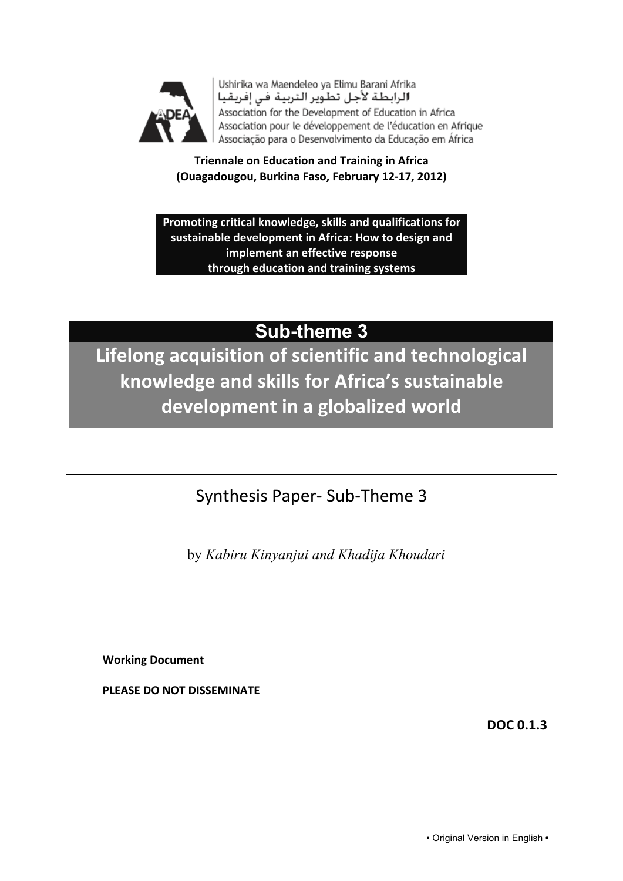

Ushirika wa Maendeleo ya Elimu Barani Afrika الرابطة لأجل تطوير التربية فى إفريقيا Association for the Development of Education in Africa Association pour le développement de l'éducation en Afrique Associação para o Desenvolvimento da Educação em África

**Triennale on Education and Training in Africa** (Ouagadougou, Burkina Faso, February 12-17, 2012)

Promoting critical knowledge, skills and qualifications for sustainable development in Africa: How to design and **implement an effective response through!education!and!training!systems**

# **Sub-theme 3**

Lifelong acquisition of scientific and technological knowledge and skills for Africa's sustainable development in a globalized world

# Synthesis Paper-Sub-Theme 3

by *Kabiru Kinyanjui and Khadija Khoudari*

**Working!Document**

PLEASE DO NOT DISSEMINATE

**DOC!0.1.3**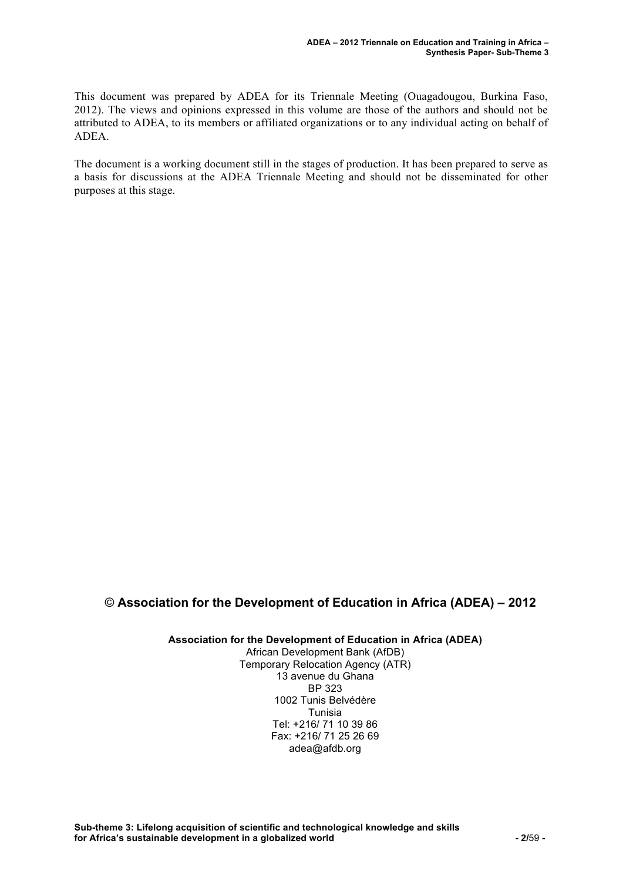This document was prepared by ADEA for its Triennale Meeting (Ouagadougou, Burkina Faso, 2012). The views and opinions expressed in this volume are those of the authors and should not be attributed to ADEA, to its members or affiliated organizations or to any individual acting on behalf of ADEA.

The document is a working document still in the stages of production. It has been prepared to serve as a basis for discussions at the ADEA Triennale Meeting and should not be disseminated for other purposes at this stage.

#### © **Association for the Development of Education in Africa (ADEA) – 2012**

**Association for the Development of Education in Africa (ADEA)**

African Development Bank (AfDB) Temporary Relocation Agency (ATR) 13 avenue du Ghana BP 323 1002 Tunis Belvédère Tunisia Tel: +216/ 71 10 39 86 Fax: +216/ 71 25 26 69 adea@afdb.org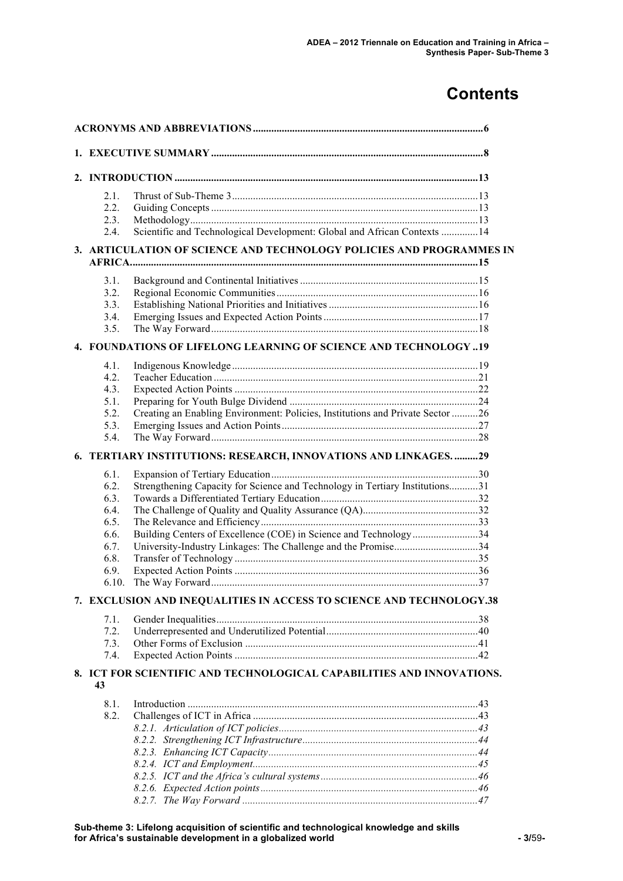## **Contents**

| 2.1.         |                                                                                                                                   |  |
|--------------|-----------------------------------------------------------------------------------------------------------------------------------|--|
| 2.2.         |                                                                                                                                   |  |
| 2.3.         |                                                                                                                                   |  |
| 2.4.         | Scientific and Technological Development: Global and African Contexts  14                                                         |  |
|              | 3. ARTICULATION OF SCIENCE AND TECHNOLOGY POLICIES AND PROGRAMMES IN                                                              |  |
| 3.1.         |                                                                                                                                   |  |
| 3.2.         |                                                                                                                                   |  |
| 3.3.         |                                                                                                                                   |  |
| 3.4.         |                                                                                                                                   |  |
| 3.5.         |                                                                                                                                   |  |
|              | 4. FOUNDATIONS OF LIFELONG LEARNING OF SCIENCE AND TECHNOLOGY 19                                                                  |  |
| 4.1.         |                                                                                                                                   |  |
| 4.2.         |                                                                                                                                   |  |
| 4.3.         |                                                                                                                                   |  |
| 5.1.         |                                                                                                                                   |  |
| 5.2.         | Creating an Enabling Environment: Policies, Institutions and Private Sector 26                                                    |  |
| 5.3.         |                                                                                                                                   |  |
| 5.4.         |                                                                                                                                   |  |
|              | 6. TERTIARY INSTITUTIONS: RESEARCH, INNOVATIONS AND LINKAGES. 29                                                                  |  |
| 6.1.         |                                                                                                                                   |  |
| 6.2.         | Strengthening Capacity for Science and Technology in Tertiary Institutions31                                                      |  |
| 6.3.         |                                                                                                                                   |  |
| 6.4.         |                                                                                                                                   |  |
| 6.5.         |                                                                                                                                   |  |
| 6.6.<br>6.7. | Building Centers of Excellence (COE) in Science and Technology34<br>University-Industry Linkages: The Challenge and the Promise34 |  |
| 6.8.         |                                                                                                                                   |  |
| 6.9.         |                                                                                                                                   |  |
| 6.10.        |                                                                                                                                   |  |
|              | 7. EXCLUSION AND INEQUALITIES IN ACCESS TO SCIENCE AND TECHNOLOGY.38                                                              |  |
|              |                                                                                                                                   |  |
| 7.1.<br>7.2. |                                                                                                                                   |  |
| 7.3.         |                                                                                                                                   |  |
| 7.4.         |                                                                                                                                   |  |
|              | 8. ICT FOR SCIENTIFIC AND TECHNOLOGICAL CAPABILITIES AND INNOVATIONS.                                                             |  |
| 43           |                                                                                                                                   |  |
| 8.1.         |                                                                                                                                   |  |
| 8.2.         |                                                                                                                                   |  |
|              |                                                                                                                                   |  |
|              |                                                                                                                                   |  |
|              |                                                                                                                                   |  |
|              |                                                                                                                                   |  |
|              |                                                                                                                                   |  |
|              |                                                                                                                                   |  |
|              |                                                                                                                                   |  |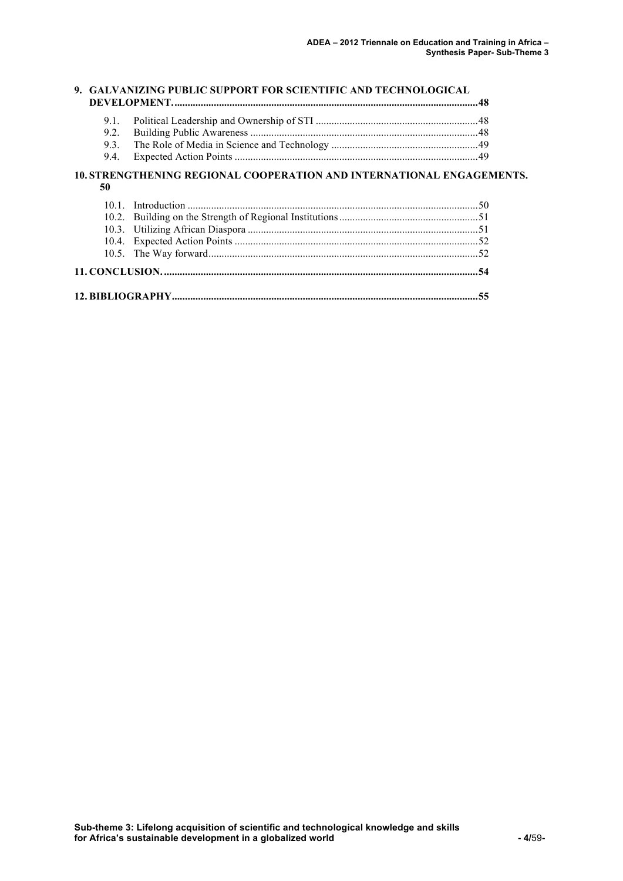|      | 9. GALVANIZING PUBLIC SUPPORT FOR SCIENTIFIC AND TECHNOLOGICAL        |  |
|------|-----------------------------------------------------------------------|--|
| 9.1. |                                                                       |  |
| 9.2. |                                                                       |  |
| 9.3. |                                                                       |  |
| 9.4. |                                                                       |  |
| 50   | 10. STRENGTHENING REGIONAL COOPERATION AND INTERNATIONAL ENGAGEMENTS. |  |
|      |                                                                       |  |
|      |                                                                       |  |
|      |                                                                       |  |
|      |                                                                       |  |
|      |                                                                       |  |

|--|--|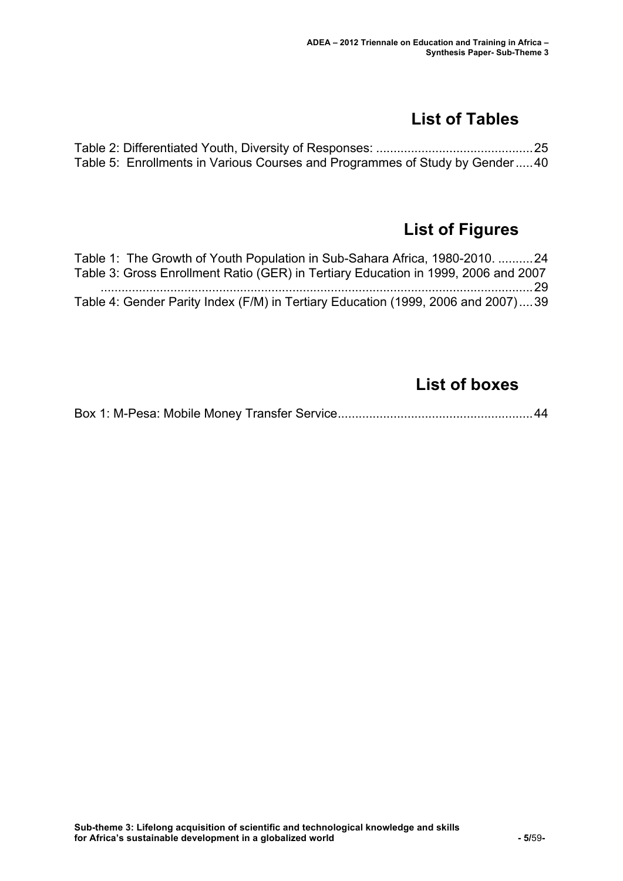## **List of Tables**

| Table 5: Enrollments in Various Courses and Programmes of Study by Gender40 |  |
|-----------------------------------------------------------------------------|--|

## **List of Figures**

| Table 1: The Growth of Youth Population in Sub-Sahara Africa, 1980-2010.  24       |  |
|------------------------------------------------------------------------------------|--|
| Table 3: Gross Enrollment Ratio (GER) in Tertiary Education in 1999, 2006 and 2007 |  |
|                                                                                    |  |
| Table 4: Gender Parity Index (F/M) in Tertiary Education (1999, 2006 and 2007)39   |  |

## **List of boxes**

Box 1: M-Pesa: Mobile Money Transfer Service........................................................44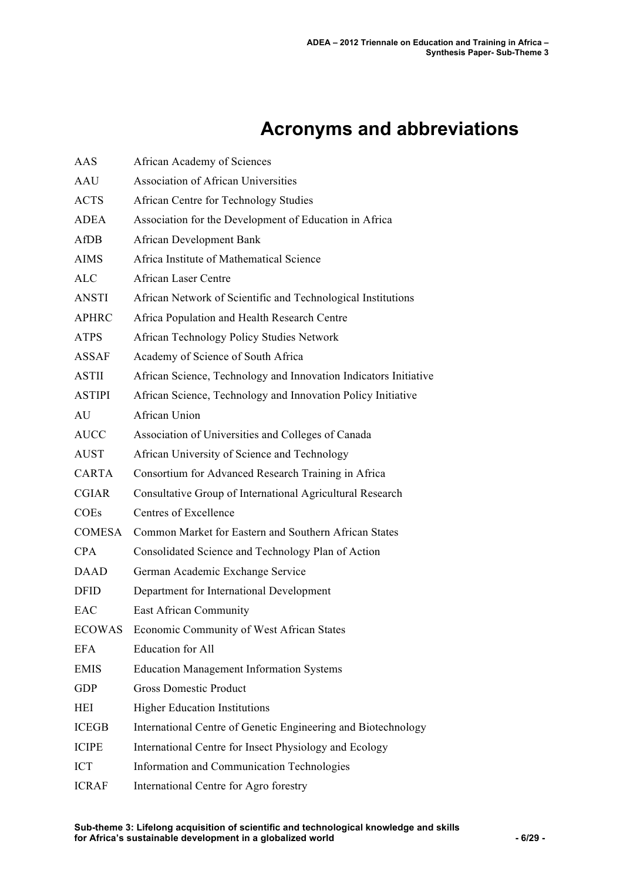# **Acronyms and abbreviations**

| AAS           | African Academy of Sciences                                      |
|---------------|------------------------------------------------------------------|
| AAU           | <b>Association of African Universities</b>                       |
| <b>ACTS</b>   | <b>African Centre for Technology Studies</b>                     |
| <b>ADEA</b>   | Association for the Development of Education in Africa           |
| AfDB          | African Development Bank                                         |
| <b>AIMS</b>   | Africa Institute of Mathematical Science                         |
| <b>ALC</b>    | <b>African Laser Centre</b>                                      |
| <b>ANSTI</b>  | African Network of Scientific and Technological Institutions     |
| <b>APHRC</b>  | Africa Population and Health Research Centre                     |
| <b>ATPS</b>   | African Technology Policy Studies Network                        |
| <b>ASSAF</b>  | Academy of Science of South Africa                               |
| <b>ASTII</b>  | African Science, Technology and Innovation Indicators Initiative |
| <b>ASTIPI</b> | African Science, Technology and Innovation Policy Initiative     |
| AU            | African Union                                                    |
| <b>AUCC</b>   | Association of Universities and Colleges of Canada               |
| <b>AUST</b>   | African University of Science and Technology                     |
| <b>CARTA</b>  | Consortium for Advanced Research Training in Africa              |
| <b>CGIAR</b>  | Consultative Group of International Agricultural Research        |
| <b>COEs</b>   | Centres of Excellence                                            |
| <b>COMESA</b> | Common Market for Eastern and Southern African States            |
| <b>CPA</b>    | Consolidated Science and Technology Plan of Action               |
| <b>DAAD</b>   | German Academic Exchange Service                                 |
| <b>DFID</b>   | Department for International Development                         |
| EAC           | East African Community                                           |
| <b>ECOWAS</b> | Economic Community of West African States                        |
| <b>EFA</b>    | <b>Education for All</b>                                         |
| <b>EMIS</b>   | <b>Education Management Information Systems</b>                  |
| <b>GDP</b>    | <b>Gross Domestic Product</b>                                    |
| HEI           | <b>Higher Education Institutions</b>                             |
| <b>ICEGB</b>  | International Centre of Genetic Engineering and Biotechnology    |
| <b>ICIPE</b>  | International Centre for Insect Physiology and Ecology           |
| <b>ICT</b>    | Information and Communication Technologies                       |
| <b>ICRAF</b>  | International Centre for Agro forestry                           |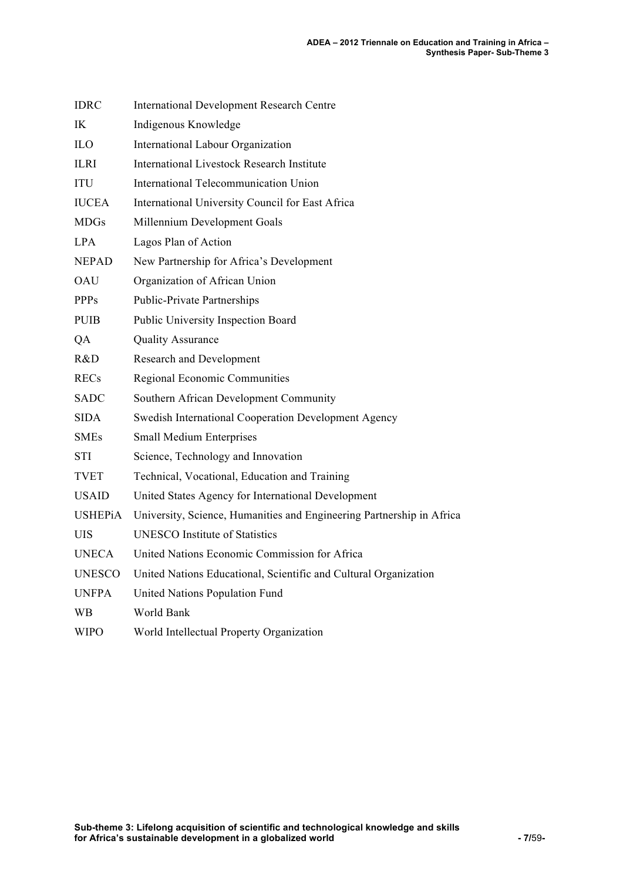| <b>IDRC</b>    | <b>International Development Research Centre</b>                      |
|----------------|-----------------------------------------------------------------------|
| IK             | Indigenous Knowledge                                                  |
| ILO            | International Labour Organization                                     |
| <b>ILRI</b>    | <b>International Livestock Research Institute</b>                     |
| <b>ITU</b>     | International Telecommunication Union                                 |
| <b>IUCEA</b>   | International University Council for East Africa                      |
| <b>MDGs</b>    | Millennium Development Goals                                          |
| LPA.           | Lagos Plan of Action                                                  |
| <b>NEPAD</b>   | New Partnership for Africa's Development                              |
| <b>OAU</b>     | Organization of African Union                                         |
| <b>PPPs</b>    | Public-Private Partnerships                                           |
| <b>PUIB</b>    | Public University Inspection Board                                    |
| QA             | <b>Quality Assurance</b>                                              |
| R&D            | Research and Development                                              |
| <b>RECs</b>    | Regional Economic Communities                                         |
| <b>SADC</b>    | Southern African Development Community                                |
| <b>SIDA</b>    | Swedish International Cooperation Development Agency                  |
| <b>SMEs</b>    | <b>Small Medium Enterprises</b>                                       |
| <b>STI</b>     | Science, Technology and Innovation                                    |
| <b>TVET</b>    | Technical, Vocational, Education and Training                         |
| <b>USAID</b>   | United States Agency for International Development                    |
| <b>USHEPiA</b> | University, Science, Humanities and Engineering Partnership in Africa |
| UIS            | <b>UNESCO Institute of Statistics</b>                                 |
| <b>UNECA</b>   | United Nations Economic Commission for Africa                         |
| <b>UNESCO</b>  | United Nations Educational, Scientific and Cultural Organization      |
| <b>UNFPA</b>   | United Nations Population Fund                                        |
| WВ             | World Bank                                                            |
| <b>WIPO</b>    | World Intellectual Property Organization                              |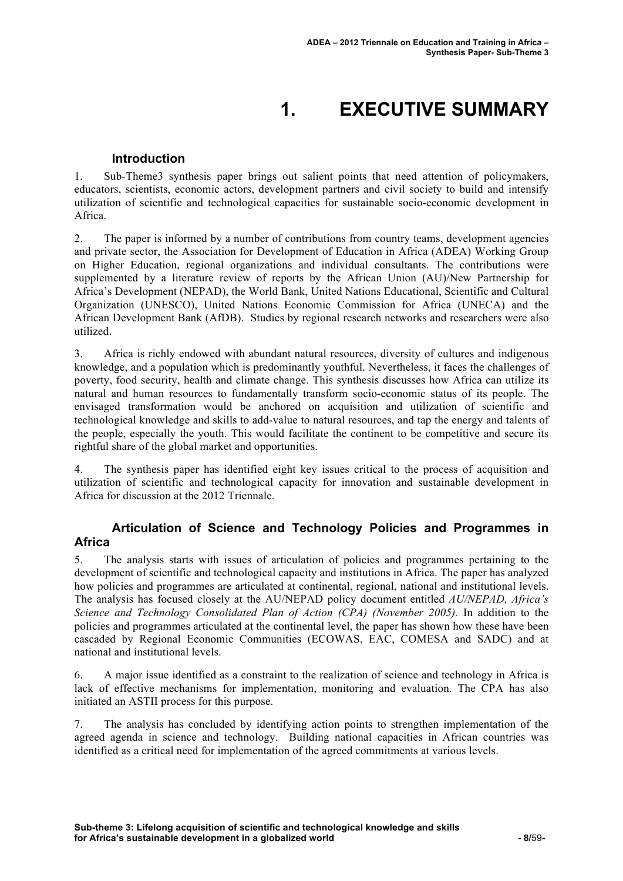# **1. EXECUTIVE SUMMARY**

#### **Introduction**

1. Sub-Theme3 synthesis paper brings out salient points that need attention of policymakers, educators, scientists, economic actors, development partners and civil society to build and intensify utilization of scientific and technological capacities for sustainable socio-economic development in Africa.

2. The paper is informed by a number of contributions from country teams, development agencies and private sector, the Association for Development of Education in Africa (ADEA) Working Group on Higher Education, regional organizations and individual consultants. The contributions were supplemented by a literature review of reports by the African Union (AU)/New Partnership for Africa's Development (NEPAD), the World Bank, United Nations Educational, Scientific and Cultural Organization (UNESCO), United Nations Economic Commission for Africa (UNECA) and the African Development Bank (AfDB). Studies by regional research networks and researchers were also utilized.

3. Africa is richly endowed with abundant natural resources, diversity of cultures and indigenous knowledge, and a population which is predominantly youthful. Nevertheless, it faces the challenges of poverty, food security, health and climate change. This synthesis discusses how Africa can utilize its natural and human resources to fundamentally transform socio-economic status of its people. The envisaged transformation would be anchored on acquisition and utilization of scientific and technological knowledge and skills to add-value to natural resources, and tap the energy and talents of the people, especially the youth. This would facilitate the continent to be competitive and secure its rightful share of the global market and opportunities.

4. The synthesis paper has identified eight key issues critical to the process of acquisition and utilization of scientific and technological capacity for innovation and sustainable development in Africa for discussion at the 2012 Triennale.

#### **Articulation of Science and Technology Policies and Programmes in Africa**

5. The analysis starts with issues of articulation of policies and programmes pertaining to the development of scientific and technological capacity and institutions in Africa. The paper has analyzed how policies and programmes are articulated at continental, regional, national and institutional levels. The analysis has focused closely at the AU/NEPAD policy document entitled *AU/NEPAD, Africa's Science and Technology Consolidated Plan of Action (CPA) (November 2005).* In addition to the policies and programmes articulated at the continental level, the paper has shown how these have been cascaded by Regional Economic Communities (ECOWAS, EAC, COMESA and SADC) and at national and institutional levels.

6. A major issue identified as a constraint to the realization of science and technology in Africa is lack of effective mechanisms for implementation, monitoring and evaluation. The CPA has also initiated an ASTII process for this purpose.

7. The analysis has concluded by identifying action points to strengthen implementation of the agreed agenda in science and technology. Building national capacities in African countries was identified as a critical need for implementation of the agreed commitments at various levels.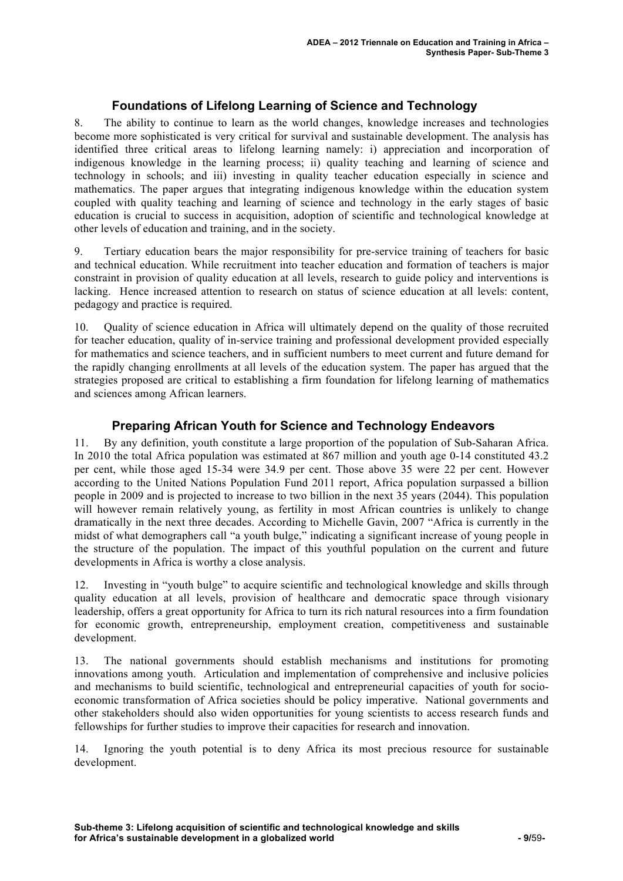#### **Foundations of Lifelong Learning of Science and Technology**

8. The ability to continue to learn as the world changes, knowledge increases and technologies become more sophisticated is very critical for survival and sustainable development. The analysis has identified three critical areas to lifelong learning namely: i) appreciation and incorporation of indigenous knowledge in the learning process; ii) quality teaching and learning of science and technology in schools; and iii) investing in quality teacher education especially in science and mathematics. The paper argues that integrating indigenous knowledge within the education system coupled with quality teaching and learning of science and technology in the early stages of basic education is crucial to success in acquisition, adoption of scientific and technological knowledge at other levels of education and training, and in the society.

9. Tertiary education bears the major responsibility for pre-service training of teachers for basic and technical education. While recruitment into teacher education and formation of teachers is major constraint in provision of quality education at all levels, research to guide policy and interventions is lacking. Hence increased attention to research on status of science education at all levels: content, pedagogy and practice is required.

10. Quality of science education in Africa will ultimately depend on the quality of those recruited for teacher education, quality of in-service training and professional development provided especially for mathematics and science teachers, and in sufficient numbers to meet current and future demand for the rapidly changing enrollments at all levels of the education system. The paper has argued that the strategies proposed are critical to establishing a firm foundation for lifelong learning of mathematics and sciences among African learners.

#### **Preparing African Youth for Science and Technology Endeavors**

11. By any definition, youth constitute a large proportion of the population of Sub-Saharan Africa. In 2010 the total Africa population was estimated at 867 million and youth age 0-14 constituted 43.2 per cent, while those aged 15-34 were 34.9 per cent. Those above 35 were 22 per cent. However according to the United Nations Population Fund 2011 report, Africa population surpassed a billion people in 2009 and is projected to increase to two billion in the next 35 years (2044). This population will however remain relatively young, as fertility in most African countries is unlikely to change dramatically in the next three decades. According to Michelle Gavin, 2007 "Africa is currently in the midst of what demographers call "a youth bulge," indicating a significant increase of young people in the structure of the population. The impact of this youthful population on the current and future developments in Africa is worthy a close analysis.

12. Investing in "youth bulge" to acquire scientific and technological knowledge and skills through quality education at all levels, provision of healthcare and democratic space through visionary leadership, offers a great opportunity for Africa to turn its rich natural resources into a firm foundation for economic growth, entrepreneurship, employment creation, competitiveness and sustainable development.

13. The national governments should establish mechanisms and institutions for promoting innovations among youth. Articulation and implementation of comprehensive and inclusive policies and mechanisms to build scientific, technological and entrepreneurial capacities of youth for socioeconomic transformation of Africa societies should be policy imperative. National governments and other stakeholders should also widen opportunities for young scientists to access research funds and fellowships for further studies to improve their capacities for research and innovation.

14. Ignoring the youth potential is to deny Africa its most precious resource for sustainable development.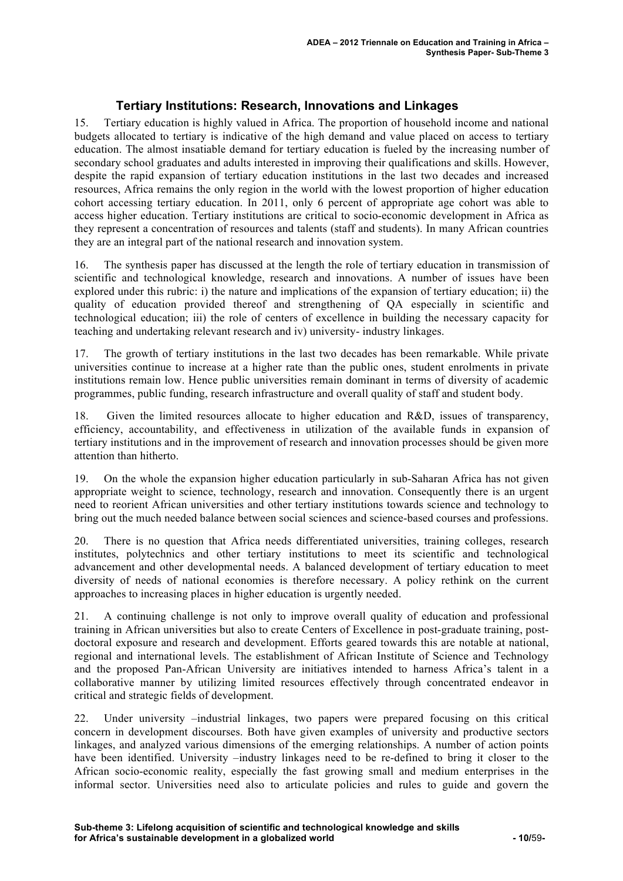#### **Tertiary Institutions: Research, Innovations and Linkages**

15. Tertiary education is highly valued in Africa. The proportion of household income and national budgets allocated to tertiary is indicative of the high demand and value placed on access to tertiary education. The almost insatiable demand for tertiary education is fueled by the increasing number of secondary school graduates and adults interested in improving their qualifications and skills. However, despite the rapid expansion of tertiary education institutions in the last two decades and increased resources, Africa remains the only region in the world with the lowest proportion of higher education cohort accessing tertiary education. In 2011, only 6 percent of appropriate age cohort was able to access higher education. Tertiary institutions are critical to socio-economic development in Africa as they represent a concentration of resources and talents (staff and students). In many African countries they are an integral part of the national research and innovation system.

16. The synthesis paper has discussed at the length the role of tertiary education in transmission of scientific and technological knowledge, research and innovations. A number of issues have been explored under this rubric: i) the nature and implications of the expansion of tertiary education; ii) the quality of education provided thereof and strengthening of QA especially in scientific and technological education; iii) the role of centers of excellence in building the necessary capacity for teaching and undertaking relevant research and iv) university- industry linkages.

17. The growth of tertiary institutions in the last two decades has been remarkable. While private universities continue to increase at a higher rate than the public ones, student enrolments in private institutions remain low. Hence public universities remain dominant in terms of diversity of academic programmes, public funding, research infrastructure and overall quality of staff and student body.

18. Given the limited resources allocate to higher education and R&D, issues of transparency, efficiency, accountability, and effectiveness in utilization of the available funds in expansion of tertiary institutions and in the improvement of research and innovation processes should be given more attention than hitherto.

19. On the whole the expansion higher education particularly in sub-Saharan Africa has not given appropriate weight to science, technology, research and innovation. Consequently there is an urgent need to reorient African universities and other tertiary institutions towards science and technology to bring out the much needed balance between social sciences and science-based courses and professions.

20. There is no question that Africa needs differentiated universities, training colleges, research institutes, polytechnics and other tertiary institutions to meet its scientific and technological advancement and other developmental needs. A balanced development of tertiary education to meet diversity of needs of national economies is therefore necessary. A policy rethink on the current approaches to increasing places in higher education is urgently needed.

21. A continuing challenge is not only to improve overall quality of education and professional training in African universities but also to create Centers of Excellence in post-graduate training, postdoctoral exposure and research and development. Efforts geared towards this are notable at national, regional and international levels. The establishment of African Institute of Science and Technology and the proposed Pan-African University are initiatives intended to harness Africa's talent in a collaborative manner by utilizing limited resources effectively through concentrated endeavor in critical and strategic fields of development.

22. Under university –industrial linkages, two papers were prepared focusing on this critical concern in development discourses. Both have given examples of university and productive sectors linkages, and analyzed various dimensions of the emerging relationships. A number of action points have been identified. University –industry linkages need to be re-defined to bring it closer to the African socio-economic reality, especially the fast growing small and medium enterprises in the informal sector. Universities need also to articulate policies and rules to guide and govern the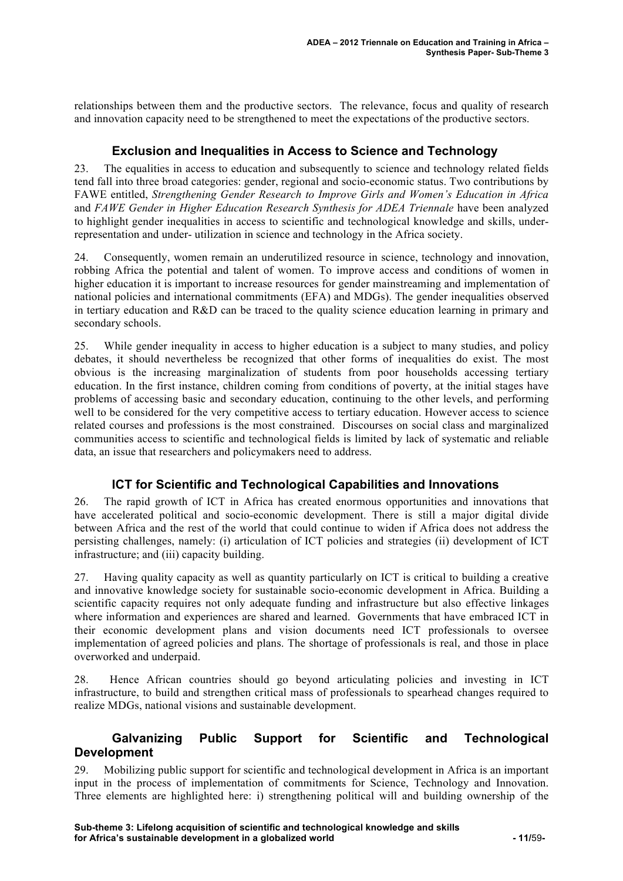relationships between them and the productive sectors. The relevance, focus and quality of research and innovation capacity need to be strengthened to meet the expectations of the productive sectors.

#### **Exclusion and Inequalities in Access to Science and Technology**

23. The equalities in access to education and subsequently to science and technology related fields tend fall into three broad categories: gender, regional and socio-economic status. Two contributions by FAWE entitled, *Strengthening Gender Research to Improve Girls and Women's Education in Africa*  and *FAWE Gender in Higher Education Research Synthesis for ADEA Triennale* have been analyzed to highlight gender inequalities in access to scientific and technological knowledge and skills, underrepresentation and under- utilization in science and technology in the Africa society.

24. Consequently, women remain an underutilized resource in science, technology and innovation, robbing Africa the potential and talent of women. To improve access and conditions of women in higher education it is important to increase resources for gender mainstreaming and implementation of national policies and international commitments (EFA) and MDGs). The gender inequalities observed in tertiary education and R&D can be traced to the quality science education learning in primary and secondary schools.

25. While gender inequality in access to higher education is a subject to many studies, and policy debates, it should nevertheless be recognized that other forms of inequalities do exist. The most obvious is the increasing marginalization of students from poor households accessing tertiary education. In the first instance, children coming from conditions of poverty, at the initial stages have problems of accessing basic and secondary education, continuing to the other levels, and performing well to be considered for the very competitive access to tertiary education. However access to science related courses and professions is the most constrained. Discourses on social class and marginalized communities access to scientific and technological fields is limited by lack of systematic and reliable data, an issue that researchers and policymakers need to address.

#### **ICT for Scientific and Technological Capabilities and Innovations**

26. The rapid growth of ICT in Africa has created enormous opportunities and innovations that have accelerated political and socio-economic development. There is still a major digital divide between Africa and the rest of the world that could continue to widen if Africa does not address the persisting challenges, namely: (i) articulation of ICT policies and strategies (ii) development of ICT infrastructure; and (iii) capacity building.

27. Having quality capacity as well as quantity particularly on ICT is critical to building a creative and innovative knowledge society for sustainable socio-economic development in Africa. Building a scientific capacity requires not only adequate funding and infrastructure but also effective linkages where information and experiences are shared and learned. Governments that have embraced ICT in their economic development plans and vision documents need ICT professionals to oversee implementation of agreed policies and plans. The shortage of professionals is real, and those in place overworked and underpaid.

28. Hence African countries should go beyond articulating policies and investing in ICT infrastructure, to build and strengthen critical mass of professionals to spearhead changes required to realize MDGs, national visions and sustainable development.

#### **Galvanizing Public Support for Scientific and Technological Development**

29. Mobilizing public support for scientific and technological development in Africa is an important input in the process of implementation of commitments for Science, Technology and Innovation. Three elements are highlighted here: i) strengthening political will and building ownership of the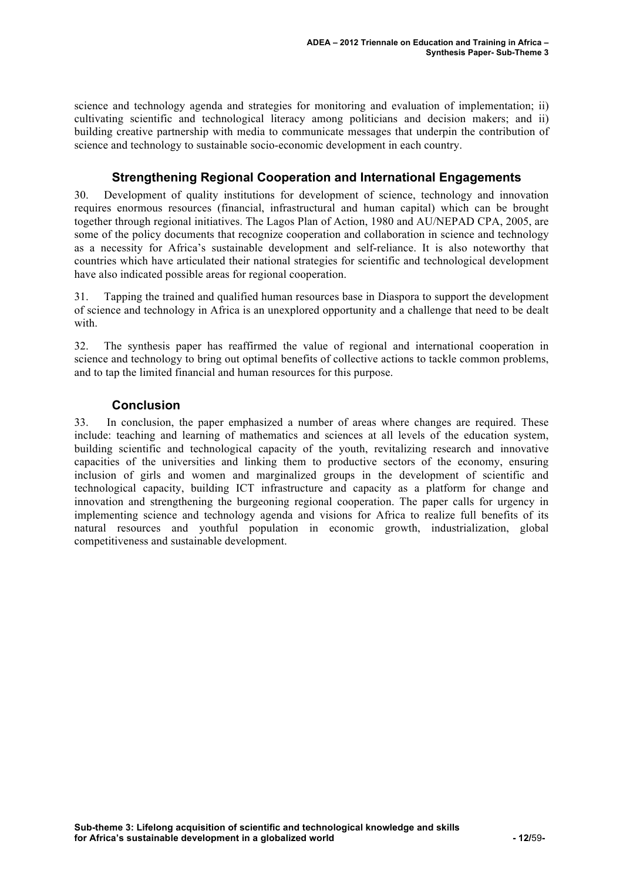science and technology agenda and strategies for monitoring and evaluation of implementation; ii) cultivating scientific and technological literacy among politicians and decision makers; and ii) building creative partnership with media to communicate messages that underpin the contribution of science and technology to sustainable socio-economic development in each country.

#### **Strengthening Regional Cooperation and International Engagements**

30. Development of quality institutions for development of science, technology and innovation requires enormous resources (financial, infrastructural and human capital) which can be brought together through regional initiatives. The Lagos Plan of Action, 1980 and AU/NEPAD CPA, 2005, are some of the policy documents that recognize cooperation and collaboration in science and technology as a necessity for Africa's sustainable development and self-reliance. It is also noteworthy that countries which have articulated their national strategies for scientific and technological development have also indicated possible areas for regional cooperation.

31. Tapping the trained and qualified human resources base in Diaspora to support the development of science and technology in Africa is an unexplored opportunity and a challenge that need to be dealt with.

32. The synthesis paper has reaffirmed the value of regional and international cooperation in science and technology to bring out optimal benefits of collective actions to tackle common problems, and to tap the limited financial and human resources for this purpose.

#### **Conclusion**

33. In conclusion, the paper emphasized a number of areas where changes are required. These include: teaching and learning of mathematics and sciences at all levels of the education system, building scientific and technological capacity of the youth, revitalizing research and innovative capacities of the universities and linking them to productive sectors of the economy, ensuring inclusion of girls and women and marginalized groups in the development of scientific and technological capacity, building ICT infrastructure and capacity as a platform for change and innovation and strengthening the burgeoning regional cooperation. The paper calls for urgency in implementing science and technology agenda and visions for Africa to realize full benefits of its natural resources and youthful population in economic growth, industrialization, global competitiveness and sustainable development.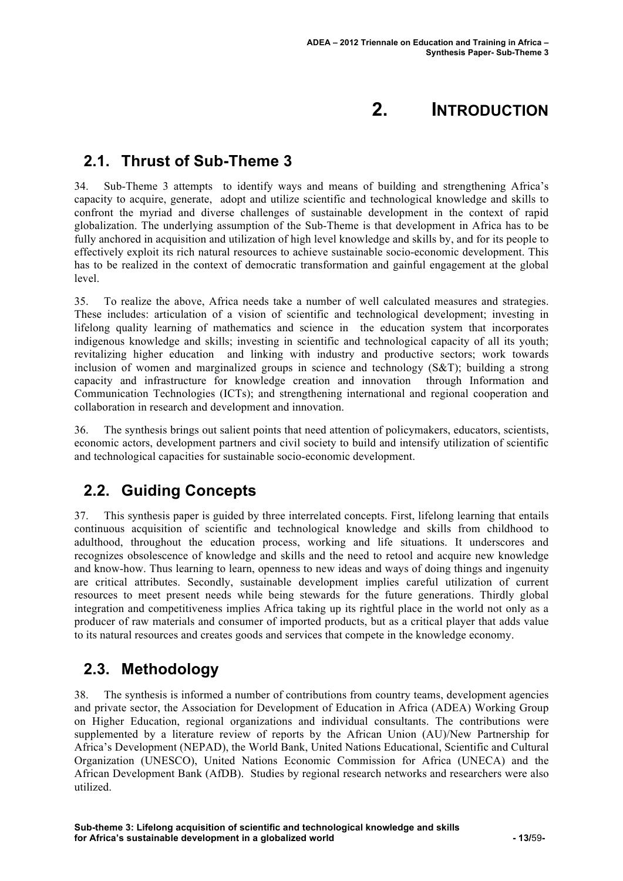## **2. INTRODUCTION**

### **2.1. Thrust of Sub-Theme 3**

34. Sub-Theme 3 attempts to identify ways and means of building and strengthening Africa's capacity to acquire, generate, adopt and utilize scientific and technological knowledge and skills to confront the myriad and diverse challenges of sustainable development in the context of rapid globalization. The underlying assumption of the Sub-Theme is that development in Africa has to be fully anchored in acquisition and utilization of high level knowledge and skills by, and for its people to effectively exploit its rich natural resources to achieve sustainable socio-economic development. This has to be realized in the context of democratic transformation and gainful engagement at the global level.

35. To realize the above, Africa needs take a number of well calculated measures and strategies. These includes: articulation of a vision of scientific and technological development; investing in lifelong quality learning of mathematics and science in the education system that incorporates indigenous knowledge and skills; investing in scientific and technological capacity of all its youth; revitalizing higher education and linking with industry and productive sectors; work towards inclusion of women and marginalized groups in science and technology  $(S\&T)$ ; building a strong capacity and infrastructure for knowledge creation and innovation through Information and Communication Technologies (ICTs); and strengthening international and regional cooperation and collaboration in research and development and innovation.

36. The synthesis brings out salient points that need attention of policymakers, educators, scientists, economic actors, development partners and civil society to build and intensify utilization of scientific and technological capacities for sustainable socio-economic development.

## **2.2. Guiding Concepts**

37. This synthesis paper is guided by three interrelated concepts. First, lifelong learning that entails continuous acquisition of scientific and technological knowledge and skills from childhood to adulthood, throughout the education process, working and life situations. It underscores and recognizes obsolescence of knowledge and skills and the need to retool and acquire new knowledge and know-how. Thus learning to learn, openness to new ideas and ways of doing things and ingenuity are critical attributes. Secondly, sustainable development implies careful utilization of current resources to meet present needs while being stewards for the future generations. Thirdly global integration and competitiveness implies Africa taking up its rightful place in the world not only as a producer of raw materials and consumer of imported products, but as a critical player that adds value to its natural resources and creates goods and services that compete in the knowledge economy.

### **2.3. Methodology**

38. The synthesis is informed a number of contributions from country teams, development agencies and private sector, the Association for Development of Education in Africa (ADEA) Working Group on Higher Education, regional organizations and individual consultants. The contributions were supplemented by a literature review of reports by the African Union (AU)/New Partnership for Africa's Development (NEPAD), the World Bank, United Nations Educational, Scientific and Cultural Organization (UNESCO), United Nations Economic Commission for Africa (UNECA) and the African Development Bank (AfDB). Studies by regional research networks and researchers were also utilized.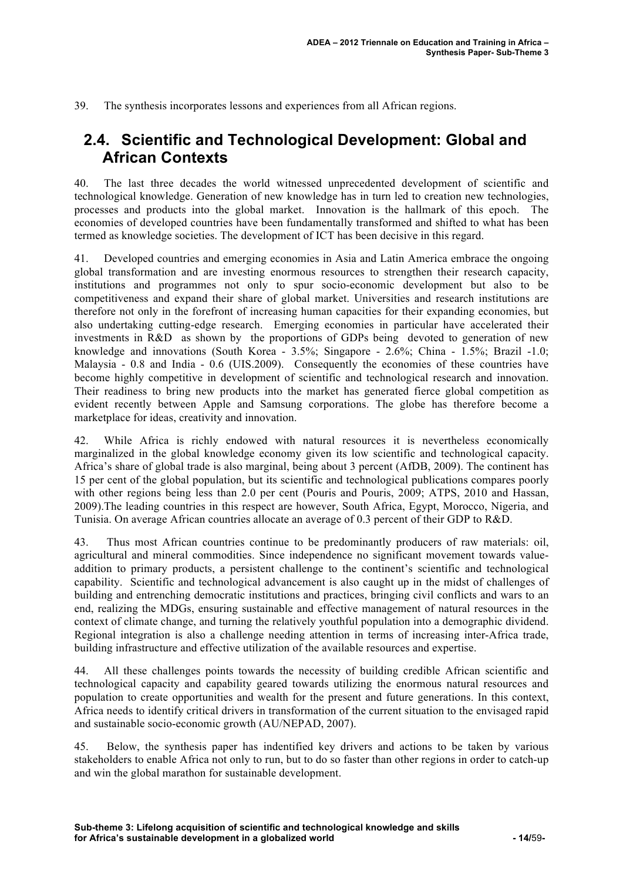39. The synthesis incorporates lessons and experiences from all African regions.

### **2.4. Scientific and Technological Development: Global and African Contexts**

40. The last three decades the world witnessed unprecedented development of scientific and technological knowledge. Generation of new knowledge has in turn led to creation new technologies, processes and products into the global market. Innovation is the hallmark of this epoch. The economies of developed countries have been fundamentally transformed and shifted to what has been termed as knowledge societies. The development of ICT has been decisive in this regard.

41. Developed countries and emerging economies in Asia and Latin America embrace the ongoing global transformation and are investing enormous resources to strengthen their research capacity, institutions and programmes not only to spur socio-economic development but also to be competitiveness and expand their share of global market. Universities and research institutions are therefore not only in the forefront of increasing human capacities for their expanding economies, but also undertaking cutting-edge research. Emerging economies in particular have accelerated their investments in R&D as shown by the proportions of GDPs being devoted to generation of new knowledge and innovations (South Korea - 3.5%; Singapore - 2.6%; China - 1.5%; Brazil -1.0; Malaysia - 0.8 and India - 0.6 (UIS.2009). Consequently the economies of these countries have become highly competitive in development of scientific and technological research and innovation. Their readiness to bring new products into the market has generated fierce global competition as evident recently between Apple and Samsung corporations. The globe has therefore become a marketplace for ideas, creativity and innovation.

42. While Africa is richly endowed with natural resources it is nevertheless economically marginalized in the global knowledge economy given its low scientific and technological capacity. Africa's share of global trade is also marginal, being about 3 percent (AfDB, 2009). The continent has 15 per cent of the global population, but its scientific and technological publications compares poorly with other regions being less than 2.0 per cent (Pouris and Pouris, 2009; ATPS, 2010 and Hassan, 2009).The leading countries in this respect are however, South Africa, Egypt, Morocco, Nigeria, and Tunisia. On average African countries allocate an average of 0.3 percent of their GDP to R&D.

43. Thus most African countries continue to be predominantly producers of raw materials: oil, agricultural and mineral commodities. Since independence no significant movement towards valueaddition to primary products, a persistent challenge to the continent's scientific and technological capability. Scientific and technological advancement is also caught up in the midst of challenges of building and entrenching democratic institutions and practices, bringing civil conflicts and wars to an end, realizing the MDGs, ensuring sustainable and effective management of natural resources in the context of climate change, and turning the relatively youthful population into a demographic dividend. Regional integration is also a challenge needing attention in terms of increasing inter-Africa trade, building infrastructure and effective utilization of the available resources and expertise.

44. All these challenges points towards the necessity of building credible African scientific and technological capacity and capability geared towards utilizing the enormous natural resources and population to create opportunities and wealth for the present and future generations. In this context, Africa needs to identify critical drivers in transformation of the current situation to the envisaged rapid and sustainable socio-economic growth (AU/NEPAD, 2007).

45. Below, the synthesis paper has indentified key drivers and actions to be taken by various stakeholders to enable Africa not only to run, but to do so faster than other regions in order to catch-up and win the global marathon for sustainable development.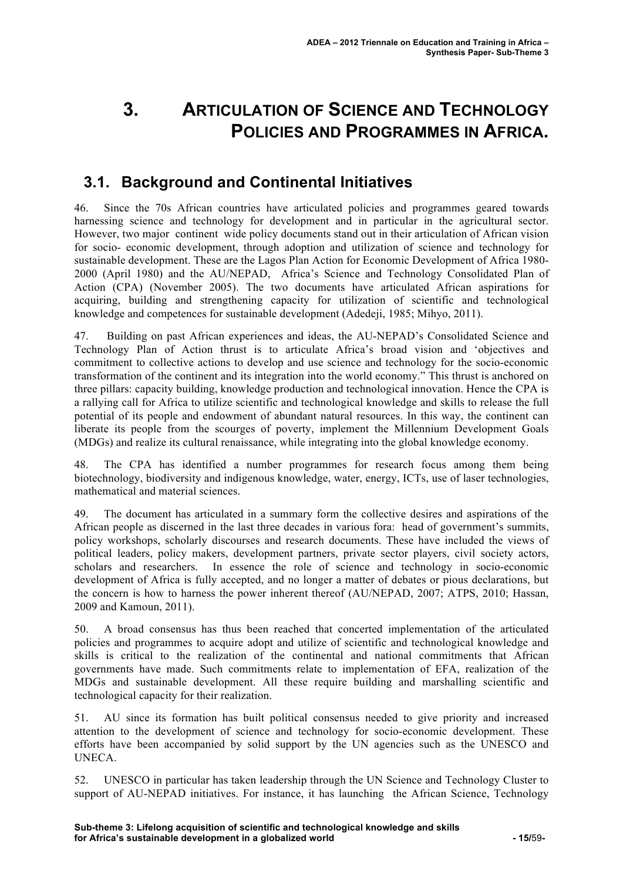# **3. ARTICULATION OF SCIENCE AND TECHNOLOGY POLICIES AND PROGRAMMES IN AFRICA.**

## **3.1. Background and Continental Initiatives**

46. Since the 70s African countries have articulated policies and programmes geared towards harnessing science and technology for development and in particular in the agricultural sector. However, two major continent wide policy documents stand out in their articulation of African vision for socio- economic development, through adoption and utilization of science and technology for sustainable development. These are the Lagos Plan Action for Economic Development of Africa 1980- 2000 (April 1980) and the AU/NEPAD, Africa's Science and Technology Consolidated Plan of Action (CPA) (November 2005). The two documents have articulated African aspirations for acquiring, building and strengthening capacity for utilization of scientific and technological knowledge and competences for sustainable development (Adedeji, 1985; Mihyo, 2011).

47. Building on past African experiences and ideas, the AU-NEPAD's Consolidated Science and Technology Plan of Action thrust is to articulate Africa's broad vision and 'objectives and commitment to collective actions to develop and use science and technology for the socio-economic transformation of the continent and its integration into the world economy." This thrust is anchored on three pillars: capacity building, knowledge production and technological innovation. Hence the CPA is a rallying call for Africa to utilize scientific and technological knowledge and skills to release the full potential of its people and endowment of abundant natural resources. In this way, the continent can liberate its people from the scourges of poverty, implement the Millennium Development Goals (MDGs) and realize its cultural renaissance, while integrating into the global knowledge economy.

48. The CPA has identified a number programmes for research focus among them being biotechnology, biodiversity and indigenous knowledge, water, energy, ICTs, use of laser technologies, mathematical and material sciences.

49. The document has articulated in a summary form the collective desires and aspirations of the African people as discerned in the last three decades in various fora: head of government's summits, policy workshops, scholarly discourses and research documents. These have included the views of political leaders, policy makers, development partners, private sector players, civil society actors, scholars and researchers. In essence the role of science and technology in socio-economic development of Africa is fully accepted, and no longer a matter of debates or pious declarations, but the concern is how to harness the power inherent thereof (AU/NEPAD, 2007; ATPS, 2010; Hassan, 2009 and Kamoun, 2011).

50. A broad consensus has thus been reached that concerted implementation of the articulated policies and programmes to acquire adopt and utilize of scientific and technological knowledge and skills is critical to the realization of the continental and national commitments that African governments have made. Such commitments relate to implementation of EFA, realization of the MDGs and sustainable development. All these require building and marshalling scientific and technological capacity for their realization.

51. AU since its formation has built political consensus needed to give priority and increased attention to the development of science and technology for socio-economic development. These efforts have been accompanied by solid support by the UN agencies such as the UNESCO and UNECA.

52. UNESCO in particular has taken leadership through the UN Science and Technology Cluster to support of AU-NEPAD initiatives. For instance, it has launching the African Science, Technology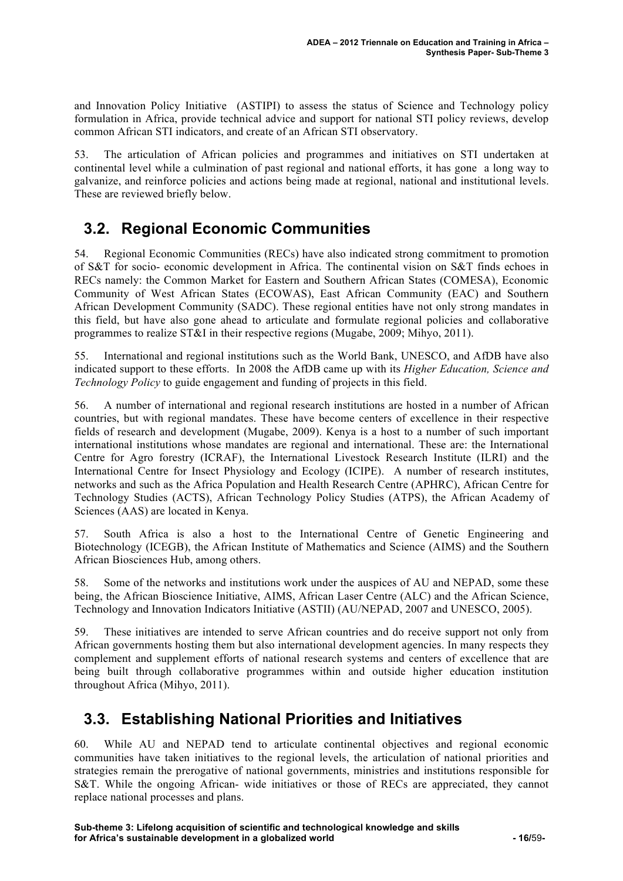and Innovation Policy Initiative (ASTIPI) to assess the status of Science and Technology policy formulation in Africa, provide technical advice and support for national STI policy reviews, develop common African STI indicators, and create of an African STI observatory.

53. The articulation of African policies and programmes and initiatives on STI undertaken at continental level while a culmination of past regional and national efforts, it has gone a long way to galvanize, and reinforce policies and actions being made at regional, national and institutional levels. These are reviewed briefly below.

## **3.2. Regional Economic Communities**

54. Regional Economic Communities (RECs) have also indicated strong commitment to promotion of S&T for socio- economic development in Africa. The continental vision on S&T finds echoes in RECs namely: the Common Market for Eastern and Southern African States (COMESA), Economic Community of West African States (ECOWAS), East African Community (EAC) and Southern African Development Community (SADC). These regional entities have not only strong mandates in this field, but have also gone ahead to articulate and formulate regional policies and collaborative programmes to realize ST&I in their respective regions (Mugabe, 2009; Mihyo, 2011).

55. International and regional institutions such as the World Bank, UNESCO, and AfDB have also indicated support to these efforts. In 2008 the AfDB came up with its *Higher Education, Science and Technology Policy* to guide engagement and funding of projects in this field.

56. A number of international and regional research institutions are hosted in a number of African countries, but with regional mandates. These have become centers of excellence in their respective fields of research and development (Mugabe, 2009). Kenya is a host to a number of such important international institutions whose mandates are regional and international. These are: the International Centre for Agro forestry (ICRAF), the International Livestock Research Institute (ILRI) and the International Centre for Insect Physiology and Ecology (ICIPE). A number of research institutes, networks and such as the Africa Population and Health Research Centre (APHRC), African Centre for Technology Studies (ACTS), African Technology Policy Studies (ATPS), the African Academy of Sciences (AAS) are located in Kenya.

57. South Africa is also a host to the International Centre of Genetic Engineering and Biotechnology (ICEGB), the African Institute of Mathematics and Science (AIMS) and the Southern African Biosciences Hub, among others.

58. Some of the networks and institutions work under the auspices of AU and NEPAD, some these being, the African Bioscience Initiative, AIMS, African Laser Centre (ALC) and the African Science, Technology and Innovation Indicators Initiative (ASTII) (AU/NEPAD, 2007 and UNESCO, 2005).

59. These initiatives are intended to serve African countries and do receive support not only from African governments hosting them but also international development agencies. In many respects they complement and supplement efforts of national research systems and centers of excellence that are being built through collaborative programmes within and outside higher education institution throughout Africa (Mihyo, 2011).

## **3.3. Establishing National Priorities and Initiatives**

60. While AU and NEPAD tend to articulate continental objectives and regional economic communities have taken initiatives to the regional levels, the articulation of national priorities and strategies remain the prerogative of national governments, ministries and institutions responsible for S&T. While the ongoing African- wide initiatives or those of RECs are appreciated, they cannot replace national processes and plans.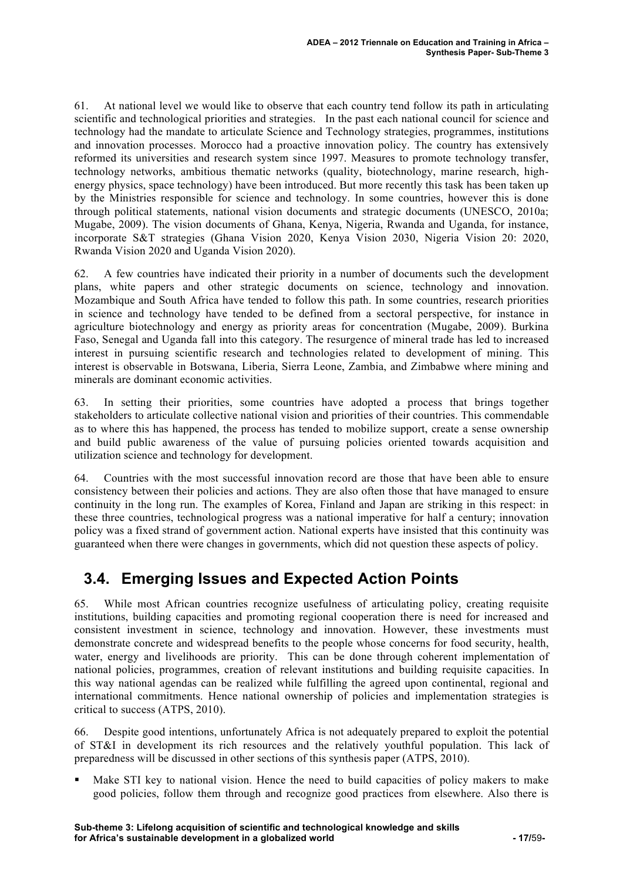61. At national level we would like to observe that each country tend follow its path in articulating scientific and technological priorities and strategies. In the past each national council for science and technology had the mandate to articulate Science and Technology strategies, programmes, institutions and innovation processes. Morocco had a proactive innovation policy. The country has extensively reformed its universities and research system since 1997. Measures to promote technology transfer, technology networks, ambitious thematic networks (quality, biotechnology, marine research, highenergy physics, space technology) have been introduced. But more recently this task has been taken up by the Ministries responsible for science and technology. In some countries, however this is done through political statements, national vision documents and strategic documents (UNESCO, 2010a; Mugabe, 2009). The vision documents of Ghana, Kenya, Nigeria, Rwanda and Uganda, for instance, incorporate S&T strategies (Ghana Vision 2020, Kenya Vision 2030, Nigeria Vision 20: 2020, Rwanda Vision 2020 and Uganda Vision 2020).

62. A few countries have indicated their priority in a number of documents such the development plans, white papers and other strategic documents on science, technology and innovation. Mozambique and South Africa have tended to follow this path. In some countries, research priorities in science and technology have tended to be defined from a sectoral perspective, for instance in agriculture biotechnology and energy as priority areas for concentration (Mugabe, 2009). Burkina Faso, Senegal and Uganda fall into this category. The resurgence of mineral trade has led to increased interest in pursuing scientific research and technologies related to development of mining. This interest is observable in Botswana, Liberia, Sierra Leone, Zambia, and Zimbabwe where mining and minerals are dominant economic activities.

63. In setting their priorities, some countries have adopted a process that brings together stakeholders to articulate collective national vision and priorities of their countries. This commendable as to where this has happened, the process has tended to mobilize support, create a sense ownership and build public awareness of the value of pursuing policies oriented towards acquisition and utilization science and technology for development.

64. Countries with the most successful innovation record are those that have been able to ensure consistency between their policies and actions. They are also often those that have managed to ensure continuity in the long run. The examples of Korea, Finland and Japan are striking in this respect: in these three countries, technological progress was a national imperative for half a century; innovation policy was a fixed strand of government action. National experts have insisted that this continuity was guaranteed when there were changes in governments, which did not question these aspects of policy.

## **3.4. Emerging Issues and Expected Action Points**

65. While most African countries recognize usefulness of articulating policy, creating requisite institutions, building capacities and promoting regional cooperation there is need for increased and consistent investment in science, technology and innovation. However, these investments must demonstrate concrete and widespread benefits to the people whose concerns for food security, health, water, energy and livelihoods are priority. This can be done through coherent implementation of national policies, programmes, creation of relevant institutions and building requisite capacities. In this way national agendas can be realized while fulfilling the agreed upon continental, regional and international commitments. Hence national ownership of policies and implementation strategies is critical to success (ATPS, 2010).

66. Despite good intentions, unfortunately Africa is not adequately prepared to exploit the potential of ST&I in development its rich resources and the relatively youthful population. This lack of preparedness will be discussed in other sections of this synthesis paper (ATPS, 2010).

 Make STI key to national vision. Hence the need to build capacities of policy makers to make good policies, follow them through and recognize good practices from elsewhere. Also there is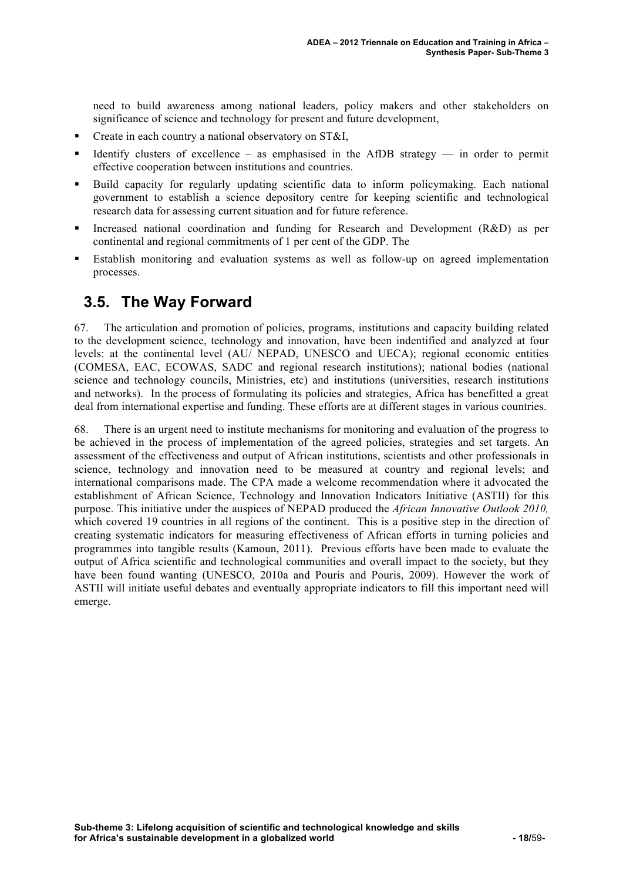need to build awareness among national leaders, policy makers and other stakeholders on significance of science and technology for present and future development,

- Create in each country a national observatory on ST&I,
- Identify clusters of excellence as emphasised in the AfDB strategy in order to permit effective cooperation between institutions and countries.
- Build capacity for regularly updating scientific data to inform policymaking. Each national government to establish a science depository centre for keeping scientific and technological research data for assessing current situation and for future reference.
- Increased national coordination and funding for Research and Development (R&D) as per continental and regional commitments of 1 per cent of the GDP. The
- Establish monitoring and evaluation systems as well as follow-up on agreed implementation processes.

### **3.5. The Way Forward**

67. The articulation and promotion of policies, programs, institutions and capacity building related to the development science, technology and innovation, have been indentified and analyzed at four levels: at the continental level (AU/ NEPAD, UNESCO and UECA); regional economic entities (COMESA, EAC, ECOWAS, SADC and regional research institutions); national bodies (national science and technology councils, Ministries, etc) and institutions (universities, research institutions and networks). In the process of formulating its policies and strategies, Africa has benefitted a great deal from international expertise and funding. These efforts are at different stages in various countries.

68. There is an urgent need to institute mechanisms for monitoring and evaluation of the progress to be achieved in the process of implementation of the agreed policies, strategies and set targets. An assessment of the effectiveness and output of African institutions, scientists and other professionals in science, technology and innovation need to be measured at country and regional levels; and international comparisons made. The CPA made a welcome recommendation where it advocated the establishment of African Science, Technology and Innovation Indicators Initiative (ASTII) for this purpose. This initiative under the auspices of NEPAD produced the *African Innovative Outlook 2010,* which covered 19 countries in all regions of the continent. This is a positive step in the direction of creating systematic indicators for measuring effectiveness of African efforts in turning policies and programmes into tangible results (Kamoun, 2011). Previous efforts have been made to evaluate the output of Africa scientific and technological communities and overall impact to the society, but they have been found wanting (UNESCO, 2010a and Pouris and Pouris, 2009). However the work of ASTII will initiate useful debates and eventually appropriate indicators to fill this important need will emerge.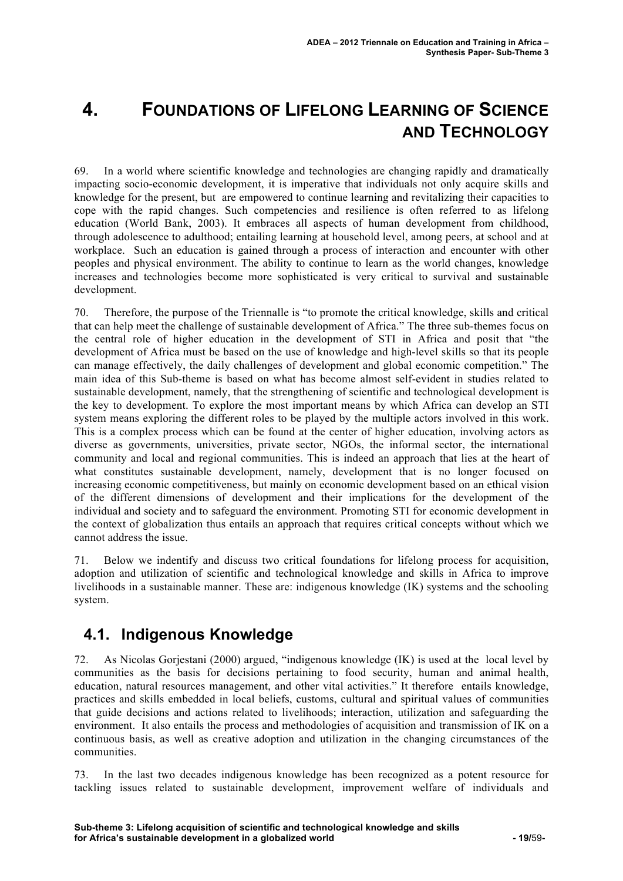# **4. FOUNDATIONS OF LIFELONG LEARNING OF SCIENCE AND TECHNOLOGY**

69. In a world where scientific knowledge and technologies are changing rapidly and dramatically impacting socio-economic development, it is imperative that individuals not only acquire skills and knowledge for the present, but are empowered to continue learning and revitalizing their capacities to cope with the rapid changes. Such competencies and resilience is often referred to as lifelong education (World Bank, 2003). It embraces all aspects of human development from childhood, through adolescence to adulthood; entailing learning at household level, among peers, at school and at workplace. Such an education is gained through a process of interaction and encounter with other peoples and physical environment. The ability to continue to learn as the world changes, knowledge increases and technologies become more sophisticated is very critical to survival and sustainable development.

70. Therefore, the purpose of the Triennalle is "to promote the critical knowledge, skills and critical that can help meet the challenge of sustainable development of Africa." The three sub-themes focus on the central role of higher education in the development of STI in Africa and posit that "the development of Africa must be based on the use of knowledge and high-level skills so that its people can manage effectively, the daily challenges of development and global economic competition." The main idea of this Sub-theme is based on what has become almost self-evident in studies related to sustainable development, namely, that the strengthening of scientific and technological development is the key to development. To explore the most important means by which Africa can develop an STI system means exploring the different roles to be played by the multiple actors involved in this work. This is a complex process which can be found at the center of higher education, involving actors as diverse as governments, universities, private sector, NGOs, the informal sector, the international community and local and regional communities. This is indeed an approach that lies at the heart of what constitutes sustainable development, namely, development that is no longer focused on increasing economic competitiveness, but mainly on economic development based on an ethical vision of the different dimensions of development and their implications for the development of the individual and society and to safeguard the environment. Promoting STI for economic development in the context of globalization thus entails an approach that requires critical concepts without which we cannot address the issue.

71. Below we indentify and discuss two critical foundations for lifelong process for acquisition, adoption and utilization of scientific and technological knowledge and skills in Africa to improve livelihoods in a sustainable manner. These are: indigenous knowledge (IK) systems and the schooling system.

## **4.1. Indigenous Knowledge**

72. As Nicolas Gorjestani (2000) argued, "indigenous knowledge (IK) is used at the local level by communities as the basis for decisions pertaining to food security, human and animal health, education, natural resources management, and other vital activities." It therefore entails knowledge, practices and skills embedded in local beliefs, customs, cultural and spiritual values of communities that guide decisions and actions related to livelihoods; interaction, utilization and safeguarding the environment. It also entails the process and methodologies of acquisition and transmission of IK on a continuous basis, as well as creative adoption and utilization in the changing circumstances of the communities.

73. In the last two decades indigenous knowledge has been recognized as a potent resource for tackling issues related to sustainable development, improvement welfare of individuals and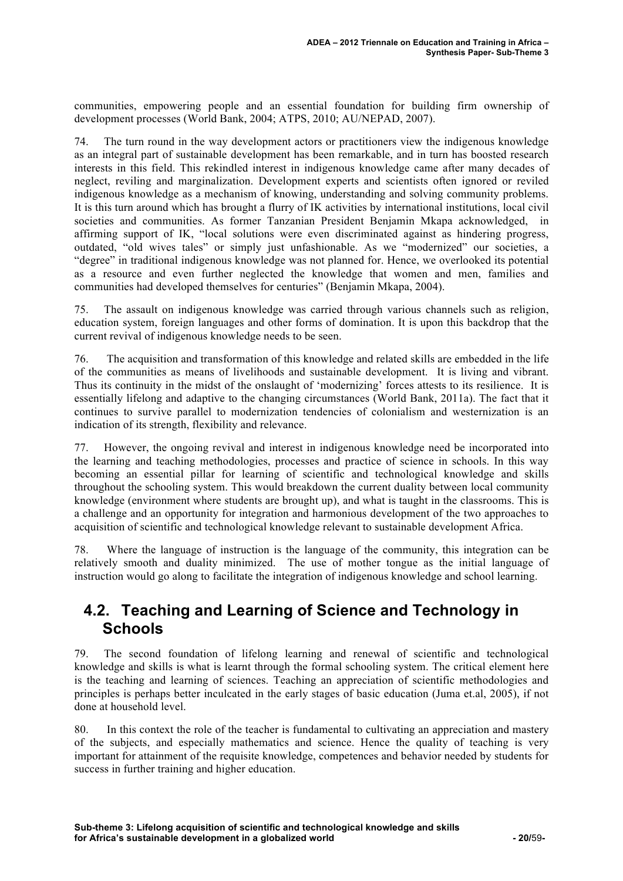communities, empowering people and an essential foundation for building firm ownership of development processes (World Bank, 2004; ATPS, 2010; AU/NEPAD, 2007).

74. The turn round in the way development actors or practitioners view the indigenous knowledge as an integral part of sustainable development has been remarkable, and in turn has boosted research interests in this field. This rekindled interest in indigenous knowledge came after many decades of neglect, reviling and marginalization. Development experts and scientists often ignored or reviled indigenous knowledge as a mechanism of knowing, understanding and solving community problems. It is this turn around which has brought a flurry of IK activities by international institutions, local civil societies and communities. As former Tanzanian President Benjamin Mkapa acknowledged, in affirming support of IK, "local solutions were even discriminated against as hindering progress, outdated, "old wives tales" or simply just unfashionable. As we "modernized" our societies, a "degree" in traditional indigenous knowledge was not planned for. Hence, we overlooked its potential as a resource and even further neglected the knowledge that women and men, families and communities had developed themselves for centuries" (Benjamin Mkapa, 2004).

75. The assault on indigenous knowledge was carried through various channels such as religion, education system, foreign languages and other forms of domination. It is upon this backdrop that the current revival of indigenous knowledge needs to be seen.

76. The acquisition and transformation of this knowledge and related skills are embedded in the life of the communities as means of livelihoods and sustainable development. It is living and vibrant. Thus its continuity in the midst of the onslaught of 'modernizing' forces attests to its resilience. It is essentially lifelong and adaptive to the changing circumstances (World Bank, 2011a). The fact that it continues to survive parallel to modernization tendencies of colonialism and westernization is an indication of its strength, flexibility and relevance.

77. However, the ongoing revival and interest in indigenous knowledge need be incorporated into the learning and teaching methodologies, processes and practice of science in schools. In this way becoming an essential pillar for learning of scientific and technological knowledge and skills throughout the schooling system. This would breakdown the current duality between local community knowledge (environment where students are brought up), and what is taught in the classrooms. This is a challenge and an opportunity for integration and harmonious development of the two approaches to acquisition of scientific and technological knowledge relevant to sustainable development Africa.

78. Where the language of instruction is the language of the community, this integration can be relatively smooth and duality minimized. The use of mother tongue as the initial language of instruction would go along to facilitate the integration of indigenous knowledge and school learning.

### **4.2. Teaching and Learning of Science and Technology in Schools**

79. The second foundation of lifelong learning and renewal of scientific and technological knowledge and skills is what is learnt through the formal schooling system. The critical element here is the teaching and learning of sciences. Teaching an appreciation of scientific methodologies and principles is perhaps better inculcated in the early stages of basic education (Juma et.al, 2005), if not done at household level.

80. In this context the role of the teacher is fundamental to cultivating an appreciation and mastery of the subjects, and especially mathematics and science. Hence the quality of teaching is very important for attainment of the requisite knowledge, competences and behavior needed by students for success in further training and higher education.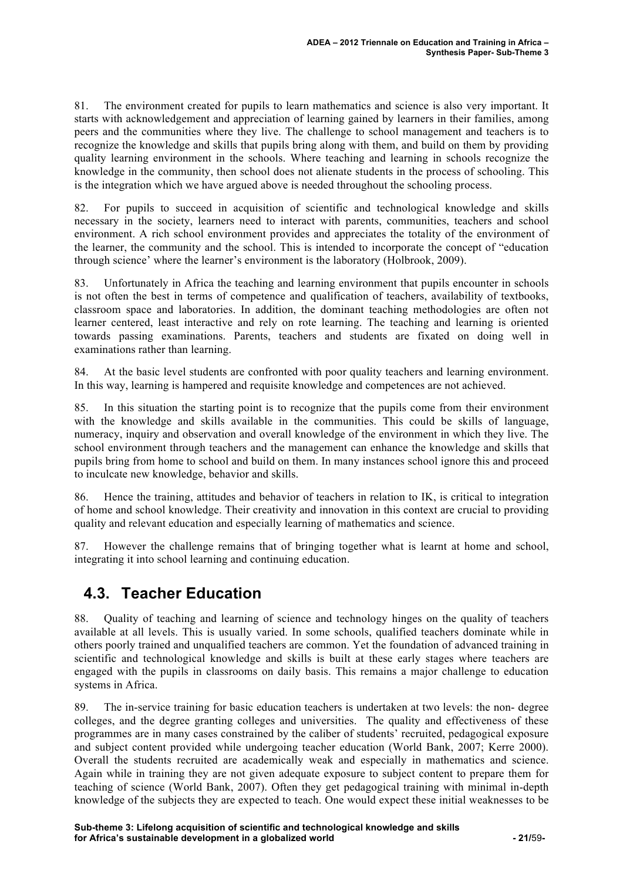81. The environment created for pupils to learn mathematics and science is also very important. It starts with acknowledgement and appreciation of learning gained by learners in their families, among peers and the communities where they live. The challenge to school management and teachers is to recognize the knowledge and skills that pupils bring along with them, and build on them by providing quality learning environment in the schools. Where teaching and learning in schools recognize the knowledge in the community, then school does not alienate students in the process of schooling. This is the integration which we have argued above is needed throughout the schooling process.

82. For pupils to succeed in acquisition of scientific and technological knowledge and skills necessary in the society, learners need to interact with parents, communities, teachers and school environment. A rich school environment provides and appreciates the totality of the environment of the learner, the community and the school. This is intended to incorporate the concept of "education through science' where the learner's environment is the laboratory (Holbrook, 2009).

83. Unfortunately in Africa the teaching and learning environment that pupils encounter in schools is not often the best in terms of competence and qualification of teachers, availability of textbooks, classroom space and laboratories. In addition, the dominant teaching methodologies are often not learner centered, least interactive and rely on rote learning. The teaching and learning is oriented towards passing examinations. Parents, teachers and students are fixated on doing well in examinations rather than learning.

84. At the basic level students are confronted with poor quality teachers and learning environment. In this way, learning is hampered and requisite knowledge and competences are not achieved.

85. In this situation the starting point is to recognize that the pupils come from their environment with the knowledge and skills available in the communities. This could be skills of language, numeracy, inquiry and observation and overall knowledge of the environment in which they live. The school environment through teachers and the management can enhance the knowledge and skills that pupils bring from home to school and build on them. In many instances school ignore this and proceed to inculcate new knowledge, behavior and skills.

86. Hence the training, attitudes and behavior of teachers in relation to IK, is critical to integration of home and school knowledge. Their creativity and innovation in this context are crucial to providing quality and relevant education and especially learning of mathematics and science.

87. However the challenge remains that of bringing together what is learnt at home and school, integrating it into school learning and continuing education.

## **4.3. Teacher Education**

88. Quality of teaching and learning of science and technology hinges on the quality of teachers available at all levels. This is usually varied. In some schools, qualified teachers dominate while in others poorly trained and unqualified teachers are common. Yet the foundation of advanced training in scientific and technological knowledge and skills is built at these early stages where teachers are engaged with the pupils in classrooms on daily basis. This remains a major challenge to education systems in Africa.

89. The in-service training for basic education teachers is undertaken at two levels: the non- degree colleges, and the degree granting colleges and universities. The quality and effectiveness of these programmes are in many cases constrained by the caliber of students' recruited, pedagogical exposure and subject content provided while undergoing teacher education (World Bank, 2007; Kerre 2000). Overall the students recruited are academically weak and especially in mathematics and science. Again while in training they are not given adequate exposure to subject content to prepare them for teaching of science (World Bank, 2007). Often they get pedagogical training with minimal in-depth knowledge of the subjects they are expected to teach. One would expect these initial weaknesses to be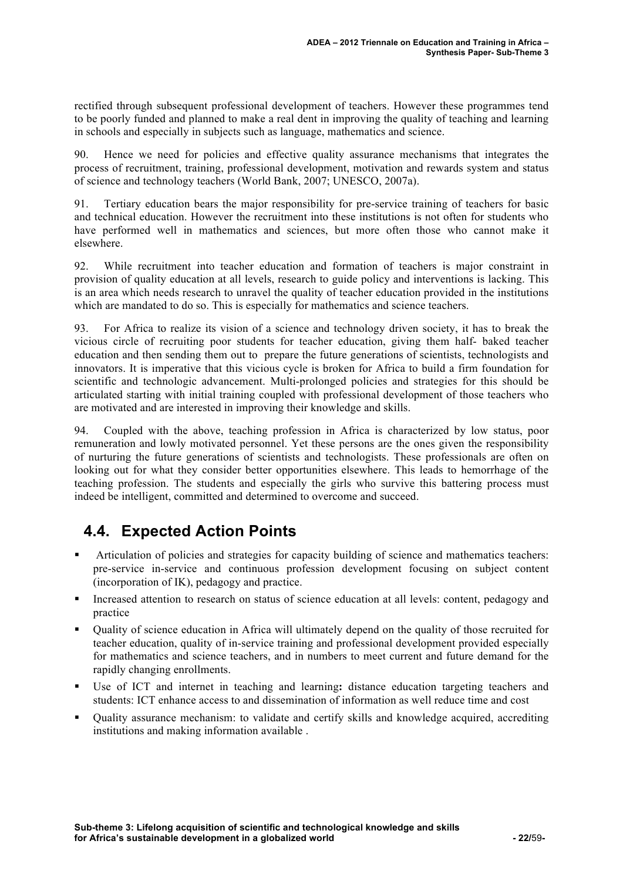rectified through subsequent professional development of teachers. However these programmes tend to be poorly funded and planned to make a real dent in improving the quality of teaching and learning in schools and especially in subjects such as language, mathematics and science.

90. Hence we need for policies and effective quality assurance mechanisms that integrates the process of recruitment, training, professional development, motivation and rewards system and status of science and technology teachers (World Bank, 2007; UNESCO, 2007a).

91. Tertiary education bears the major responsibility for pre-service training of teachers for basic and technical education. However the recruitment into these institutions is not often for students who have performed well in mathematics and sciences, but more often those who cannot make it elsewhere.

92. While recruitment into teacher education and formation of teachers is major constraint in provision of quality education at all levels, research to guide policy and interventions is lacking. This is an area which needs research to unravel the quality of teacher education provided in the institutions which are mandated to do so. This is especially for mathematics and science teachers.

93. For Africa to realize its vision of a science and technology driven society, it has to break the vicious circle of recruiting poor students for teacher education, giving them half- baked teacher education and then sending them out to prepare the future generations of scientists, technologists and innovators. It is imperative that this vicious cycle is broken for Africa to build a firm foundation for scientific and technologic advancement. Multi-prolonged policies and strategies for this should be articulated starting with initial training coupled with professional development of those teachers who are motivated and are interested in improving their knowledge and skills.

94. Coupled with the above, teaching profession in Africa is characterized by low status, poor remuneration and lowly motivated personnel. Yet these persons are the ones given the responsibility of nurturing the future generations of scientists and technologists. These professionals are often on looking out for what they consider better opportunities elsewhere. This leads to hemorrhage of the teaching profession. The students and especially the girls who survive this battering process must indeed be intelligent, committed and determined to overcome and succeed.

## **4.4. Expected Action Points**

- Articulation of policies and strategies for capacity building of science and mathematics teachers: pre-service in-service and continuous profession development focusing on subject content (incorporation of IK), pedagogy and practice.
- Increased attention to research on status of science education at all levels: content, pedagogy and practice
- Quality of science education in Africa will ultimately depend on the quality of those recruited for teacher education, quality of in-service training and professional development provided especially for mathematics and science teachers, and in numbers to meet current and future demand for the rapidly changing enrollments.
- Use of ICT and internet in teaching and learning**:** distance education targeting teachers and students: ICT enhance access to and dissemination of information as well reduce time and cost
- Quality assurance mechanism: to validate and certify skills and knowledge acquired, accrediting institutions and making information available .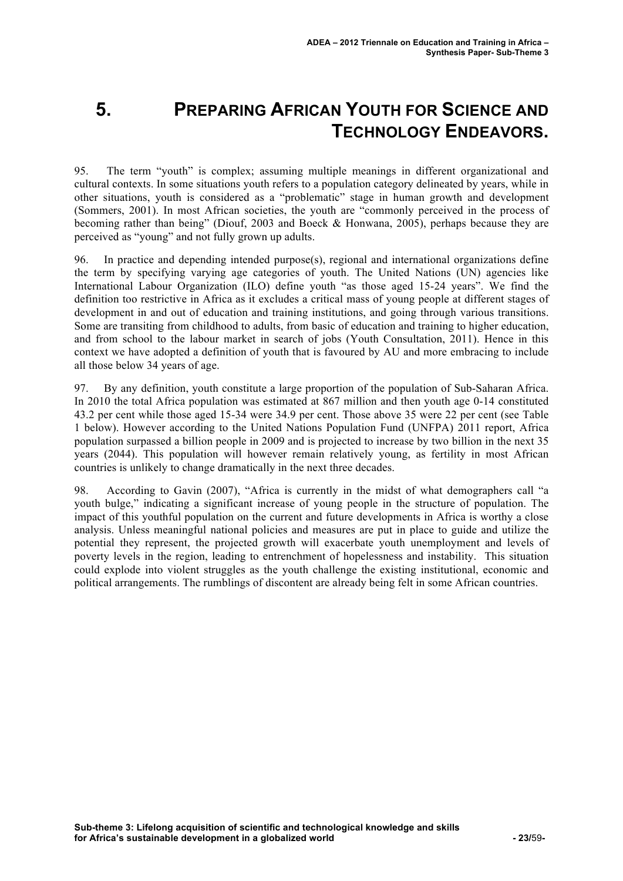# **5. PREPARING AFRICAN YOUTH FOR SCIENCE AND TECHNOLOGY ENDEAVORS.**

95. The term "youth" is complex; assuming multiple meanings in different organizational and cultural contexts. In some situations youth refers to a population category delineated by years, while in other situations, youth is considered as a "problematic" stage in human growth and development (Sommers, 2001). In most African societies, the youth are "commonly perceived in the process of becoming rather than being" (Diouf, 2003 and Boeck & Honwana, 2005), perhaps because they are perceived as "young" and not fully grown up adults.

96. In practice and depending intended purpose(s), regional and international organizations define the term by specifying varying age categories of youth. The United Nations (UN) agencies like International Labour Organization (ILO) define youth "as those aged 15-24 years". We find the definition too restrictive in Africa as it excludes a critical mass of young people at different stages of development in and out of education and training institutions, and going through various transitions. Some are transiting from childhood to adults, from basic of education and training to higher education, and from school to the labour market in search of jobs (Youth Consultation, 2011). Hence in this context we have adopted a definition of youth that is favoured by AU and more embracing to include all those below 34 years of age.

97. By any definition, youth constitute a large proportion of the population of Sub-Saharan Africa. In 2010 the total Africa population was estimated at 867 million and then youth age 0-14 constituted 43.2 per cent while those aged 15-34 were 34.9 per cent. Those above 35 were 22 per cent (see Table 1 below). However according to the United Nations Population Fund (UNFPA) 2011 report, Africa population surpassed a billion people in 2009 and is projected to increase by two billion in the next 35 years (2044). This population will however remain relatively young, as fertility in most African countries is unlikely to change dramatically in the next three decades.

98. According to Gavin (2007), "Africa is currently in the midst of what demographers call "a youth bulge," indicating a significant increase of young people in the structure of population. The impact of this youthful population on the current and future developments in Africa is worthy a close analysis. Unless meaningful national policies and measures are put in place to guide and utilize the potential they represent, the projected growth will exacerbate youth unemployment and levels of poverty levels in the region, leading to entrenchment of hopelessness and instability. This situation could explode into violent struggles as the youth challenge the existing institutional, economic and political arrangements. The rumblings of discontent are already being felt in some African countries.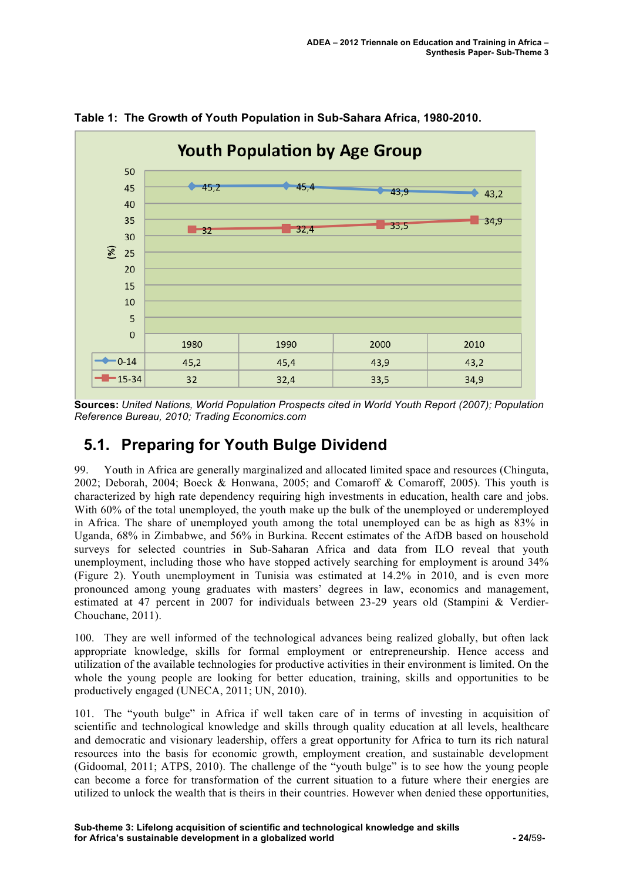

**Table 1: The Growth of Youth Population in Sub-Sahara Africa, 1980-2010.**

**Sources:** *United Nations, World Population Prospects cited in World Youth Report (2007); Population Reference Bureau, 2010; Trading Economics.com*

### **5.1. Preparing for Youth Bulge Dividend**

99. Youth in Africa are generally marginalized and allocated limited space and resources (Chinguta, 2002; Deborah, 2004; Boeck & Honwana, 2005; and Comaroff & Comaroff, 2005). This youth is characterized by high rate dependency requiring high investments in education, health care and jobs. With 60% of the total unemployed, the youth make up the bulk of the unemployed or underemployed in Africa. The share of unemployed youth among the total unemployed can be as high as 83% in Uganda, 68% in Zimbabwe, and 56% in Burkina. Recent estimates of the AfDB based on household surveys for selected countries in Sub-Saharan Africa and data from ILO reveal that youth unemployment, including those who have stopped actively searching for employment is around 34% (Figure 2). Youth unemployment in Tunisia was estimated at 14.2% in 2010, and is even more pronounced among young graduates with masters' degrees in law, economics and management, estimated at 47 percent in 2007 for individuals between 23-29 years old (Stampini & Verdier-Chouchane, 2011).

100. They are well informed of the technological advances being realized globally, but often lack appropriate knowledge, skills for formal employment or entrepreneurship. Hence access and utilization of the available technologies for productive activities in their environment is limited. On the whole the young people are looking for better education, training, skills and opportunities to be productively engaged (UNECA, 2011; UN, 2010).

101. The "youth bulge" in Africa if well taken care of in terms of investing in acquisition of scientific and technological knowledge and skills through quality education at all levels, healthcare and democratic and visionary leadership, offers a great opportunity for Africa to turn its rich natural resources into the basis for economic growth, employment creation, and sustainable development (Gidoomal, 2011; ATPS, 2010). The challenge of the "youth bulge" is to see how the young people can become a force for transformation of the current situation to a future where their energies are utilized to unlock the wealth that is theirs in their countries. However when denied these opportunities,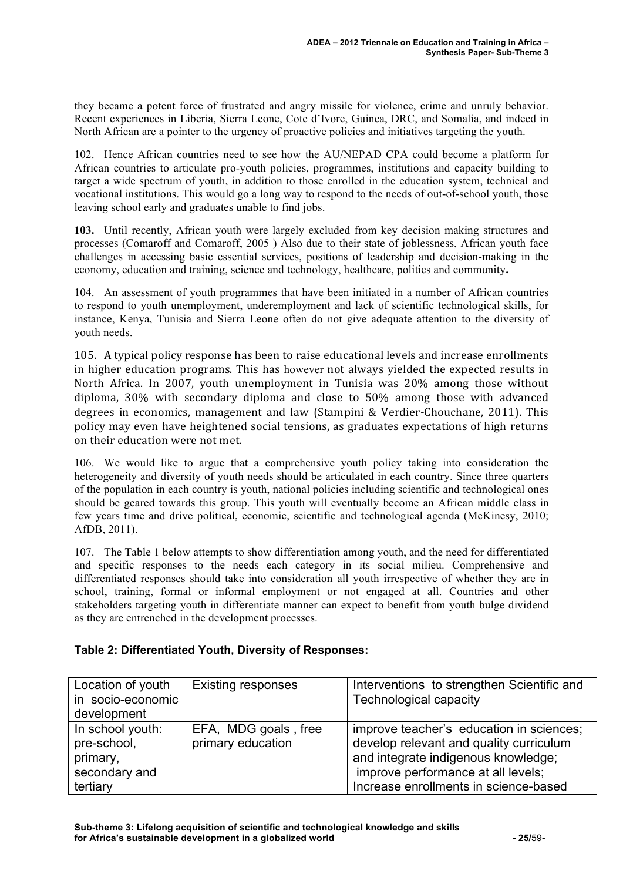they became a potent force of frustrated and angry missile for violence, crime and unruly behavior. Recent experiences in Liberia, Sierra Leone, Cote d'Ivore, Guinea, DRC, and Somalia, and indeed in North African are a pointer to the urgency of proactive policies and initiatives targeting the youth.

102. Hence African countries need to see how the AU/NEPAD CPA could become a platform for African countries to articulate pro-youth policies, programmes, institutions and capacity building to target a wide spectrum of youth, in addition to those enrolled in the education system, technical and vocational institutions. This would go a long way to respond to the needs of out-of-school youth, those leaving school early and graduates unable to find jobs.

**103.** Until recently, African youth were largely excluded from key decision making structures and processes (Comaroff and Comaroff, 2005 ) Also due to their state of joblessness, African youth face challenges in accessing basic essential services, positions of leadership and decision-making in the economy, education and training, science and technology, healthcare, politics and community**.**

104. An assessment of youth programmes that have been initiated in a number of African countries to respond to youth unemployment, underemployment and lack of scientific technological skills, for instance, Kenya, Tunisia and Sierra Leone often do not give adequate attention to the diversity of youth needs.

105. A typical policy response has been to raise educational levels and increase enrollments in higher education programs. This has however not always yielded the expected results in North Africa. In 2007, youth unemployment in Tunisia was 20% among those without diploma,  $30\%$  with secondary diploma and close to  $50\%$  among those with advanced degrees in economics, management and law (Stampini & Verdier-Chouchane, 2011). This policy may even have heightened social tensions, as graduates expectations of high returns on their education were not met.

106. We would like to argue that a comprehensive youth policy taking into consideration the heterogeneity and diversity of youth needs should be articulated in each country. Since three quarters of the population in each country is youth, national policies including scientific and technological ones should be geared towards this group. This youth will eventually become an African middle class in few years time and drive political, economic, scientific and technological agenda (McKinesy, 2010; AfDB, 2011).

107. The Table 1 below attempts to show differentiation among youth, and the need for differentiated and specific responses to the needs each category in its social milieu. Comprehensive and differentiated responses should take into consideration all youth irrespective of whether they are in school, training, formal or informal employment or not engaged at all. Countries and other stakeholders targeting youth in differentiate manner can expect to benefit from youth bulge dividend as they are entrenched in the development processes.

#### **Table 2: Differentiated Youth, Diversity of Responses:**

| Location of youth<br>in socio-economic                                   | <b>Existing responses</b>                 | Interventions to strengthen Scientific and<br><b>Technological capacity</b>                                                                                                                               |
|--------------------------------------------------------------------------|-------------------------------------------|-----------------------------------------------------------------------------------------------------------------------------------------------------------------------------------------------------------|
| development                                                              |                                           |                                                                                                                                                                                                           |
| In school youth:<br>pre-school,<br>primary,<br>secondary and<br>tertiary | EFA, MDG goals, free<br>primary education | improve teacher's education in sciences;<br>develop relevant and quality curriculum<br>and integrate indigenous knowledge;<br>improve performance at all levels;<br>Increase enrollments in science-based |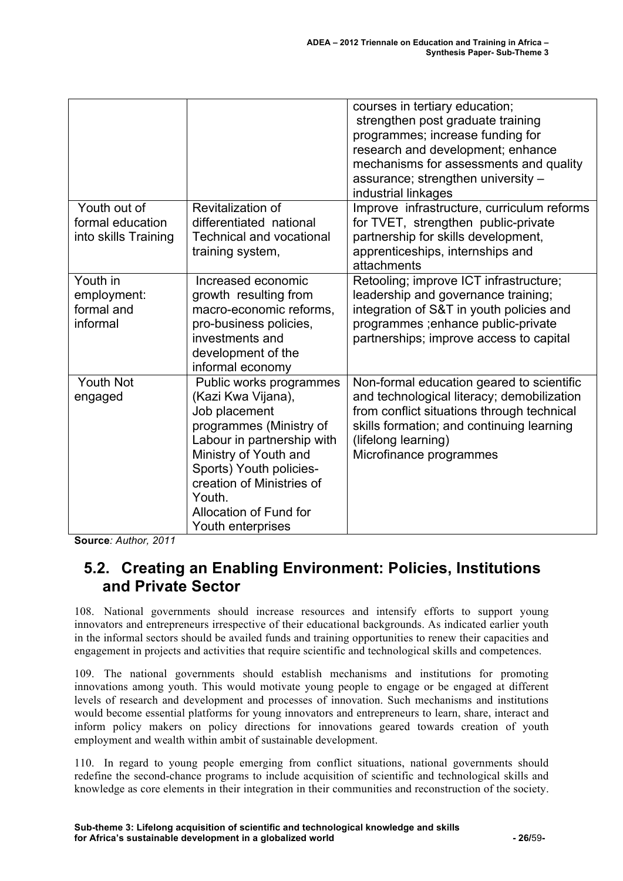|                                                          |                                                                                                                                                                                                                                                                   | courses in tertiary education;<br>strengthen post graduate training<br>programmes; increase funding for<br>research and development; enhance<br>mechanisms for assessments and quality<br>assurance; strengthen university -<br>industrial linkages |
|----------------------------------------------------------|-------------------------------------------------------------------------------------------------------------------------------------------------------------------------------------------------------------------------------------------------------------------|-----------------------------------------------------------------------------------------------------------------------------------------------------------------------------------------------------------------------------------------------------|
| Youth out of<br>formal education<br>into skills Training | Revitalization of<br>differentiated national<br><b>Technical and vocational</b><br>training system,                                                                                                                                                               | Improve infrastructure, curriculum reforms<br>for TVET, strengthen public-private<br>partnership for skills development,<br>apprenticeships, internships and<br>attachments                                                                         |
| Youth in<br>employment:<br>formal and<br>informal        | Increased economic<br>growth resulting from<br>macro-economic reforms,<br>pro-business policies,<br>investments and<br>development of the<br>informal economy                                                                                                     | Retooling; improve ICT infrastructure;<br>leadership and governance training;<br>integration of S&T in youth policies and<br>programmes ; enhance public-private<br>partnerships; improve access to capital                                         |
| <b>Youth Not</b><br>engaged                              | Public works programmes<br>(Kazi Kwa Vijana),<br>Job placement<br>programmes (Ministry of<br>Labour in partnership with<br>Ministry of Youth and<br>Sports) Youth policies-<br>creation of Ministries of<br>Youth.<br>Allocation of Fund for<br>Youth enterprises | Non-formal education geared to scientific<br>and technological literacy; demobilization<br>from conflict situations through technical<br>skills formation; and continuing learning<br>(lifelong learning)<br>Microfinance programmes                |

**Source***: Author, 2011*

## **5.2. Creating an Enabling Environment: Policies, Institutions and Private Sector**

108. National governments should increase resources and intensify efforts to support young innovators and entrepreneurs irrespective of their educational backgrounds. As indicated earlier youth in the informal sectors should be availed funds and training opportunities to renew their capacities and engagement in projects and activities that require scientific and technological skills and competences.

109. The national governments should establish mechanisms and institutions for promoting innovations among youth. This would motivate young people to engage or be engaged at different levels of research and development and processes of innovation. Such mechanisms and institutions would become essential platforms for young innovators and entrepreneurs to learn, share, interact and inform policy makers on policy directions for innovations geared towards creation of youth employment and wealth within ambit of sustainable development.

110. In regard to young people emerging from conflict situations, national governments should redefine the second-chance programs to include acquisition of scientific and technological skills and knowledge as core elements in their integration in their communities and reconstruction of the society.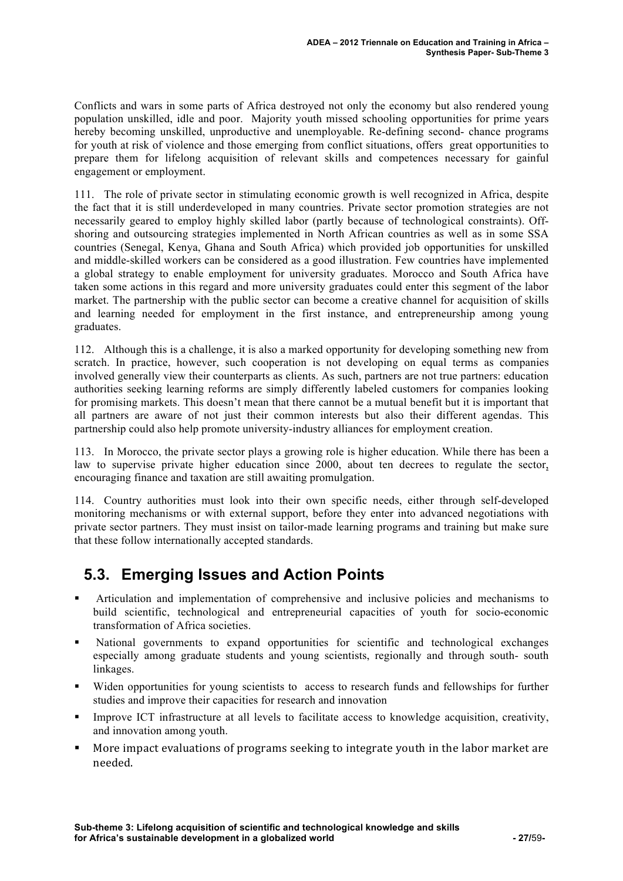Conflicts and wars in some parts of Africa destroyed not only the economy but also rendered young population unskilled, idle and poor. Majority youth missed schooling opportunities for prime years hereby becoming unskilled, unproductive and unemployable. Re-defining second- chance programs for youth at risk of violence and those emerging from conflict situations, offers great opportunities to prepare them for lifelong acquisition of relevant skills and competences necessary for gainful engagement or employment.

111. The role of private sector in stimulating economic growth is well recognized in Africa, despite the fact that it is still underdeveloped in many countries. Private sector promotion strategies are not necessarily geared to employ highly skilled labor (partly because of technological constraints). Offshoring and outsourcing strategies implemented in North African countries as well as in some SSA countries (Senegal, Kenya, Ghana and South Africa) which provided job opportunities for unskilled and middle-skilled workers can be considered as a good illustration. Few countries have implemented a global strategy to enable employment for university graduates. Morocco and South Africa have taken some actions in this regard and more university graduates could enter this segment of the labor market. The partnership with the public sector can become a creative channel for acquisition of skills and learning needed for employment in the first instance, and entrepreneurship among young graduates.

112. Although this is a challenge, it is also a marked opportunity for developing something new from scratch. In practice, however, such cooperation is not developing on equal terms as companies involved generally view their counterparts as clients. As such, partners are not true partners: education authorities seeking learning reforms are simply differently labeled customers for companies looking for promising markets. This doesn't mean that there cannot be a mutual benefit but it is important that all partners are aware of not just their common interests but also their different agendas. This partnership could also help promote university-industry alliances for employment creation.

113. In Morocco, the private sector plays a growing role is higher education. While there has been a law to supervise private higher education since 2000, about ten decrees to regulate the sector, encouraging finance and taxation are still awaiting promulgation.

114. Country authorities must look into their own specific needs, either through self-developed monitoring mechanisms or with external support, before they enter into advanced negotiations with private sector partners. They must insist on tailor-made learning programs and training but make sure that these follow internationally accepted standards.

## **5.3. Emerging Issues and Action Points**

- Articulation and implementation of comprehensive and inclusive policies and mechanisms to build scientific, technological and entrepreneurial capacities of youth for socio-economic transformation of Africa societies.
- National governments to expand opportunities for scientific and technological exchanges especially among graduate students and young scientists, regionally and through south- south linkages.
- Widen opportunities for young scientists to access to research funds and fellowships for further studies and improve their capacities for research and innovation
- Improve ICT infrastructure at all levels to facilitate access to knowledge acquisition, creativity, and innovation among youth.
- More impact evaluations of programs seeking to integrate youth in the labor market are needed.!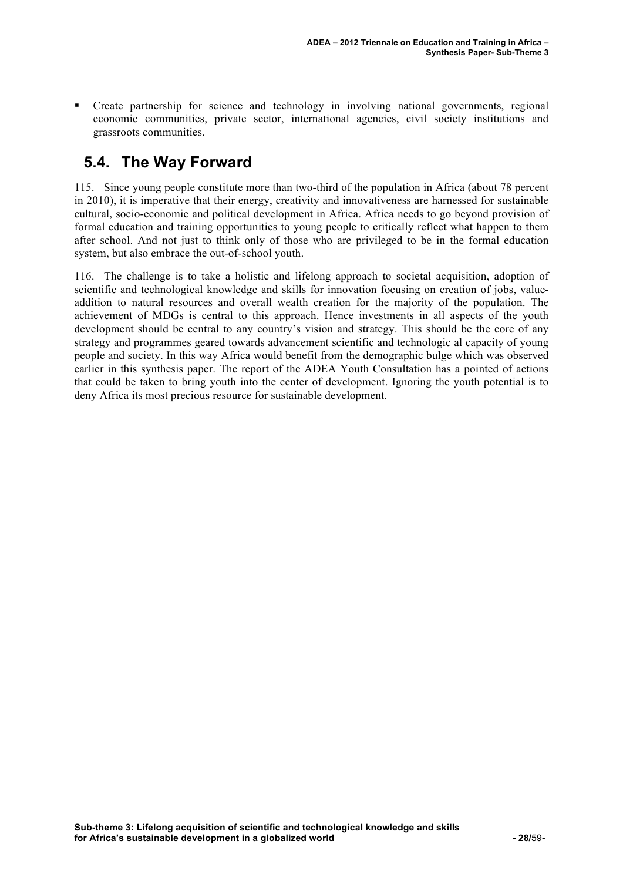Create partnership for science and technology in involving national governments, regional economic communities, private sector, international agencies, civil society institutions and grassroots communities.

## **5.4. The Way Forward**

115. Since young people constitute more than two-third of the population in Africa (about 78 percent in 2010), it is imperative that their energy, creativity and innovativeness are harnessed for sustainable cultural, socio-economic and political development in Africa. Africa needs to go beyond provision of formal education and training opportunities to young people to critically reflect what happen to them after school. And not just to think only of those who are privileged to be in the formal education system, but also embrace the out-of-school youth.

116. The challenge is to take a holistic and lifelong approach to societal acquisition, adoption of scientific and technological knowledge and skills for innovation focusing on creation of jobs, valueaddition to natural resources and overall wealth creation for the majority of the population. The achievement of MDGs is central to this approach. Hence investments in all aspects of the youth development should be central to any country's vision and strategy. This should be the core of any strategy and programmes geared towards advancement scientific and technologic al capacity of young people and society. In this way Africa would benefit from the demographic bulge which was observed earlier in this synthesis paper. The report of the ADEA Youth Consultation has a pointed of actions that could be taken to bring youth into the center of development. Ignoring the youth potential is to deny Africa its most precious resource for sustainable development.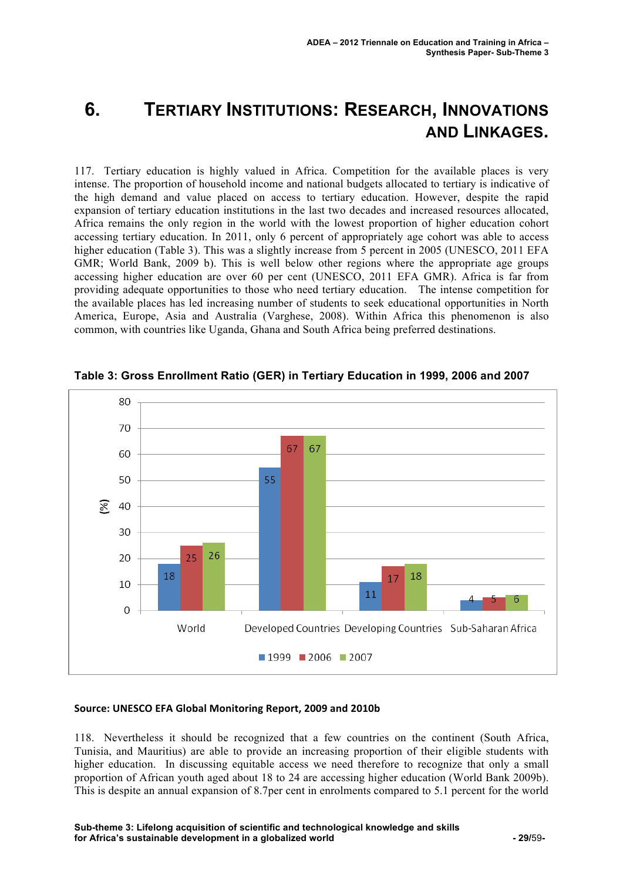## **6. TERTIARY INSTITUTIONS: RESEARCH, INNOVATIONS AND LINKAGES.**

117. Tertiary education is highly valued in Africa. Competition for the available places is very intense. The proportion of household income and national budgets allocated to tertiary is indicative of the high demand and value placed on access to tertiary education. However, despite the rapid expansion of tertiary education institutions in the last two decades and increased resources allocated, Africa remains the only region in the world with the lowest proportion of higher education cohort accessing tertiary education. In 2011, only 6 percent of appropriately age cohort was able to access higher education (Table 3). This was a slightly increase from 5 percent in 2005 (UNESCO, 2011 EFA GMR; World Bank, 2009 b). This is well below other regions where the appropriate age groups accessing higher education are over 60 per cent (UNESCO, 2011 EFA GMR). Africa is far from providing adequate opportunities to those who need tertiary education. The intense competition for the available places has led increasing number of students to seek educational opportunities in North America, Europe, Asia and Australia (Varghese, 2008). Within Africa this phenomenon is also common, with countries like Uganda, Ghana and South Africa being preferred destinations.



**Table 3: Gross Enrollment Ratio (GER) in Tertiary Education in 1999, 2006 and 2007**

#### Source: UNESCO EFA Global Monitoring Report, 2009 and 2010b

118. Nevertheless it should be recognized that a few countries on the continent (South Africa, Tunisia, and Mauritius) are able to provide an increasing proportion of their eligible students with higher education. In discussing equitable access we need therefore to recognize that only a small proportion of African youth aged about 18 to 24 are accessing higher education (World Bank 2009b). This is despite an annual expansion of 8.7per cent in enrolments compared to 5.1 percent for the world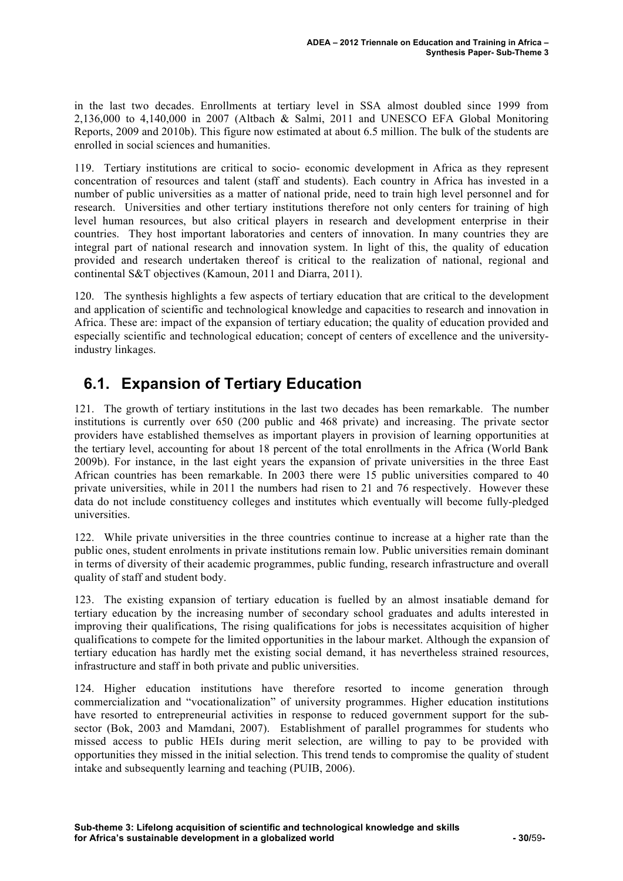in the last two decades. Enrollments at tertiary level in SSA almost doubled since 1999 from 2,136,000 to 4,140,000 in 2007 (Altbach & Salmi, 2011 and UNESCO EFA Global Monitoring Reports, 2009 and 2010b). This figure now estimated at about 6.5 million. The bulk of the students are enrolled in social sciences and humanities.

119. Tertiary institutions are critical to socio- economic development in Africa as they represent concentration of resources and talent (staff and students). Each country in Africa has invested in a number of public universities as a matter of national pride, need to train high level personnel and for research. Universities and other tertiary institutions therefore not only centers for training of high level human resources, but also critical players in research and development enterprise in their countries. They host important laboratories and centers of innovation. In many countries they are integral part of national research and innovation system. In light of this, the quality of education provided and research undertaken thereof is critical to the realization of national, regional and continental S&T objectives (Kamoun, 2011 and Diarra, 2011).

120. The synthesis highlights a few aspects of tertiary education that are critical to the development and application of scientific and technological knowledge and capacities to research and innovation in Africa. These are: impact of the expansion of tertiary education; the quality of education provided and especially scientific and technological education; concept of centers of excellence and the universityindustry linkages.

## **6.1. Expansion of Tertiary Education**

121. The growth of tertiary institutions in the last two decades has been remarkable. The number institutions is currently over 650 (200 public and 468 private) and increasing. The private sector providers have established themselves as important players in provision of learning opportunities at the tertiary level, accounting for about 18 percent of the total enrollments in the Africa (World Bank 2009b). For instance, in the last eight years the expansion of private universities in the three East African countries has been remarkable. In 2003 there were 15 public universities compared to 40 private universities, while in 2011 the numbers had risen to 21 and 76 respectively. However these data do not include constituency colleges and institutes which eventually will become fully-pledged universities.

122. While private universities in the three countries continue to increase at a higher rate than the public ones, student enrolments in private institutions remain low. Public universities remain dominant in terms of diversity of their academic programmes, public funding, research infrastructure and overall quality of staff and student body.

123. The existing expansion of tertiary education is fuelled by an almost insatiable demand for tertiary education by the increasing number of secondary school graduates and adults interested in improving their qualifications, The rising qualifications for jobs is necessitates acquisition of higher qualifications to compete for the limited opportunities in the labour market. Although the expansion of tertiary education has hardly met the existing social demand, it has nevertheless strained resources, infrastructure and staff in both private and public universities.

124. Higher education institutions have therefore resorted to income generation through commercialization and "vocationalization" of university programmes. Higher education institutions have resorted to entrepreneurial activities in response to reduced government support for the subsector (Bok, 2003 and Mamdani, 2007). Establishment of parallel programmes for students who missed access to public HEIs during merit selection, are willing to pay to be provided with opportunities they missed in the initial selection. This trend tends to compromise the quality of student intake and subsequently learning and teaching (PUIB, 2006).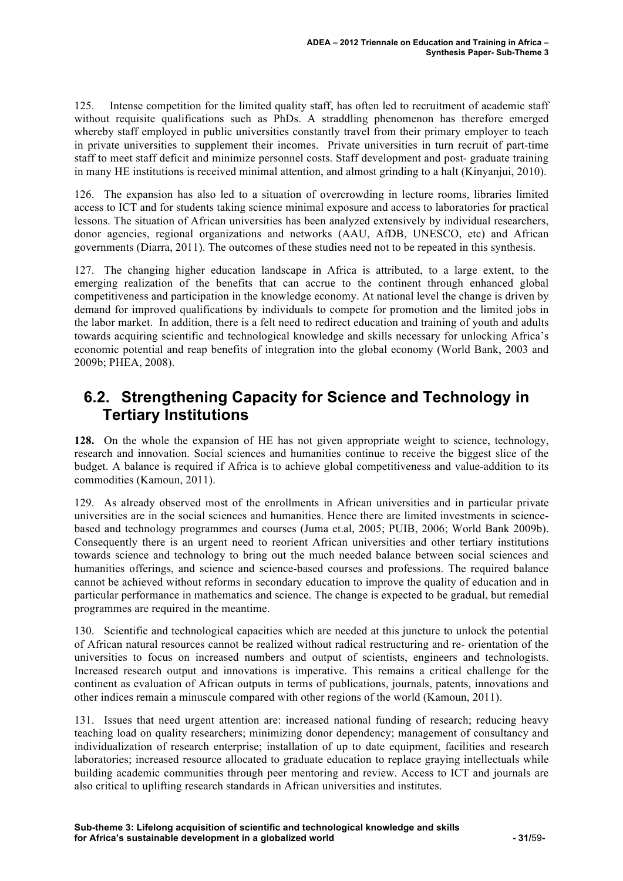125. Intense competition for the limited quality staff, has often led to recruitment of academic staff without requisite qualifications such as PhDs. A straddling phenomenon has therefore emerged whereby staff employed in public universities constantly travel from their primary employer to teach in private universities to supplement their incomes. Private universities in turn recruit of part-time staff to meet staff deficit and minimize personnel costs. Staff development and post- graduate training in many HE institutions is received minimal attention, and almost grinding to a halt (Kinyanjui, 2010).

126. The expansion has also led to a situation of overcrowding in lecture rooms, libraries limited access to ICT and for students taking science minimal exposure and access to laboratories for practical lessons. The situation of African universities has been analyzed extensively by individual researchers, donor agencies, regional organizations and networks (AAU, AfDB, UNESCO, etc) and African governments (Diarra, 2011). The outcomes of these studies need not to be repeated in this synthesis.

127. The changing higher education landscape in Africa is attributed, to a large extent, to the emerging realization of the benefits that can accrue to the continent through enhanced global competitiveness and participation in the knowledge economy. At national level the change is driven by demand for improved qualifications by individuals to compete for promotion and the limited jobs in the labor market. In addition, there is a felt need to redirect education and training of youth and adults towards acquiring scientific and technological knowledge and skills necessary for unlocking Africa's economic potential and reap benefits of integration into the global economy (World Bank, 2003 and 2009b; PHEA, 2008).

### **6.2. Strengthening Capacity for Science and Technology in Tertiary Institutions**

**128.** On the whole the expansion of HE has not given appropriate weight to science, technology, research and innovation. Social sciences and humanities continue to receive the biggest slice of the budget. A balance is required if Africa is to achieve global competitiveness and value-addition to its commodities (Kamoun, 2011).

129. As already observed most of the enrollments in African universities and in particular private universities are in the social sciences and humanities. Hence there are limited investments in sciencebased and technology programmes and courses (Juma et.al, 2005; PUIB, 2006; World Bank 2009b). Consequently there is an urgent need to reorient African universities and other tertiary institutions towards science and technology to bring out the much needed balance between social sciences and humanities offerings, and science and science-based courses and professions. The required balance cannot be achieved without reforms in secondary education to improve the quality of education and in particular performance in mathematics and science. The change is expected to be gradual, but remedial programmes are required in the meantime.

130. Scientific and technological capacities which are needed at this juncture to unlock the potential of African natural resources cannot be realized without radical restructuring and re- orientation of the universities to focus on increased numbers and output of scientists, engineers and technologists. Increased research output and innovations is imperative. This remains a critical challenge for the continent as evaluation of African outputs in terms of publications, journals, patents, innovations and other indices remain a minuscule compared with other regions of the world (Kamoun, 2011).

131. Issues that need urgent attention are: increased national funding of research; reducing heavy teaching load on quality researchers; minimizing donor dependency; management of consultancy and individualization of research enterprise; installation of up to date equipment, facilities and research laboratories; increased resource allocated to graduate education to replace graying intellectuals while building academic communities through peer mentoring and review. Access to ICT and journals are also critical to uplifting research standards in African universities and institutes.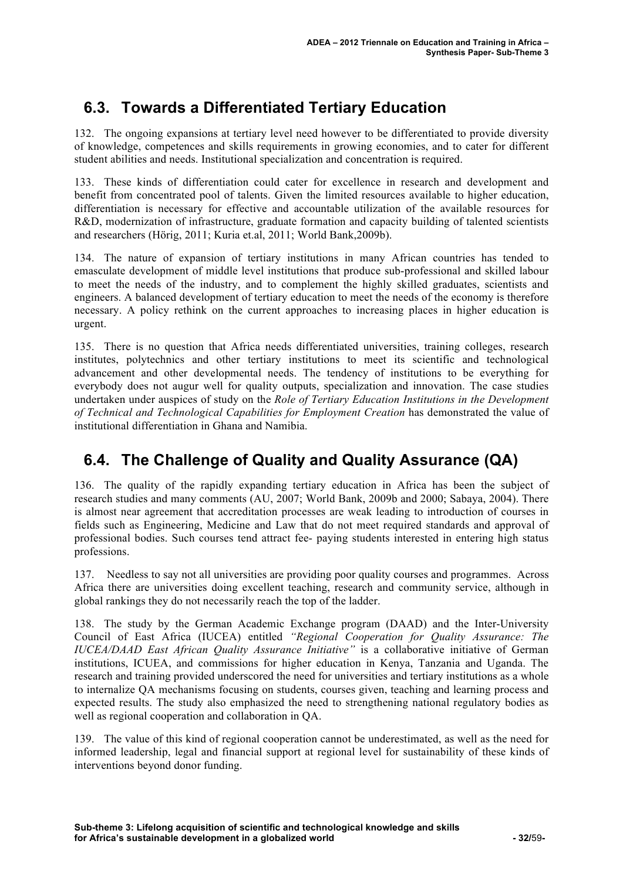## **6.3. Towards a Differentiated Tertiary Education**

132. The ongoing expansions at tertiary level need however to be differentiated to provide diversity of knowledge, competences and skills requirements in growing economies, and to cater for different student abilities and needs. Institutional specialization and concentration is required.

133. These kinds of differentiation could cater for excellence in research and development and benefit from concentrated pool of talents. Given the limited resources available to higher education, differentiation is necessary for effective and accountable utilization of the available resources for R&D, modernization of infrastructure, graduate formation and capacity building of talented scientists and researchers (Hörig, 2011; Kuria et.al, 2011; World Bank,2009b).

134. The nature of expansion of tertiary institutions in many African countries has tended to emasculate development of middle level institutions that produce sub-professional and skilled labour to meet the needs of the industry, and to complement the highly skilled graduates, scientists and engineers. A balanced development of tertiary education to meet the needs of the economy is therefore necessary. A policy rethink on the current approaches to increasing places in higher education is urgent.

135. There is no question that Africa needs differentiated universities, training colleges, research institutes, polytechnics and other tertiary institutions to meet its scientific and technological advancement and other developmental needs. The tendency of institutions to be everything for everybody does not augur well for quality outputs, specialization and innovation. The case studies undertaken under auspices of study on the *Role of Tertiary Education Institutions in the Development of Technical and Technological Capabilities for Employment Creation* has demonstrated the value of institutional differentiation in Ghana and Namibia.

## **6.4. The Challenge of Quality and Quality Assurance (QA)**

136. The quality of the rapidly expanding tertiary education in Africa has been the subject of research studies and many comments (AU, 2007; World Bank, 2009b and 2000; Sabaya, 2004). There is almost near agreement that accreditation processes are weak leading to introduction of courses in fields such as Engineering, Medicine and Law that do not meet required standards and approval of professional bodies. Such courses tend attract fee- paying students interested in entering high status professions.

137. Needless to say not all universities are providing poor quality courses and programmes. Across Africa there are universities doing excellent teaching, research and community service, although in global rankings they do not necessarily reach the top of the ladder.

138. The study by the German Academic Exchange program (DAAD) and the Inter-University Council of East Africa (IUCEA) entitled *"Regional Cooperation for Quality Assurance: The IUCEA/DAAD East African Quality Assurance Initiative"* is a collaborative initiative of German institutions, ICUEA, and commissions for higher education in Kenya, Tanzania and Uganda. The research and training provided underscored the need for universities and tertiary institutions as a whole to internalize QA mechanisms focusing on students, courses given, teaching and learning process and expected results. The study also emphasized the need to strengthening national regulatory bodies as well as regional cooperation and collaboration in QA.

139. The value of this kind of regional cooperation cannot be underestimated, as well as the need for informed leadership, legal and financial support at regional level for sustainability of these kinds of interventions beyond donor funding.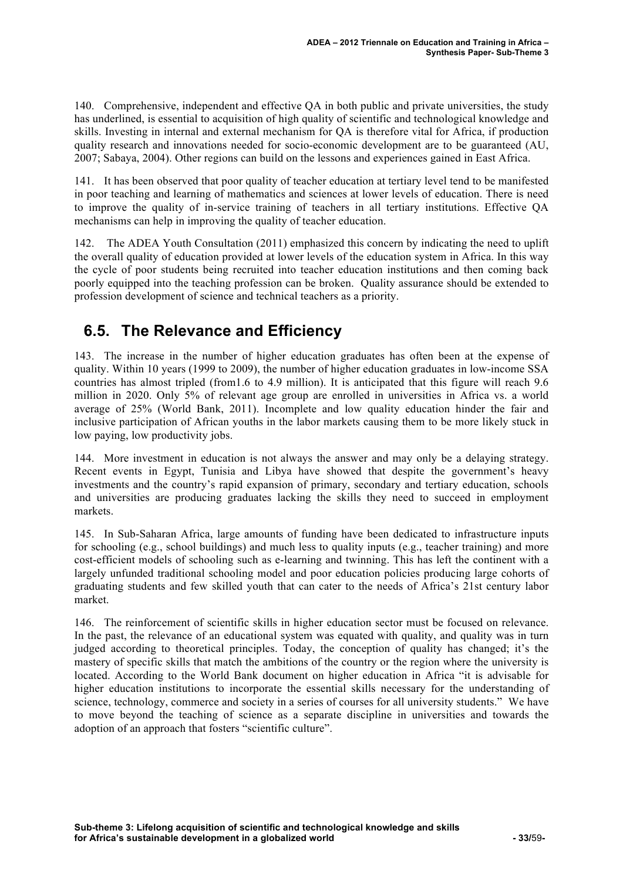140. Comprehensive, independent and effective QA in both public and private universities, the study has underlined, is essential to acquisition of high quality of scientific and technological knowledge and skills. Investing in internal and external mechanism for QA is therefore vital for Africa, if production quality research and innovations needed for socio-economic development are to be guaranteed (AU, 2007; Sabaya, 2004). Other regions can build on the lessons and experiences gained in East Africa.

141. It has been observed that poor quality of teacher education at tertiary level tend to be manifested in poor teaching and learning of mathematics and sciences at lower levels of education. There is need to improve the quality of in-service training of teachers in all tertiary institutions. Effective QA mechanisms can help in improving the quality of teacher education.

142. The ADEA Youth Consultation (2011) emphasized this concern by indicating the need to uplift the overall quality of education provided at lower levels of the education system in Africa. In this way the cycle of poor students being recruited into teacher education institutions and then coming back poorly equipped into the teaching profession can be broken. Quality assurance should be extended to profession development of science and technical teachers as a priority.

## **6.5. The Relevance and Efficiency**

143. The increase in the number of higher education graduates has often been at the expense of quality. Within 10 years (1999 to 2009), the number of higher education graduates in low-income SSA countries has almost tripled (from1.6 to 4.9 million). It is anticipated that this figure will reach 9.6 million in 2020. Only 5% of relevant age group are enrolled in universities in Africa vs. a world average of 25% (World Bank, 2011). Incomplete and low quality education hinder the fair and inclusive participation of African youths in the labor markets causing them to be more likely stuck in low paying, low productivity jobs.

144. More investment in education is not always the answer and may only be a delaying strategy. Recent events in Egypt, Tunisia and Libya have showed that despite the government's heavy investments and the country's rapid expansion of primary, secondary and tertiary education, schools and universities are producing graduates lacking the skills they need to succeed in employment markets.

145. In Sub-Saharan Africa, large amounts of funding have been dedicated to infrastructure inputs for schooling (e.g., school buildings) and much less to quality inputs (e.g., teacher training) and more cost-efficient models of schooling such as e-learning and twinning. This has left the continent with a largely unfunded traditional schooling model and poor education policies producing large cohorts of graduating students and few skilled youth that can cater to the needs of Africa's 21st century labor market.

146. The reinforcement of scientific skills in higher education sector must be focused on relevance. In the past, the relevance of an educational system was equated with quality, and quality was in turn judged according to theoretical principles. Today, the conception of quality has changed; it's the mastery of specific skills that match the ambitions of the country or the region where the university is located. According to the World Bank document on higher education in Africa "it is advisable for higher education institutions to incorporate the essential skills necessary for the understanding of science, technology, commerce and society in a series of courses for all university students." We have to move beyond the teaching of science as a separate discipline in universities and towards the adoption of an approach that fosters "scientific culture".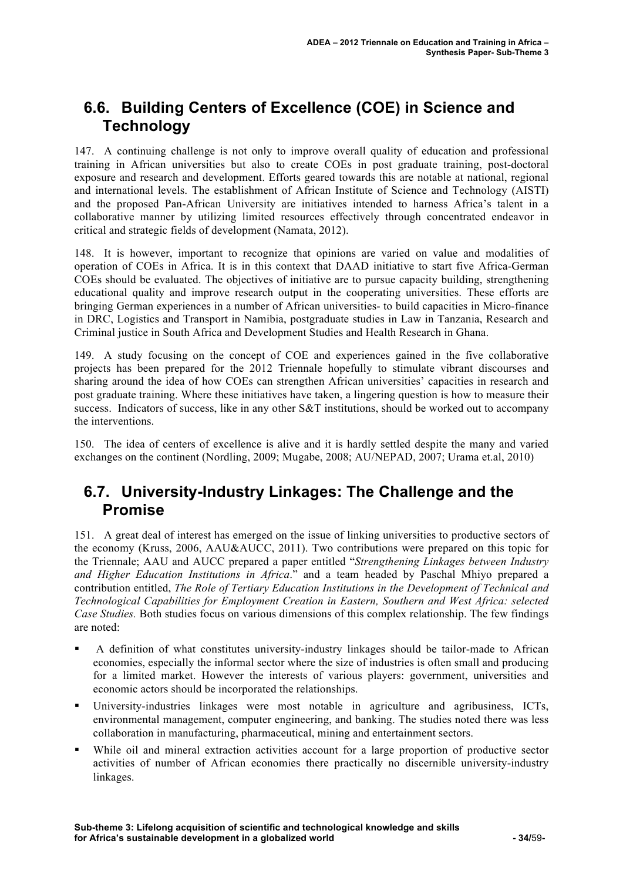## **6.6. Building Centers of Excellence (COE) in Science and Technology**

147. A continuing challenge is not only to improve overall quality of education and professional training in African universities but also to create COEs in post graduate training, post-doctoral exposure and research and development. Efforts geared towards this are notable at national, regional and international levels. The establishment of African Institute of Science and Technology (AISTI) and the proposed Pan-African University are initiatives intended to harness Africa's talent in a collaborative manner by utilizing limited resources effectively through concentrated endeavor in critical and strategic fields of development (Namata, 2012).

148. It is however, important to recognize that opinions are varied on value and modalities of operation of COEs in Africa. It is in this context that DAAD initiative to start five Africa-German COEs should be evaluated. The objectives of initiative are to pursue capacity building, strengthening educational quality and improve research output in the cooperating universities. These efforts are bringing German experiences in a number of African universities- to build capacities in Micro-finance in DRC, Logistics and Transport in Namibia, postgraduate studies in Law in Tanzania, Research and Criminal justice in South Africa and Development Studies and Health Research in Ghana.

149. A study focusing on the concept of COE and experiences gained in the five collaborative projects has been prepared for the 2012 Triennale hopefully to stimulate vibrant discourses and sharing around the idea of how COEs can strengthen African universities' capacities in research and post graduate training. Where these initiatives have taken, a lingering question is how to measure their success. Indicators of success, like in any other S&T institutions, should be worked out to accompany the interventions.

150. The idea of centers of excellence is alive and it is hardly settled despite the many and varied exchanges on the continent (Nordling, 2009; Mugabe, 2008; AU/NEPAD, 2007; Urama et.al, 2010)

### **6.7. University-Industry Linkages: The Challenge and the Promise**

151. A great deal of interest has emerged on the issue of linking universities to productive sectors of the economy (Kruss, 2006, AAU&AUCC, 2011). Two contributions were prepared on this topic for the Triennale; AAU and AUCC prepared a paper entitled "*Strengthening Linkages between Industry and Higher Education Institutions in Africa*." and a team headed by Paschal Mhiyo prepared a contribution entitled, *The Role of Tertiary Education Institutions in the Development of Technical and Technological Capabilities for Employment Creation in Eastern, Southern and West Africa: selected Case Studies.* Both studies focus on various dimensions of this complex relationship. The few findings are noted:

- A definition of what constitutes university-industry linkages should be tailor-made to African economies, especially the informal sector where the size of industries is often small and producing for a limited market. However the interests of various players: government, universities and economic actors should be incorporated the relationships.
- University-industries linkages were most notable in agriculture and agribusiness, ICTs, environmental management, computer engineering, and banking. The studies noted there was less collaboration in manufacturing, pharmaceutical, mining and entertainment sectors.
- While oil and mineral extraction activities account for a large proportion of productive sector activities of number of African economies there practically no discernible university-industry linkages.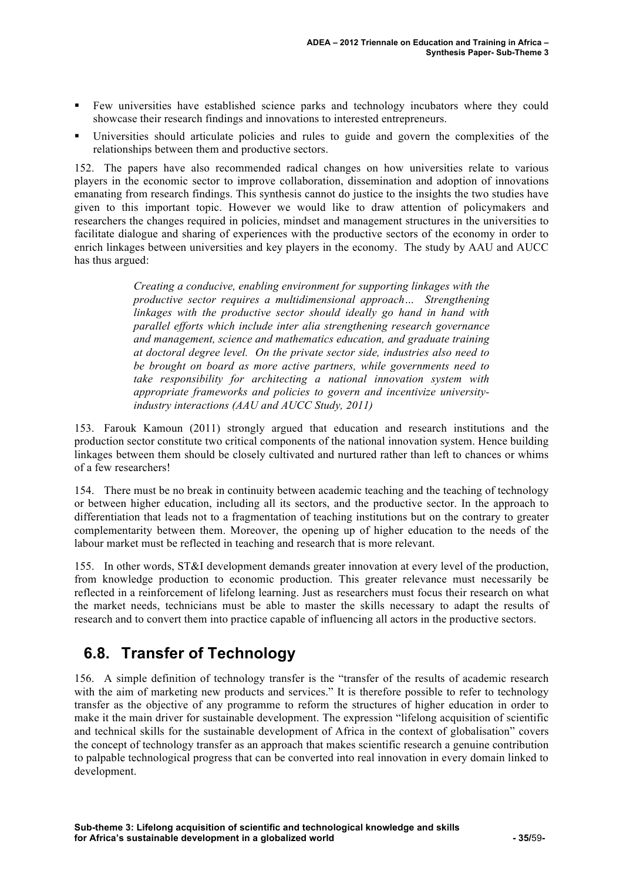- Few universities have established science parks and technology incubators where they could showcase their research findings and innovations to interested entrepreneurs.
- Universities should articulate policies and rules to guide and govern the complexities of the relationships between them and productive sectors.

152. The papers have also recommended radical changes on how universities relate to various players in the economic sector to improve collaboration, dissemination and adoption of innovations emanating from research findings. This synthesis cannot do justice to the insights the two studies have given to this important topic. However we would like to draw attention of policymakers and researchers the changes required in policies, mindset and management structures in the universities to facilitate dialogue and sharing of experiences with the productive sectors of the economy in order to enrich linkages between universities and key players in the economy. The study by AAU and AUCC has thus argued:

> *Creating a conducive, enabling environment for supporting linkages with the productive sector requires a multidimensional approach… Strengthening linkages with the productive sector should ideally go hand in hand with parallel efforts which include inter alia strengthening research governance and management, science and mathematics education, and graduate training at doctoral degree level. On the private sector side, industries also need to be brought on board as more active partners, while governments need to take responsibility for architecting a national innovation system with appropriate frameworks and policies to govern and incentivize universityindustry interactions (AAU and AUCC Study, 2011)*

153. Farouk Kamoun (2011) strongly argued that education and research institutions and the production sector constitute two critical components of the national innovation system. Hence building linkages between them should be closely cultivated and nurtured rather than left to chances or whims of a few researchers!

154. There must be no break in continuity between academic teaching and the teaching of technology or between higher education, including all its sectors, and the productive sector. In the approach to differentiation that leads not to a fragmentation of teaching institutions but on the contrary to greater complementarity between them. Moreover, the opening up of higher education to the needs of the labour market must be reflected in teaching and research that is more relevant.

155. In other words, ST&I development demands greater innovation at every level of the production, from knowledge production to economic production. This greater relevance must necessarily be reflected in a reinforcement of lifelong learning. Just as researchers must focus their research on what the market needs, technicians must be able to master the skills necessary to adapt the results of research and to convert them into practice capable of influencing all actors in the productive sectors.

## **6.8. Transfer of Technology**

156. A simple definition of technology transfer is the "transfer of the results of academic research with the aim of marketing new products and services." It is therefore possible to refer to technology transfer as the objective of any programme to reform the structures of higher education in order to make it the main driver for sustainable development. The expression "lifelong acquisition of scientific and technical skills for the sustainable development of Africa in the context of globalisation" covers the concept of technology transfer as an approach that makes scientific research a genuine contribution to palpable technological progress that can be converted into real innovation in every domain linked to development.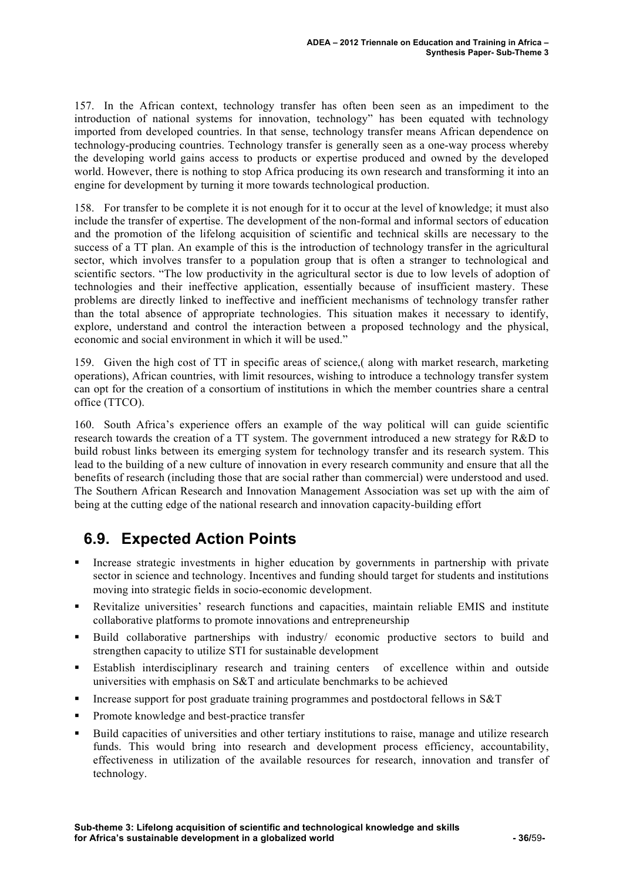157. In the African context, technology transfer has often been seen as an impediment to the introduction of national systems for innovation, technology" has been equated with technology imported from developed countries. In that sense, technology transfer means African dependence on technology-producing countries. Technology transfer is generally seen as a one-way process whereby the developing world gains access to products or expertise produced and owned by the developed world. However, there is nothing to stop Africa producing its own research and transforming it into an engine for development by turning it more towards technological production.

158. For transfer to be complete it is not enough for it to occur at the level of knowledge; it must also include the transfer of expertise. The development of the non-formal and informal sectors of education and the promotion of the lifelong acquisition of scientific and technical skills are necessary to the success of a TT plan. An example of this is the introduction of technology transfer in the agricultural sector, which involves transfer to a population group that is often a stranger to technological and scientific sectors. "The low productivity in the agricultural sector is due to low levels of adoption of technologies and their ineffective application, essentially because of insufficient mastery. These problems are directly linked to ineffective and inefficient mechanisms of technology transfer rather than the total absence of appropriate technologies. This situation makes it necessary to identify, explore, understand and control the interaction between a proposed technology and the physical, economic and social environment in which it will be used."

159. Given the high cost of TT in specific areas of science,( along with market research, marketing operations), African countries, with limit resources, wishing to introduce a technology transfer system can opt for the creation of a consortium of institutions in which the member countries share a central office (TTCO).

160. South Africa's experience offers an example of the way political will can guide scientific research towards the creation of a TT system. The government introduced a new strategy for R&D to build robust links between its emerging system for technology transfer and its research system. This lead to the building of a new culture of innovation in every research community and ensure that all the benefits of research (including those that are social rather than commercial) were understood and used. The Southern African Research and Innovation Management Association was set up with the aim of being at the cutting edge of the national research and innovation capacity-building effort

## **6.9. Expected Action Points**

- Increase strategic investments in higher education by governments in partnership with private sector in science and technology. Incentives and funding should target for students and institutions moving into strategic fields in socio-economic development.
- Revitalize universities' research functions and capacities, maintain reliable EMIS and institute collaborative platforms to promote innovations and entrepreneurship
- Build collaborative partnerships with industry/ economic productive sectors to build and strengthen capacity to utilize STI for sustainable development
- Establish interdisciplinary research and training centers of excellence within and outside universities with emphasis on S&T and articulate benchmarks to be achieved
- Increase support for post graduate training programmes and postdoctoral fellows in  $S&T$
- Promote knowledge and best-practice transfer
- Build capacities of universities and other tertiary institutions to raise, manage and utilize research funds. This would bring into research and development process efficiency, accountability, effectiveness in utilization of the available resources for research, innovation and transfer of technology.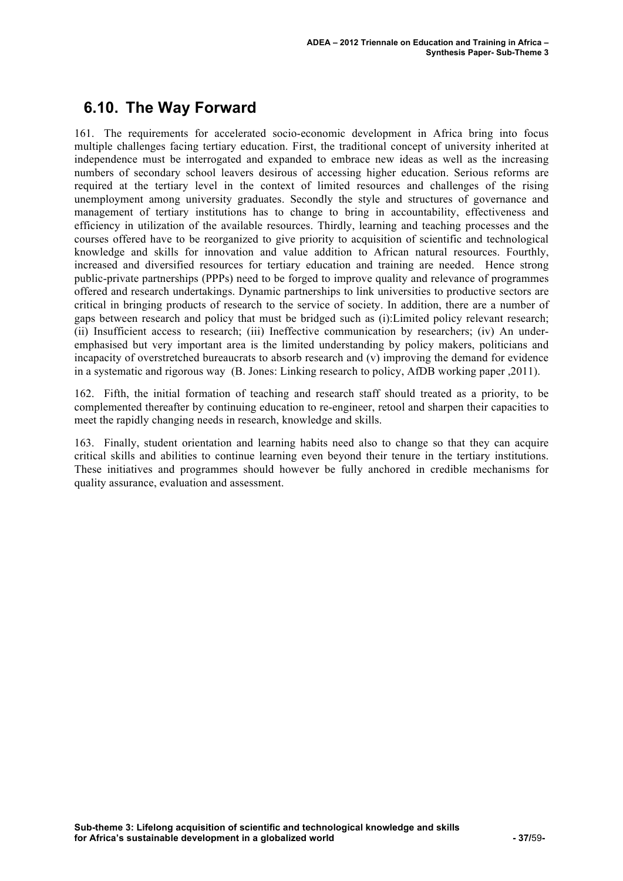### **6.10. The Way Forward**

161. The requirements for accelerated socio-economic development in Africa bring into focus multiple challenges facing tertiary education. First, the traditional concept of university inherited at independence must be interrogated and expanded to embrace new ideas as well as the increasing numbers of secondary school leavers desirous of accessing higher education. Serious reforms are required at the tertiary level in the context of limited resources and challenges of the rising unemployment among university graduates. Secondly the style and structures of governance and management of tertiary institutions has to change to bring in accountability, effectiveness and efficiency in utilization of the available resources. Thirdly, learning and teaching processes and the courses offered have to be reorganized to give priority to acquisition of scientific and technological knowledge and skills for innovation and value addition to African natural resources. Fourthly, increased and diversified resources for tertiary education and training are needed. Hence strong public-private partnerships (PPPs) need to be forged to improve quality and relevance of programmes offered and research undertakings. Dynamic partnerships to link universities to productive sectors are critical in bringing products of research to the service of society. In addition, there are a number of gaps between research and policy that must be bridged such as (i):Limited policy relevant research; (ii) Insufficient access to research; (iii) Ineffective communication by researchers; (iv) An underemphasised but very important area is the limited understanding by policy makers, politicians and incapacity of overstretched bureaucrats to absorb research and (v) improving the demand for evidence in a systematic and rigorous way (B. Jones: Linking research to policy, AfDB working paper ,2011).

162. Fifth, the initial formation of teaching and research staff should treated as a priority, to be complemented thereafter by continuing education to re-engineer, retool and sharpen their capacities to meet the rapidly changing needs in research, knowledge and skills.

163. Finally, student orientation and learning habits need also to change so that they can acquire critical skills and abilities to continue learning even beyond their tenure in the tertiary institutions. These initiatives and programmes should however be fully anchored in credible mechanisms for quality assurance, evaluation and assessment.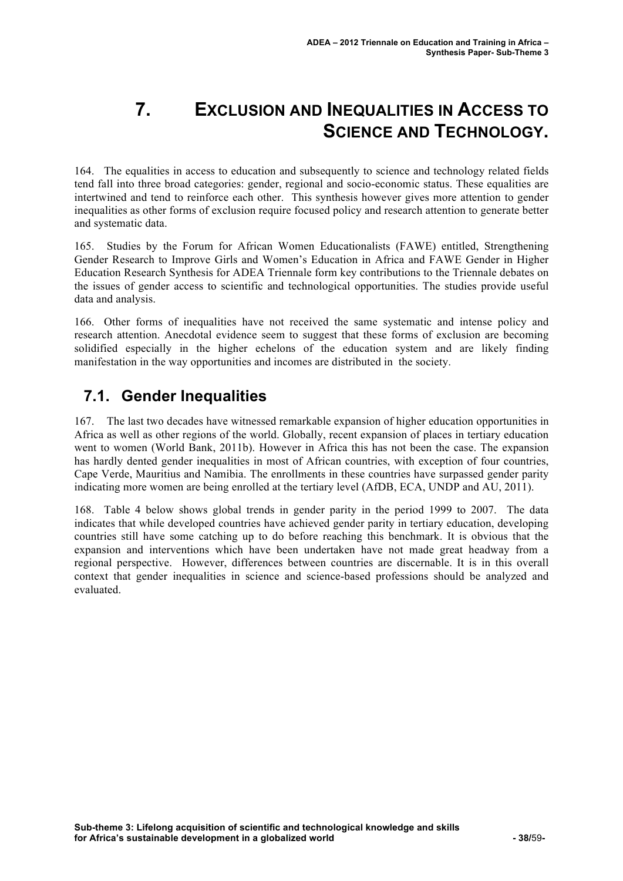# **7. EXCLUSION AND INEQUALITIES IN ACCESS TO SCIENCE AND TECHNOLOGY.**

164. The equalities in access to education and subsequently to science and technology related fields tend fall into three broad categories: gender, regional and socio-economic status. These equalities are intertwined and tend to reinforce each other. This synthesis however gives more attention to gender inequalities as other forms of exclusion require focused policy and research attention to generate better and systematic data.

165. Studies by the Forum for African Women Educationalists (FAWE) entitled, Strengthening Gender Research to Improve Girls and Women's Education in Africa and FAWE Gender in Higher Education Research Synthesis for ADEA Triennale form key contributions to the Triennale debates on the issues of gender access to scientific and technological opportunities. The studies provide useful data and analysis.

166. Other forms of inequalities have not received the same systematic and intense policy and research attention. Anecdotal evidence seem to suggest that these forms of exclusion are becoming solidified especially in the higher echelons of the education system and are likely finding manifestation in the way opportunities and incomes are distributed in the society.

## **7.1. Gender Inequalities**

167. The last two decades have witnessed remarkable expansion of higher education opportunities in Africa as well as other regions of the world. Globally, recent expansion of places in tertiary education went to women (World Bank, 2011b). However in Africa this has not been the case. The expansion has hardly dented gender inequalities in most of African countries, with exception of four countries, Cape Verde, Mauritius and Namibia. The enrollments in these countries have surpassed gender parity indicating more women are being enrolled at the tertiary level (AfDB, ECA, UNDP and AU, 2011).

168. Table 4 below shows global trends in gender parity in the period 1999 to 2007. The data indicates that while developed countries have achieved gender parity in tertiary education, developing countries still have some catching up to do before reaching this benchmark. It is obvious that the expansion and interventions which have been undertaken have not made great headway from a regional perspective. However, differences between countries are discernable. It is in this overall context that gender inequalities in science and science-based professions should be analyzed and evaluated.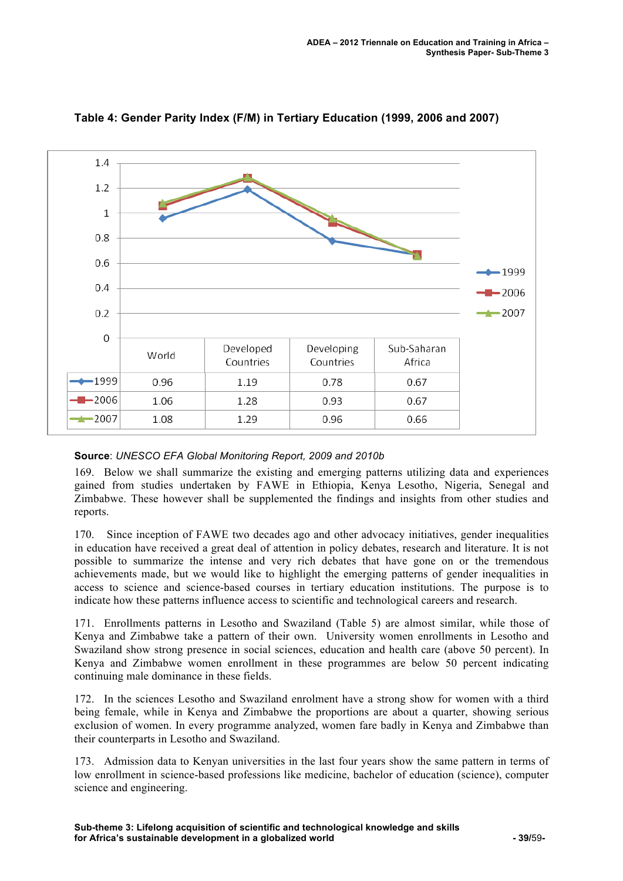

**Table 4: Gender Parity Index (F/M) in Tertiary Education (1999, 2006 and 2007)** 

#### **Source**: *UNESCO EFA Global Monitoring Report, 2009 and 2010b*

169. Below we shall summarize the existing and emerging patterns utilizing data and experiences gained from studies undertaken by FAWE in Ethiopia, Kenya Lesotho, Nigeria, Senegal and Zimbabwe. These however shall be supplemented the findings and insights from other studies and reports.

170. Since inception of FAWE two decades ago and other advocacy initiatives, gender inequalities in education have received a great deal of attention in policy debates, research and literature. It is not possible to summarize the intense and very rich debates that have gone on or the tremendous achievements made, but we would like to highlight the emerging patterns of gender inequalities in access to science and science-based courses in tertiary education institutions. The purpose is to indicate how these patterns influence access to scientific and technological careers and research.

171. Enrollments patterns in Lesotho and Swaziland (Table 5) are almost similar, while those of Kenya and Zimbabwe take a pattern of their own. University women enrollments in Lesotho and Swaziland show strong presence in social sciences, education and health care (above 50 percent). In Kenya and Zimbabwe women enrollment in these programmes are below 50 percent indicating continuing male dominance in these fields.

172. In the sciences Lesotho and Swaziland enrolment have a strong show for women with a third being female, while in Kenya and Zimbabwe the proportions are about a quarter, showing serious exclusion of women. In every programme analyzed, women fare badly in Kenya and Zimbabwe than their counterparts in Lesotho and Swaziland.

173. Admission data to Kenyan universities in the last four years show the same pattern in terms of low enrollment in science-based professions like medicine, bachelor of education (science), computer science and engineering.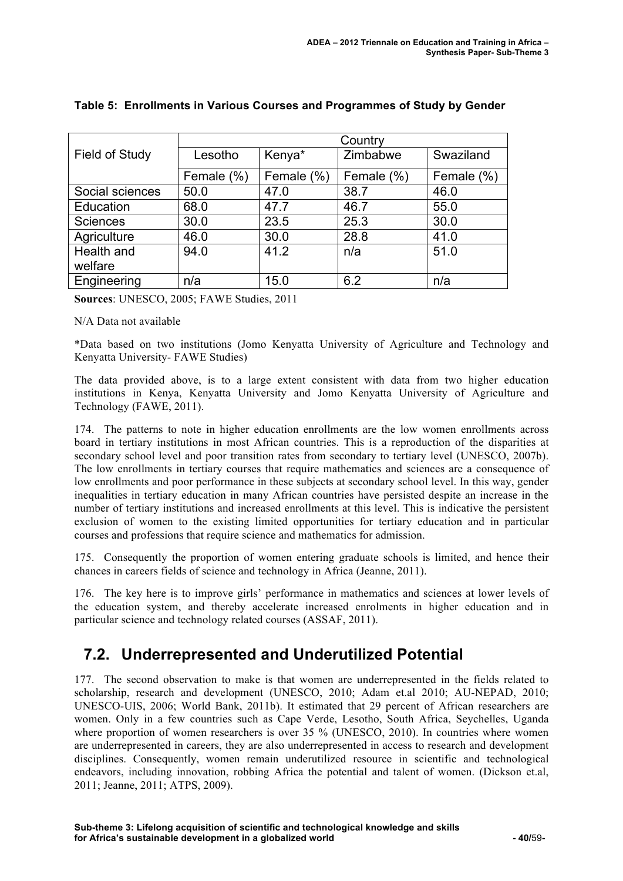|                       | Country    |            |            |            |
|-----------------------|------------|------------|------------|------------|
| <b>Field of Study</b> | Lesotho    | Kenya*     | Zimbabwe   | Swaziland  |
|                       | Female (%) | Female (%) | Female (%) | Female (%) |
| Social sciences       | 50.0       | 47.0       | 38.7       | 46.0       |
| Education             | 68.0       | 47.7       | 46.7       | 55.0       |
| <b>Sciences</b>       | 30.0       | 23.5       | 25.3       | 30.0       |
| Agriculture           | 46.0       | 30.0       | 28.8       | 41.0       |
| Health and            | 94.0       | 41.2       | n/a        | 51.0       |
| welfare               |            |            |            |            |
| Engineering           | n/a        | 15.0       | 6.2        | n/a        |

#### **Table 5: Enrollments in Various Courses and Programmes of Study by Gender**

**Sources**: UNESCO, 2005; FAWE Studies, 2011

#### N/A Data not available

\*Data based on two institutions (Jomo Kenyatta University of Agriculture and Technology and Kenyatta University- FAWE Studies)

The data provided above, is to a large extent consistent with data from two higher education institutions in Kenya, Kenyatta University and Jomo Kenyatta University of Agriculture and Technology (FAWE, 2011).

174. The patterns to note in higher education enrollments are the low women enrollments across board in tertiary institutions in most African countries. This is a reproduction of the disparities at secondary school level and poor transition rates from secondary to tertiary level (UNESCO, 2007b). The low enrollments in tertiary courses that require mathematics and sciences are a consequence of low enrollments and poor performance in these subjects at secondary school level. In this way, gender inequalities in tertiary education in many African countries have persisted despite an increase in the number of tertiary institutions and increased enrollments at this level. This is indicative the persistent exclusion of women to the existing limited opportunities for tertiary education and in particular courses and professions that require science and mathematics for admission.

175. Consequently the proportion of women entering graduate schools is limited, and hence their chances in careers fields of science and technology in Africa (Jeanne, 2011).

176. The key here is to improve girls' performance in mathematics and sciences at lower levels of the education system, and thereby accelerate increased enrolments in higher education and in particular science and technology related courses (ASSAF, 2011).

### **7.2. Underrepresented and Underutilized Potential**

177. The second observation to make is that women are underrepresented in the fields related to scholarship, research and development (UNESCO, 2010; Adam et.al 2010; AU-NEPAD, 2010; UNESCO-UIS, 2006; World Bank, 2011b). It estimated that 29 percent of African researchers are women. Only in a few countries such as Cape Verde, Lesotho, South Africa, Seychelles, Uganda where proportion of women researchers is over 35 % (UNESCO, 2010). In countries where women are underrepresented in careers, they are also underrepresented in access to research and development disciplines. Consequently, women remain underutilized resource in scientific and technological endeavors, including innovation, robbing Africa the potential and talent of women. (Dickson et.al, 2011; Jeanne, 2011; ATPS, 2009).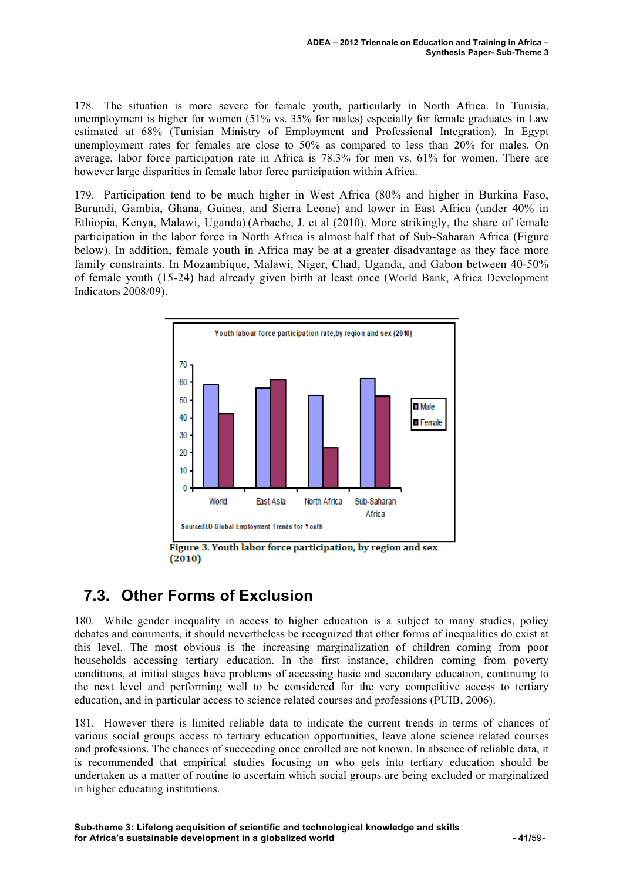178. The situation is more severe for female youth, particularly in North Africa. In Tunisia, unemployment is higher for women (51% vs. 35% for males) especially for female graduates in Law estimated at 68% (Tunisian Ministry of Employment and Professional Integration). In Egypt unemployment rates for females are close to 50% as compared to less than 20% for males. On average, labor force participation rate in Africa is 78.3% for men vs. 61% for women. There are however large disparities in female labor force participation within Africa.

179. Participation tend to be much higher in West Africa (80% and higher in Burkina Faso, Burundi, Gambia, Ghana, Guinea, and Sierra Leone) and lower in East Africa (under 40% in Ethiopia, Kenya, Malawi, Uganda) (Arbache, J. et al (2010). More strikingly, the share of female participation in the labor force in North Africa is almost half that of Sub-Saharan Africa (Figure below). In addition, female youth in Africa may be at a greater disadvantage as they face more family constraints. In Mozambique, Malawi, Niger, Chad, Uganda, and Gabon between 40-50% of female youth (15-24) had already given birth at least once (World Bank, Africa Development Indicators 2008/09).



Figure 3. Youth labor force participation, by region and sex  $(2010)$ 

## **7.3. Other Forms of Exclusion**

180. While gender inequality in access to higher education is a subject to many studies, policy debates and comments, it should nevertheless be recognized that other forms of inequalities do exist at this level. The most obvious is the increasing marginalization of children coming from poor households accessing tertiary education. In the first instance, children coming from poverty conditions, at initial stages have problems of accessing basic and secondary education, continuing to the next level and performing well to be considered for the very competitive access to tertiary education, and in particular access to science related courses and professions (PUIB, 2006).

181. However there is limited reliable data to indicate the current trends in terms of chances of various social groups access to tertiary education opportunities, leave alone science related courses and professions. The chances of succeeding once enrolled are not known. In absence of reliable data, it is recommended that empirical studies focusing on who gets into tertiary education should be undertaken as a matter of routine to ascertain which social groups are being excluded or marginalized in higher educating institutions.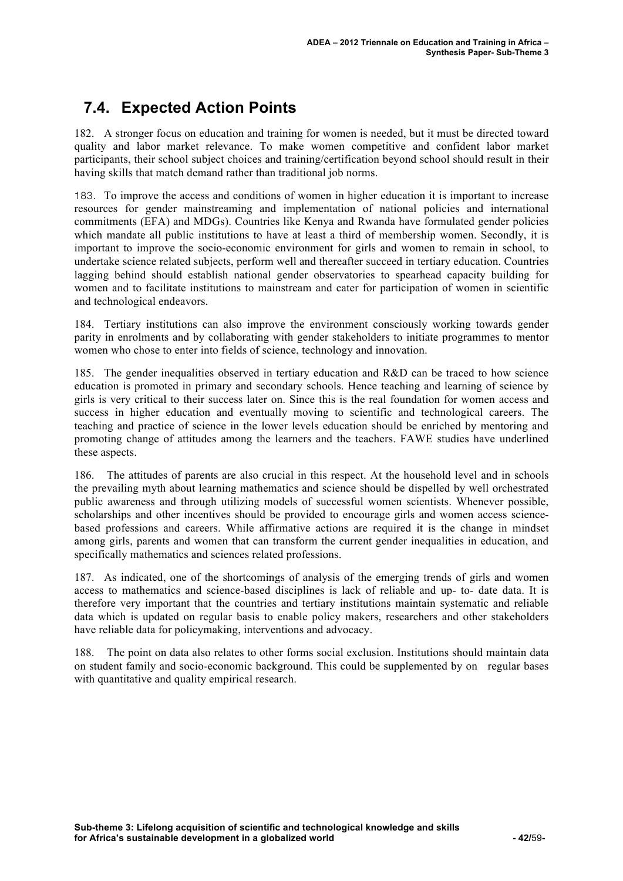## **7.4. Expected Action Points**

182. A stronger focus on education and training for women is needed, but it must be directed toward quality and labor market relevance. To make women competitive and confident labor market participants, their school subject choices and training/certification beyond school should result in their having skills that match demand rather than traditional job norms.

183. To improve the access and conditions of women in higher education it is important to increase resources for gender mainstreaming and implementation of national policies and international commitments (EFA) and MDGs). Countries like Kenya and Rwanda have formulated gender policies which mandate all public institutions to have at least a third of membership women. Secondly, it is important to improve the socio-economic environment for girls and women to remain in school, to undertake science related subjects, perform well and thereafter succeed in tertiary education. Countries lagging behind should establish national gender observatories to spearhead capacity building for women and to facilitate institutions to mainstream and cater for participation of women in scientific and technological endeavors.

184. Tertiary institutions can also improve the environment consciously working towards gender parity in enrolments and by collaborating with gender stakeholders to initiate programmes to mentor women who chose to enter into fields of science, technology and innovation.

185. The gender inequalities observed in tertiary education and R&D can be traced to how science education is promoted in primary and secondary schools. Hence teaching and learning of science by girls is very critical to their success later on. Since this is the real foundation for women access and success in higher education and eventually moving to scientific and technological careers. The teaching and practice of science in the lower levels education should be enriched by mentoring and promoting change of attitudes among the learners and the teachers. FAWE studies have underlined these aspects.

186. The attitudes of parents are also crucial in this respect. At the household level and in schools the prevailing myth about learning mathematics and science should be dispelled by well orchestrated public awareness and through utilizing models of successful women scientists. Whenever possible, scholarships and other incentives should be provided to encourage girls and women access sciencebased professions and careers. While affirmative actions are required it is the change in mindset among girls, parents and women that can transform the current gender inequalities in education, and specifically mathematics and sciences related professions.

187. As indicated, one of the shortcomings of analysis of the emerging trends of girls and women access to mathematics and science-based disciplines is lack of reliable and up- to- date data. It is therefore very important that the countries and tertiary institutions maintain systematic and reliable data which is updated on regular basis to enable policy makers, researchers and other stakeholders have reliable data for policymaking, interventions and advocacy.

188. The point on data also relates to other forms social exclusion. Institutions should maintain data on student family and socio-economic background. This could be supplemented by on regular bases with quantitative and quality empirical research.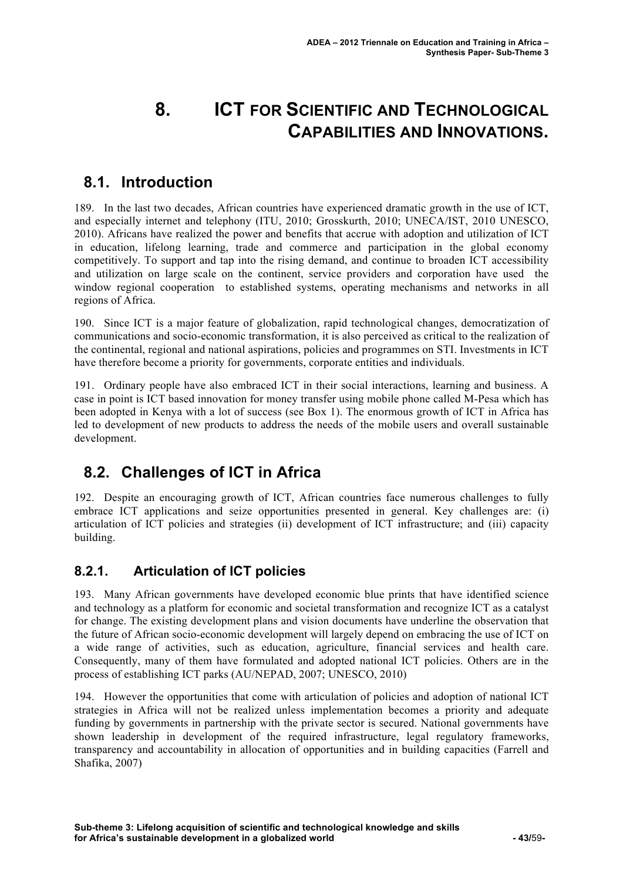# **8. ICT FOR SCIENTIFIC AND TECHNOLOGICAL CAPABILITIES AND INNOVATIONS.**

### **8.1. Introduction**

189. In the last two decades, African countries have experienced dramatic growth in the use of ICT, and especially internet and telephony (ITU, 2010; Grosskurth, 2010; UNECA/IST, 2010 UNESCO, 2010). Africans have realized the power and benefits that accrue with adoption and utilization of ICT in education, lifelong learning, trade and commerce and participation in the global economy competitively. To support and tap into the rising demand, and continue to broaden ICT accessibility and utilization on large scale on the continent, service providers and corporation have used the window regional cooperation to established systems, operating mechanisms and networks in all regions of Africa.

190. Since ICT is a major feature of globalization, rapid technological changes, democratization of communications and socio-economic transformation, it is also perceived as critical to the realization of the continental, regional and national aspirations, policies and programmes on STI. Investments in ICT have therefore become a priority for governments, corporate entities and individuals.

191. Ordinary people have also embraced ICT in their social interactions, learning and business. A case in point is ICT based innovation for money transfer using mobile phone called M-Pesa which has been adopted in Kenya with a lot of success (see Box 1). The enormous growth of ICT in Africa has led to development of new products to address the needs of the mobile users and overall sustainable development.

## **8.2. Challenges of ICT in Africa**

192. Despite an encouraging growth of ICT, African countries face numerous challenges to fully embrace ICT applications and seize opportunities presented in general. Key challenges are: (i) articulation of ICT policies and strategies (ii) development of ICT infrastructure; and (iii) capacity building.

### **8.2.1. Articulation of ICT policies**

193. Many African governments have developed economic blue prints that have identified science and technology as a platform for economic and societal transformation and recognize ICT as a catalyst for change. The existing development plans and vision documents have underline the observation that the future of African socio-economic development will largely depend on embracing the use of ICT on a wide range of activities, such as education, agriculture, financial services and health care. Consequently, many of them have formulated and adopted national ICT policies. Others are in the process of establishing ICT parks (AU/NEPAD, 2007; UNESCO, 2010)

194. However the opportunities that come with articulation of policies and adoption of national ICT strategies in Africa will not be realized unless implementation becomes a priority and adequate funding by governments in partnership with the private sector is secured. National governments have shown leadership in development of the required infrastructure, legal regulatory frameworks, transparency and accountability in allocation of opportunities and in building capacities (Farrell and Shafika, 2007)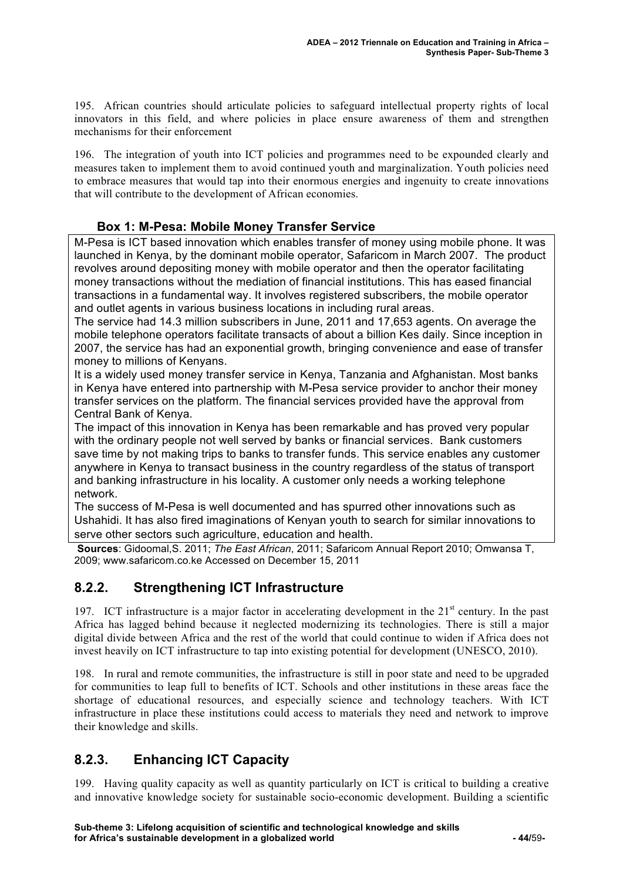195. African countries should articulate policies to safeguard intellectual property rights of local innovators in this field, and where policies in place ensure awareness of them and strengthen mechanisms for their enforcement

196. The integration of youth into ICT policies and programmes need to be expounded clearly and measures taken to implement them to avoid continued youth and marginalization. Youth policies need to embrace measures that would tap into their enormous energies and ingenuity to create innovations that will contribute to the development of African economies.

#### **Box 1: M-Pesa: Mobile Money Transfer Service**

M-Pesa is ICT based innovation which enables transfer of money using mobile phone. It was launched in Kenya, by the dominant mobile operator, Safaricom in March 2007. The product revolves around depositing money with mobile operator and then the operator facilitating money transactions without the mediation of financial institutions. This has eased financial transactions in a fundamental way. It involves registered subscribers, the mobile operator and outlet agents in various business locations in including rural areas.

The service had 14.3 million subscribers in June, 2011 and 17,653 agents. On average the mobile telephone operators facilitate transacts of about a billion Kes daily. Since inception in 2007, the service has had an exponential growth, bringing convenience and ease of transfer money to millions of Kenyans.

It is a widely used money transfer service in Kenya, Tanzania and Afghanistan. Most banks in Kenya have entered into partnership with M-Pesa service provider to anchor their money transfer services on the platform. The financial services provided have the approval from Central Bank of Kenya.

The impact of this innovation in Kenya has been remarkable and has proved very popular with the ordinary people not well served by banks or financial services. Bank customers save time by not making trips to banks to transfer funds. This service enables any customer anywhere in Kenya to transact business in the country regardless of the status of transport and banking infrastructure in his locality. A customer only needs a working telephone network.

The success of M-Pesa is well documented and has spurred other innovations such as Ushahidi. It has also fired imaginations of Kenyan youth to search for similar innovations to serve other sectors such agriculture, education and health.

**Sources**: Gidoomal,S. 2011; *The East African*, 2011; Safaricom Annual Report 2010; Omwansa T, 2009; www.safaricom.co.ke Accessed on December 15, 2011

### **8.2.2. Strengthening ICT Infrastructure**

197. ICT infrastructure is a major factor in accelerating development in the  $21<sup>st</sup>$  century. In the past Africa has lagged behind because it neglected modernizing its technologies. There is still a major digital divide between Africa and the rest of the world that could continue to widen if Africa does not invest heavily on ICT infrastructure to tap into existing potential for development (UNESCO, 2010).

198. In rural and remote communities, the infrastructure is still in poor state and need to be upgraded for communities to leap full to benefits of ICT. Schools and other institutions in these areas face the shortage of educational resources, and especially science and technology teachers. With ICT infrastructure in place these institutions could access to materials they need and network to improve their knowledge and skills.

### **8.2.3. Enhancing ICT Capacity**

199. Having quality capacity as well as quantity particularly on ICT is critical to building a creative and innovative knowledge society for sustainable socio-economic development. Building a scientific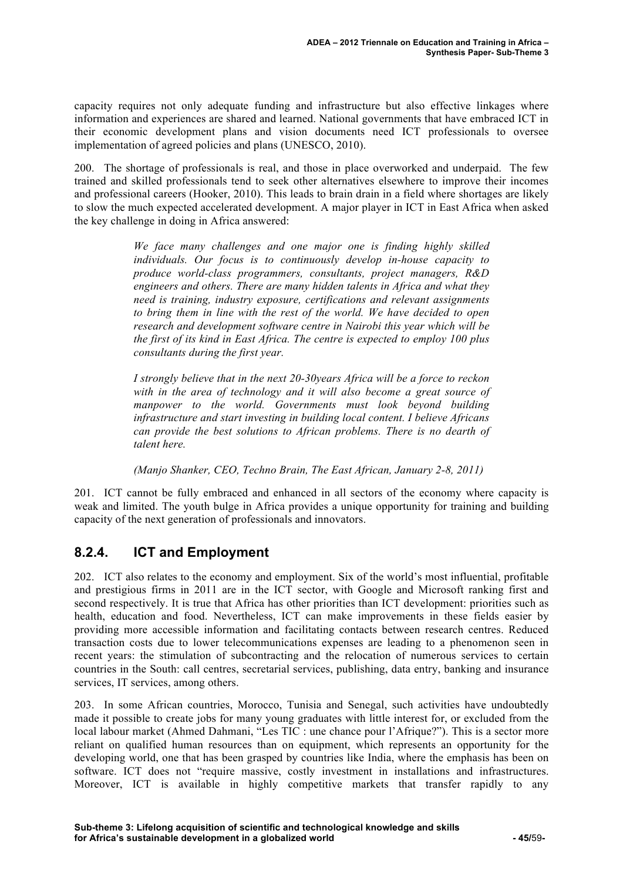capacity requires not only adequate funding and infrastructure but also effective linkages where information and experiences are shared and learned. National governments that have embraced ICT in their economic development plans and vision documents need ICT professionals to oversee implementation of agreed policies and plans (UNESCO, 2010).

200. The shortage of professionals is real, and those in place overworked and underpaid. The few trained and skilled professionals tend to seek other alternatives elsewhere to improve their incomes and professional careers (Hooker, 2010). This leads to brain drain in a field where shortages are likely to slow the much expected accelerated development. A major player in ICT in East Africa when asked the key challenge in doing in Africa answered:

> *We face many challenges and one major one is finding highly skilled individuals. Our focus is to continuously develop in-house capacity to produce world-class programmers, consultants, project managers, R&D engineers and others. There are many hidden talents in Africa and what they need is training, industry exposure, certifications and relevant assignments to bring them in line with the rest of the world. We have decided to open research and development software centre in Nairobi this year which will be the first of its kind in East Africa. The centre is expected to employ 100 plus consultants during the first year.*

> *I strongly believe that in the next 20-30years Africa will be a force to reckon with in the area of technology and it will also become a great source of manpower to the world. Governments must look beyond building infrastructure and start investing in building local content. I believe Africans can provide the best solutions to African problems. There is no dearth of talent here.*

*(Manjo Shanker, CEO, Techno Brain, The East African, January 2-8, 2011)*

201. ICT cannot be fully embraced and enhanced in all sectors of the economy where capacity is weak and limited. The youth bulge in Africa provides a unique opportunity for training and building capacity of the next generation of professionals and innovators.

### **8.2.4. ICT and Employment**

202. ICT also relates to the economy and employment. Six of the world's most influential, profitable and prestigious firms in 2011 are in the ICT sector, with Google and Microsoft ranking first and second respectively. It is true that Africa has other priorities than ICT development: priorities such as health, education and food. Nevertheless, ICT can make improvements in these fields easier by providing more accessible information and facilitating contacts between research centres. Reduced transaction costs due to lower telecommunications expenses are leading to a phenomenon seen in recent years: the stimulation of subcontracting and the relocation of numerous services to certain countries in the South: call centres, secretarial services, publishing, data entry, banking and insurance services, IT services, among others.

203. In some African countries, Morocco, Tunisia and Senegal, such activities have undoubtedly made it possible to create jobs for many young graduates with little interest for, or excluded from the local labour market (Ahmed Dahmani, "Les TIC : une chance pour l'Afrique?"). This is a sector more reliant on qualified human resources than on equipment, which represents an opportunity for the developing world, one that has been grasped by countries like India, where the emphasis has been on software. ICT does not "require massive, costly investment in installations and infrastructures. Moreover, ICT is available in highly competitive markets that transfer rapidly to any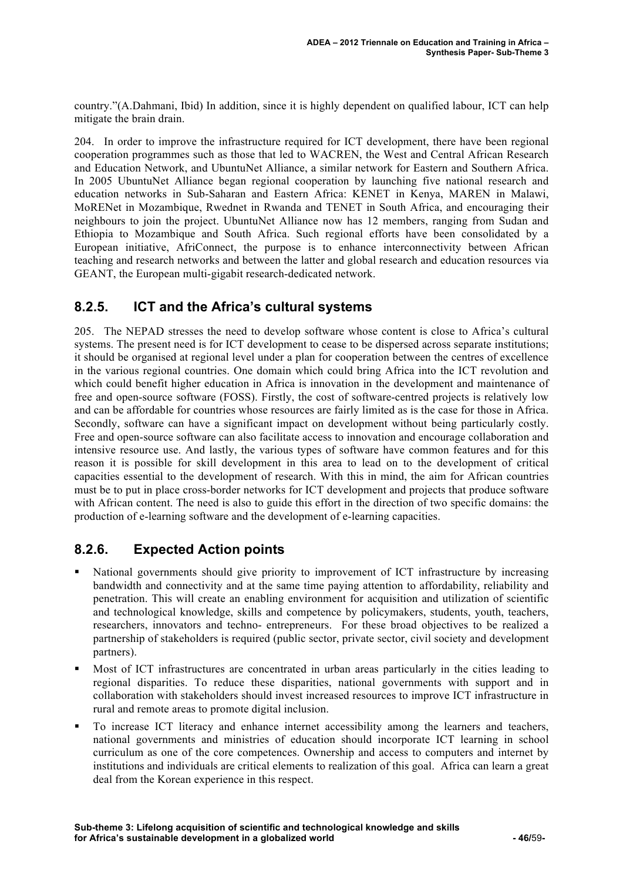country."(A.Dahmani, Ibid) In addition, since it is highly dependent on qualified labour, ICT can help mitigate the brain drain.

204. In order to improve the infrastructure required for ICT development, there have been regional cooperation programmes such as those that led to WACREN, the West and Central African Research and Education Network, and UbuntuNet Alliance, a similar network for Eastern and Southern Africa. In 2005 UbuntuNet Alliance began regional cooperation by launching five national research and education networks in Sub-Saharan and Eastern Africa: KENET in Kenya, MAREN in Malawi, MoRENet in Mozambique, Rwednet in Rwanda and TENET in South Africa, and encouraging their neighbours to join the project. UbuntuNet Alliance now has 12 members, ranging from Sudan and Ethiopia to Mozambique and South Africa. Such regional efforts have been consolidated by a European initiative, AfriConnect, the purpose is to enhance interconnectivity between African teaching and research networks and between the latter and global research and education resources via GEANT, the European multi-gigabit research-dedicated network.

#### **8.2.5. ICT and the Africa's cultural systems**

205. The NEPAD stresses the need to develop software whose content is close to Africa's cultural systems. The present need is for ICT development to cease to be dispersed across separate institutions; it should be organised at regional level under a plan for cooperation between the centres of excellence in the various regional countries. One domain which could bring Africa into the ICT revolution and which could benefit higher education in Africa is innovation in the development and maintenance of free and open-source software (FOSS). Firstly, the cost of software-centred projects is relatively low and can be affordable for countries whose resources are fairly limited as is the case for those in Africa. Secondly, software can have a significant impact on development without being particularly costly. Free and open-source software can also facilitate access to innovation and encourage collaboration and intensive resource use. And lastly, the various types of software have common features and for this reason it is possible for skill development in this area to lead on to the development of critical capacities essential to the development of research. With this in mind, the aim for African countries must be to put in place cross-border networks for ICT development and projects that produce software with African content. The need is also to guide this effort in the direction of two specific domains: the production of e-learning software and the development of e-learning capacities.

### **8.2.6. Expected Action points**

- National governments should give priority to improvement of ICT infrastructure by increasing bandwidth and connectivity and at the same time paying attention to affordability, reliability and penetration. This will create an enabling environment for acquisition and utilization of scientific and technological knowledge, skills and competence by policymakers, students, youth, teachers, researchers, innovators and techno- entrepreneurs. For these broad objectives to be realized a partnership of stakeholders is required (public sector, private sector, civil society and development partners).
- Most of ICT infrastructures are concentrated in urban areas particularly in the cities leading to regional disparities. To reduce these disparities, national governments with support and in collaboration with stakeholders should invest increased resources to improve ICT infrastructure in rural and remote areas to promote digital inclusion.
- To increase ICT literacy and enhance internet accessibility among the learners and teachers, national governments and ministries of education should incorporate ICT learning in school curriculum as one of the core competences. Ownership and access to computers and internet by institutions and individuals are critical elements to realization of this goal. Africa can learn a great deal from the Korean experience in this respect.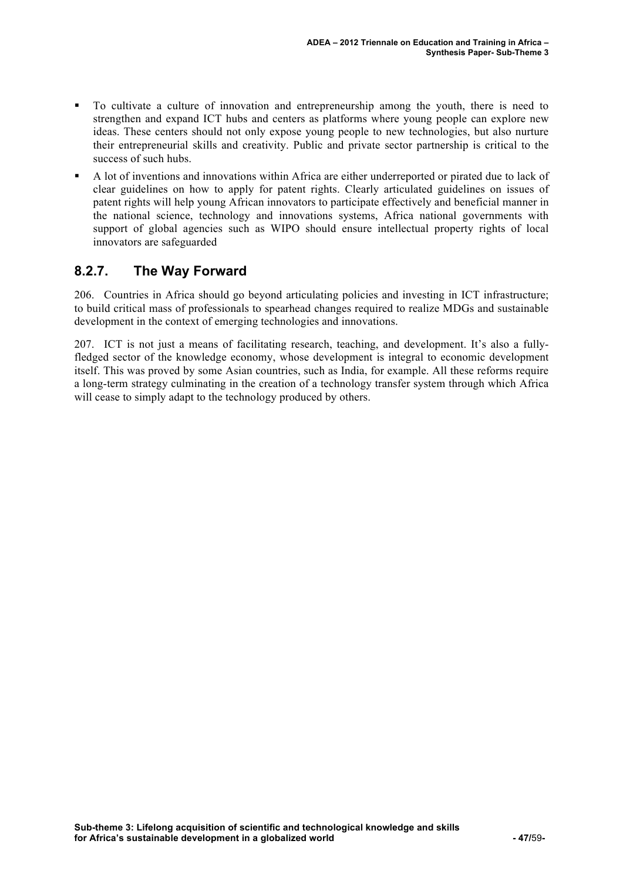- To cultivate a culture of innovation and entrepreneurship among the youth, there is need to strengthen and expand ICT hubs and centers as platforms where young people can explore new ideas. These centers should not only expose young people to new technologies, but also nurture their entrepreneurial skills and creativity. Public and private sector partnership is critical to the success of such hubs.
- A lot of inventions and innovations within Africa are either underreported or pirated due to lack of clear guidelines on how to apply for patent rights. Clearly articulated guidelines on issues of patent rights will help young African innovators to participate effectively and beneficial manner in the national science, technology and innovations systems, Africa national governments with support of global agencies such as WIPO should ensure intellectual property rights of local innovators are safeguarded

### **8.2.7. The Way Forward**

206. Countries in Africa should go beyond articulating policies and investing in ICT infrastructure; to build critical mass of professionals to spearhead changes required to realize MDGs and sustainable development in the context of emerging technologies and innovations.

207. ICT is not just a means of facilitating research, teaching, and development. It's also a fullyfledged sector of the knowledge economy, whose development is integral to economic development itself. This was proved by some Asian countries, such as India, for example. All these reforms require a long-term strategy culminating in the creation of a technology transfer system through which Africa will cease to simply adapt to the technology produced by others.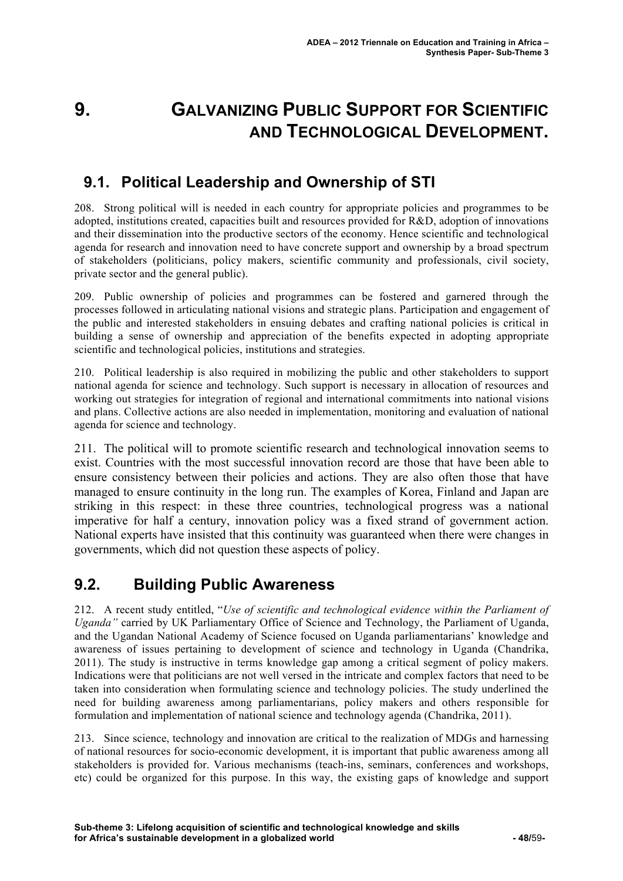# **9. GALVANIZING PUBLIC SUPPORT FOR SCIENTIFIC AND TECHNOLOGICAL DEVELOPMENT.**

## **9.1. Political Leadership and Ownership of STI**

208. Strong political will is needed in each country for appropriate policies and programmes to be adopted, institutions created, capacities built and resources provided for R&D, adoption of innovations and their dissemination into the productive sectors of the economy. Hence scientific and technological agenda for research and innovation need to have concrete support and ownership by a broad spectrum of stakeholders (politicians, policy makers, scientific community and professionals, civil society, private sector and the general public).

209. Public ownership of policies and programmes can be fostered and garnered through the processes followed in articulating national visions and strategic plans. Participation and engagement of the public and interested stakeholders in ensuing debates and crafting national policies is critical in building a sense of ownership and appreciation of the benefits expected in adopting appropriate scientific and technological policies, institutions and strategies.

210. Political leadership is also required in mobilizing the public and other stakeholders to support national agenda for science and technology. Such support is necessary in allocation of resources and working out strategies for integration of regional and international commitments into national visions and plans. Collective actions are also needed in implementation, monitoring and evaluation of national agenda for science and technology.

211. The political will to promote scientific research and technological innovation seems to exist. Countries with the most successful innovation record are those that have been able to ensure consistency between their policies and actions. They are also often those that have managed to ensure continuity in the long run. The examples of Korea, Finland and Japan are striking in this respect: in these three countries, technological progress was a national imperative for half a century, innovation policy was a fixed strand of government action. National experts have insisted that this continuity was guaranteed when there were changes in governments, which did not question these aspects of policy.

### **9.2. Building Public Awareness**

212. A recent study entitled, "*Use of scientific and technological evidence within the Parliament of Uganda"* carried by UK Parliamentary Office of Science and Technology, the Parliament of Uganda, and the Ugandan National Academy of Science focused on Uganda parliamentarians' knowledge and awareness of issues pertaining to development of science and technology in Uganda (Chandrika, 2011). The study is instructive in terms knowledge gap among a critical segment of policy makers. Indications were that politicians are not well versed in the intricate and complex factors that need to be taken into consideration when formulating science and technology policies. The study underlined the need for building awareness among parliamentarians, policy makers and others responsible for formulation and implementation of national science and technology agenda (Chandrika, 2011).

213. Since science, technology and innovation are critical to the realization of MDGs and harnessing of national resources for socio-economic development, it is important that public awareness among all stakeholders is provided for. Various mechanisms (teach-ins, seminars, conferences and workshops, etc) could be organized for this purpose. In this way, the existing gaps of knowledge and support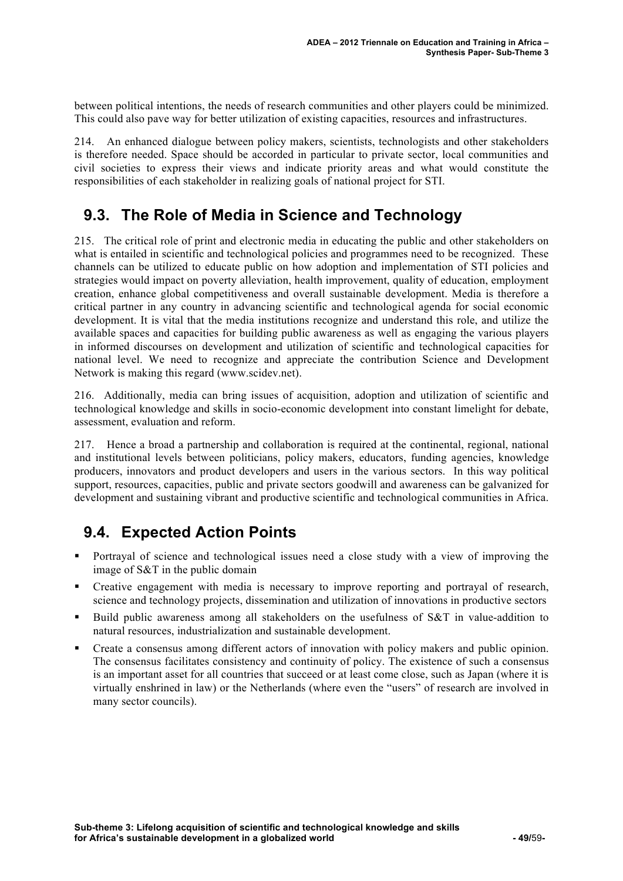between political intentions, the needs of research communities and other players could be minimized. This could also pave way for better utilization of existing capacities, resources and infrastructures.

214. An enhanced dialogue between policy makers, scientists, technologists and other stakeholders is therefore needed. Space should be accorded in particular to private sector, local communities and civil societies to express their views and indicate priority areas and what would constitute the responsibilities of each stakeholder in realizing goals of national project for STI.

### **9.3. The Role of Media in Science and Technology**

215. The critical role of print and electronic media in educating the public and other stakeholders on what is entailed in scientific and technological policies and programmes need to be recognized. These channels can be utilized to educate public on how adoption and implementation of STI policies and strategies would impact on poverty alleviation, health improvement, quality of education, employment creation, enhance global competitiveness and overall sustainable development. Media is therefore a critical partner in any country in advancing scientific and technological agenda for social economic development. It is vital that the media institutions recognize and understand this role, and utilize the available spaces and capacities for building public awareness as well as engaging the various players in informed discourses on development and utilization of scientific and technological capacities for national level. We need to recognize and appreciate the contribution Science and Development Network is making this regard (www.scidev.net).

216. Additionally, media can bring issues of acquisition, adoption and utilization of scientific and technological knowledge and skills in socio-economic development into constant limelight for debate, assessment, evaluation and reform.

217. Hence a broad a partnership and collaboration is required at the continental, regional, national and institutional levels between politicians, policy makers, educators, funding agencies, knowledge producers, innovators and product developers and users in the various sectors. In this way political support, resources, capacities, public and private sectors goodwill and awareness can be galvanized for development and sustaining vibrant and productive scientific and technological communities in Africa.

## **9.4. Expected Action Points**

- Portrayal of science and technological issues need a close study with a view of improving the image of S&T in the public domain
- Creative engagement with media is necessary to improve reporting and portrayal of research, science and technology projects, dissemination and utilization of innovations in productive sectors
- Build public awareness among all stakeholders on the usefulness of S&T in value-addition to natural resources, industrialization and sustainable development.
- Create a consensus among different actors of innovation with policy makers and public opinion. The consensus facilitates consistency and continuity of policy. The existence of such a consensus is an important asset for all countries that succeed or at least come close, such as Japan (where it is virtually enshrined in law) or the Netherlands (where even the "users" of research are involved in many sector councils).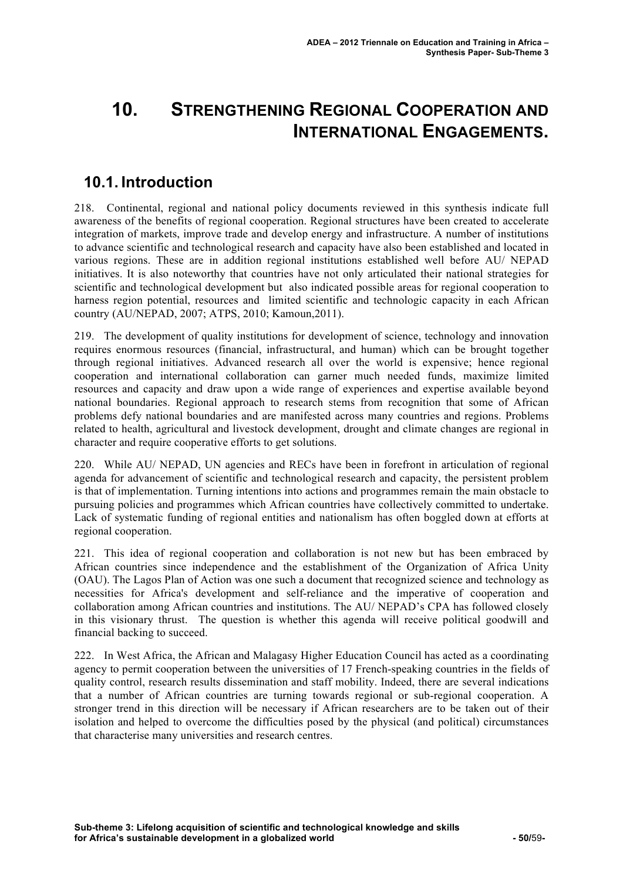# **10. STRENGTHENING REGIONAL COOPERATION AND INTERNATIONAL ENGAGEMENTS.**

### **10.1. Introduction**

218. Continental, regional and national policy documents reviewed in this synthesis indicate full awareness of the benefits of regional cooperation. Regional structures have been created to accelerate integration of markets, improve trade and develop energy and infrastructure. A number of institutions to advance scientific and technological research and capacity have also been established and located in various regions. These are in addition regional institutions established well before AU/ NEPAD initiatives. It is also noteworthy that countries have not only articulated their national strategies for scientific and technological development but also indicated possible areas for regional cooperation to harness region potential, resources and limited scientific and technologic capacity in each African country (AU/NEPAD, 2007; ATPS, 2010; Kamoun,2011).

219. The development of quality institutions for development of science, technology and innovation requires enormous resources (financial, infrastructural, and human) which can be brought together through regional initiatives. Advanced research all over the world is expensive; hence regional cooperation and international collaboration can garner much needed funds, maximize limited resources and capacity and draw upon a wide range of experiences and expertise available beyond national boundaries. Regional approach to research stems from recognition that some of African problems defy national boundaries and are manifested across many countries and regions. Problems related to health, agricultural and livestock development, drought and climate changes are regional in character and require cooperative efforts to get solutions.

220. While AU/ NEPAD, UN agencies and RECs have been in forefront in articulation of regional agenda for advancement of scientific and technological research and capacity, the persistent problem is that of implementation. Turning intentions into actions and programmes remain the main obstacle to pursuing policies and programmes which African countries have collectively committed to undertake. Lack of systematic funding of regional entities and nationalism has often boggled down at efforts at regional cooperation.

221. This idea of regional cooperation and collaboration is not new but has been embraced by African countries since independence and the establishment of the Organization of Africa Unity (OAU). The Lagos Plan of Action was one such a document that recognized science and technology as necessities for Africa's development and self-reliance and the imperative of cooperation and collaboration among African countries and institutions. The AU/ NEPAD's CPA has followed closely in this visionary thrust. The question is whether this agenda will receive political goodwill and financial backing to succeed.

222. In West Africa, the African and Malagasy Higher Education Council has acted as a coordinating agency to permit cooperation between the universities of 17 French-speaking countries in the fields of quality control, research results dissemination and staff mobility. Indeed, there are several indications that a number of African countries are turning towards regional or sub-regional cooperation. A stronger trend in this direction will be necessary if African researchers are to be taken out of their isolation and helped to overcome the difficulties posed by the physical (and political) circumstances that characterise many universities and research centres.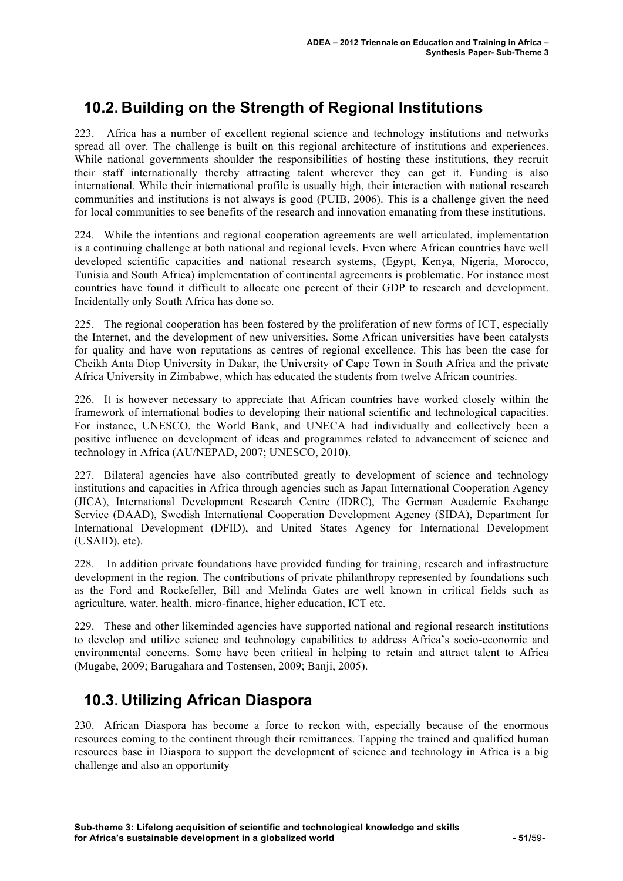## **10.2. Building on the Strength of Regional Institutions**

223. Africa has a number of excellent regional science and technology institutions and networks spread all over. The challenge is built on this regional architecture of institutions and experiences. While national governments shoulder the responsibilities of hosting these institutions, they recruit their staff internationally thereby attracting talent wherever they can get it. Funding is also international. While their international profile is usually high, their interaction with national research communities and institutions is not always is good (PUIB, 2006). This is a challenge given the need for local communities to see benefits of the research and innovation emanating from these institutions.

224. While the intentions and regional cooperation agreements are well articulated, implementation is a continuing challenge at both national and regional levels. Even where African countries have well developed scientific capacities and national research systems, (Egypt, Kenya, Nigeria, Morocco, Tunisia and South Africa) implementation of continental agreements is problematic. For instance most countries have found it difficult to allocate one percent of their GDP to research and development. Incidentally only South Africa has done so.

225. The regional cooperation has been fostered by the proliferation of new forms of ICT, especially the Internet, and the development of new universities. Some African universities have been catalysts for quality and have won reputations as centres of regional excellence. This has been the case for Cheikh Anta Diop University in Dakar, the University of Cape Town in South Africa and the private Africa University in Zimbabwe, which has educated the students from twelve African countries.

226. It is however necessary to appreciate that African countries have worked closely within the framework of international bodies to developing their national scientific and technological capacities. For instance, UNESCO, the World Bank, and UNECA had individually and collectively been a positive influence on development of ideas and programmes related to advancement of science and technology in Africa (AU/NEPAD, 2007; UNESCO, 2010).

227. Bilateral agencies have also contributed greatly to development of science and technology institutions and capacities in Africa through agencies such as Japan International Cooperation Agency (JICA), International Development Research Centre (IDRC), The German Academic Exchange Service (DAAD), Swedish International Cooperation Development Agency (SIDA), Department for International Development (DFID), and United States Agency for International Development (USAID), etc).

228. In addition private foundations have provided funding for training, research and infrastructure development in the region. The contributions of private philanthropy represented by foundations such as the Ford and Rockefeller, Bill and Melinda Gates are well known in critical fields such as agriculture, water, health, micro-finance, higher education, ICT etc.

229. These and other likeminded agencies have supported national and regional research institutions to develop and utilize science and technology capabilities to address Africa's socio-economic and environmental concerns. Some have been critical in helping to retain and attract talent to Africa (Mugabe, 2009; Barugahara and Tostensen, 2009; Banji, 2005).

## **10.3. Utilizing African Diaspora**

230. African Diaspora has become a force to reckon with, especially because of the enormous resources coming to the continent through their remittances. Tapping the trained and qualified human resources base in Diaspora to support the development of science and technology in Africa is a big challenge and also an opportunity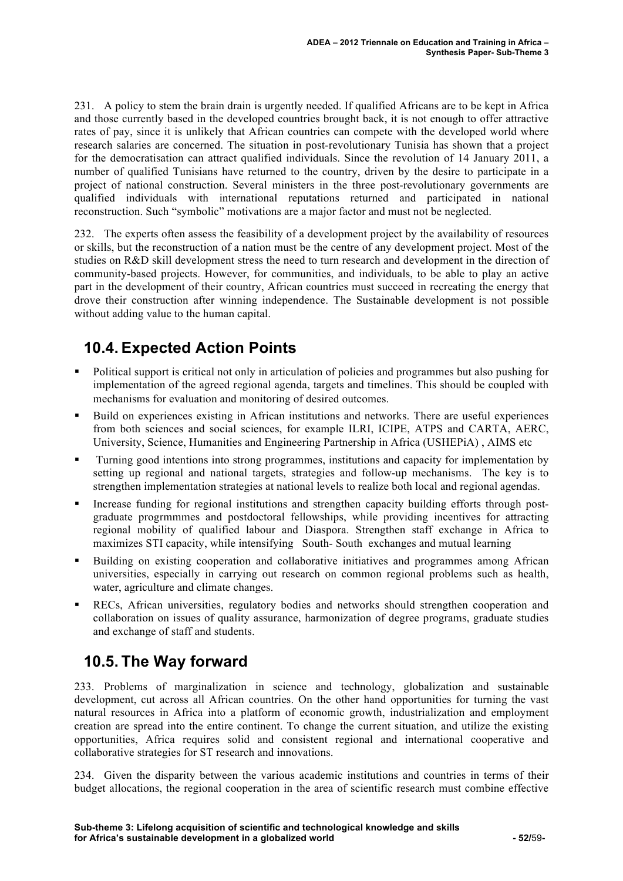231. A policy to stem the brain drain is urgently needed. If qualified Africans are to be kept in Africa and those currently based in the developed countries brought back, it is not enough to offer attractive rates of pay, since it is unlikely that African countries can compete with the developed world where research salaries are concerned. The situation in post-revolutionary Tunisia has shown that a project for the democratisation can attract qualified individuals. Since the revolution of 14 January 2011, a number of qualified Tunisians have returned to the country, driven by the desire to participate in a project of national construction. Several ministers in the three post-revolutionary governments are qualified individuals with international reputations returned and participated in national reconstruction. Such "symbolic" motivations are a major factor and must not be neglected.

232. The experts often assess the feasibility of a development project by the availability of resources or skills, but the reconstruction of a nation must be the centre of any development project. Most of the studies on R&D skill development stress the need to turn research and development in the direction of community-based projects. However, for communities, and individuals, to be able to play an active part in the development of their country, African countries must succeed in recreating the energy that drove their construction after winning independence. The Sustainable development is not possible without adding value to the human capital.

# **10.4. Expected Action Points**

- Political support is critical not only in articulation of policies and programmes but also pushing for implementation of the agreed regional agenda, targets and timelines. This should be coupled with mechanisms for evaluation and monitoring of desired outcomes.
- Build on experiences existing in African institutions and networks. There are useful experiences from both sciences and social sciences, for example ILRI, ICIPE, ATPS and CARTA, AERC, University, Science, Humanities and Engineering Partnership in Africa (USHEPiA) , AIMS etc
- Turning good intentions into strong programmes, institutions and capacity for implementation by setting up regional and national targets, strategies and follow-up mechanisms. The key is to strengthen implementation strategies at national levels to realize both local and regional agendas.
- Increase funding for regional institutions and strengthen capacity building efforts through postgraduate progrmmmes and postdoctoral fellowships, while providing incentives for attracting regional mobility of qualified labour and Diaspora. Strengthen staff exchange in Africa to maximizes STI capacity, while intensifying South- South exchanges and mutual learning
- Building on existing cooperation and collaborative initiatives and programmes among African universities, especially in carrying out research on common regional problems such as health, water, agriculture and climate changes.
- RECs, African universities, regulatory bodies and networks should strengthen cooperation and collaboration on issues of quality assurance, harmonization of degree programs, graduate studies and exchange of staff and students.

## **10.5. The Way forward**

233. Problems of marginalization in science and technology, globalization and sustainable development, cut across all African countries. On the other hand opportunities for turning the vast natural resources in Africa into a platform of economic growth, industrialization and employment creation are spread into the entire continent. To change the current situation, and utilize the existing opportunities, Africa requires solid and consistent regional and international cooperative and collaborative strategies for ST research and innovations.

234. Given the disparity between the various academic institutions and countries in terms of their budget allocations, the regional cooperation in the area of scientific research must combine effective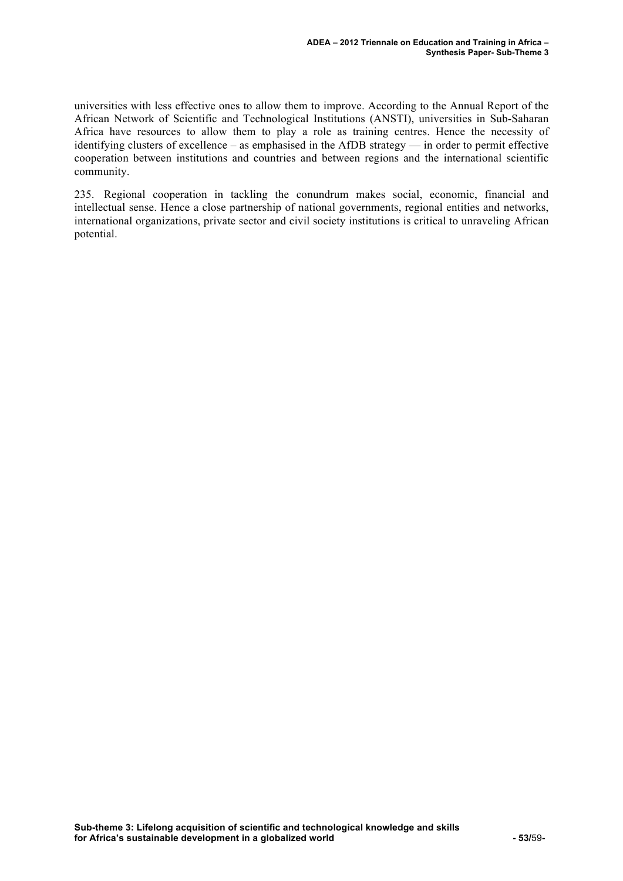universities with less effective ones to allow them to improve. According to the Annual Report of the African Network of Scientific and Technological Institutions (ANSTI), universities in Sub-Saharan Africa have resources to allow them to play a role as training centres. Hence the necessity of identifying clusters of excellence – as emphasised in the AfDB strategy — in order to permit effective cooperation between institutions and countries and between regions and the international scientific community.

235. Regional cooperation in tackling the conundrum makes social, economic, financial and intellectual sense. Hence a close partnership of national governments, regional entities and networks, international organizations, private sector and civil society institutions is critical to unraveling African potential.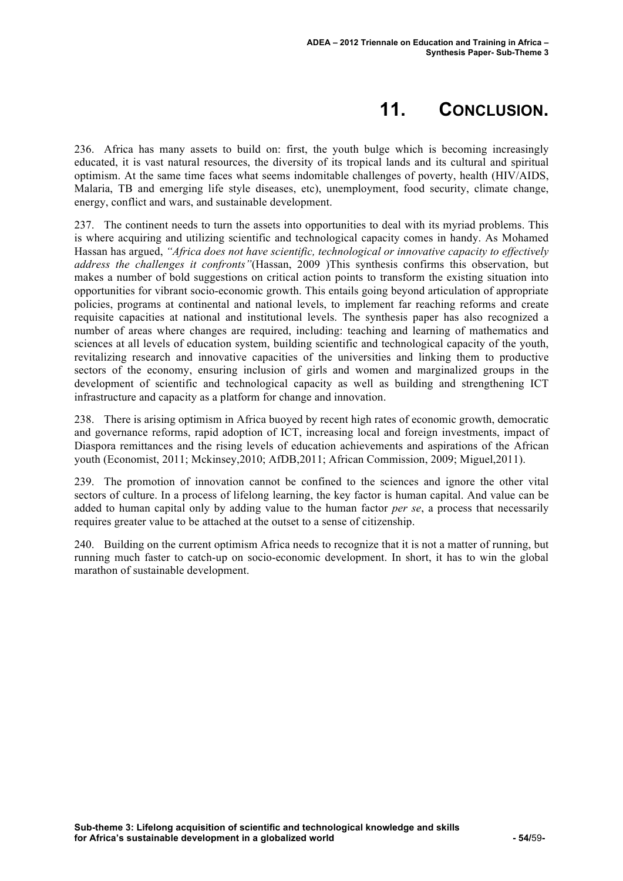## **11. CONCLUSION.**

236. Africa has many assets to build on: first, the youth bulge which is becoming increasingly educated, it is vast natural resources, the diversity of its tropical lands and its cultural and spiritual optimism. At the same time faces what seems indomitable challenges of poverty, health (HIV/AIDS, Malaria, TB and emerging life style diseases, etc), unemployment, food security, climate change, energy, conflict and wars, and sustainable development.

237. The continent needs to turn the assets into opportunities to deal with its myriad problems. This is where acquiring and utilizing scientific and technological capacity comes in handy. As Mohamed Hassan has argued, *"Africa does not have scientific, technological or innovative capacity to effectively address the challenges it confronts"*(Hassan, 2009 )This synthesis confirms this observation, but makes a number of bold suggestions on critical action points to transform the existing situation into opportunities for vibrant socio-economic growth. This entails going beyond articulation of appropriate policies, programs at continental and national levels, to implement far reaching reforms and create requisite capacities at national and institutional levels. The synthesis paper has also recognized a number of areas where changes are required, including: teaching and learning of mathematics and sciences at all levels of education system, building scientific and technological capacity of the youth, revitalizing research and innovative capacities of the universities and linking them to productive sectors of the economy, ensuring inclusion of girls and women and marginalized groups in the development of scientific and technological capacity as well as building and strengthening ICT infrastructure and capacity as a platform for change and innovation.

238. There is arising optimism in Africa buoyed by recent high rates of economic growth, democratic and governance reforms, rapid adoption of ICT, increasing local and foreign investments, impact of Diaspora remittances and the rising levels of education achievements and aspirations of the African youth (Economist, 2011; Mckinsey,2010; AfDB,2011; African Commission, 2009; Miguel,2011).

239. The promotion of innovation cannot be confined to the sciences and ignore the other vital sectors of culture. In a process of lifelong learning, the key factor is human capital. And value can be added to human capital only by adding value to the human factor *per se*, a process that necessarily requires greater value to be attached at the outset to a sense of citizenship.

240. Building on the current optimism Africa needs to recognize that it is not a matter of running, but running much faster to catch-up on socio-economic development. In short, it has to win the global marathon of sustainable development.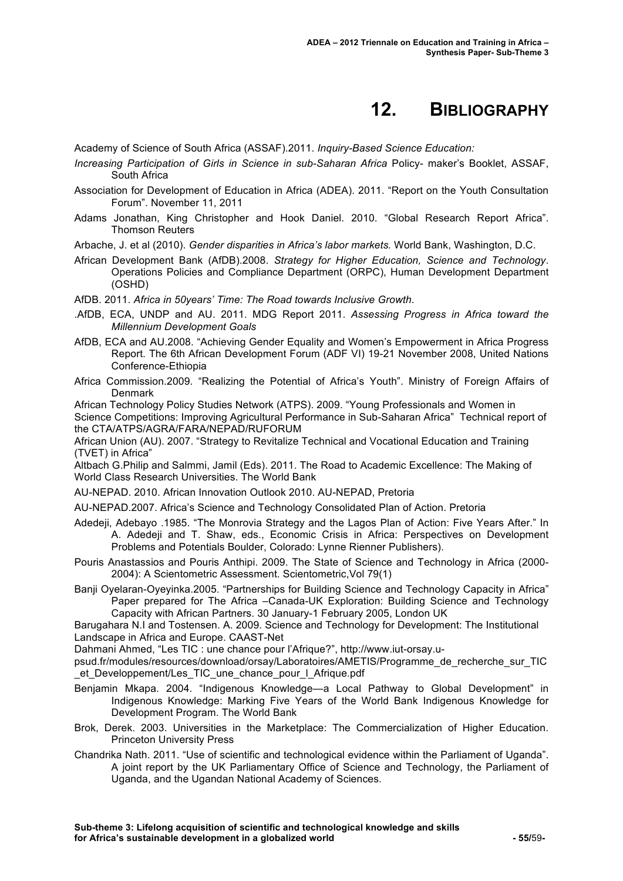## **12. BIBLIOGRAPHY**

Academy of Science of South Africa (ASSAF).2011. *Inquiry-Based Science Education:*

- *Increasing Participation of Girls in Science in sub-Saharan Africa* Policy- maker's Booklet, ASSAF, South Africa
- Association for Development of Education in Africa (ADEA). 2011. "Report on the Youth Consultation Forum". November 11, 2011
- Adams Jonathan, King Christopher and Hook Daniel. 2010. "Global Research Report Africa". Thomson Reuters

Arbache, J. et al (2010). *Gender disparities in Africa's labor markets.* World Bank, Washington, D.C.

- African Development Bank (AfDB).2008. *Strategy for Higher Education, Science and Technology*. Operations Policies and Compliance Department (ORPC), Human Development Department (OSHD)
- AfDB. 2011. *Africa in 50years' Time: The Road towards Inclusive Growth*.
- .AfDB, ECA, UNDP and AU. 2011. MDG Report 2011. *Assessing Progress in Africa toward the Millennium Development Goals*
- AfDB, ECA and AU.2008. "Achieving Gender Equality and Women's Empowerment in Africa Progress Report. The 6th African Development Forum (ADF VI) 19-21 November 2008, United Nations Conference-Ethiopia
- Africa Commission.2009. "Realizing the Potential of Africa's Youth". Ministry of Foreign Affairs of Denmark

African Technology Policy Studies Network (ATPS). 2009. "Young Professionals and Women in Science Competitions: Improving Agricultural Performance in Sub-Saharan Africa" Technical report of the CTA/ATPS/AGRA/FARA/NEPAD/RUFORUM

African Union (AU). 2007. "Strategy to Revitalize Technical and Vocational Education and Training (TVET) in Africa"

Altbach G.Philip and Salmmi, Jamil (Eds). 2011. The Road to Academic Excellence: The Making of World Class Research Universities. The World Bank

AU-NEPAD. 2010. African Innovation Outlook 2010. AU-NEPAD, Pretoria

AU-NEPAD.2007. Africa's Science and Technology Consolidated Plan of Action. Pretoria

- Adedeji, Adebayo .1985. "The Monrovia Strategy and the Lagos Plan of Action: Five Years After." In A. Adedeji and T. Shaw, eds., Economic Crisis in Africa: Perspectives on Development Problems and Potentials Boulder, Colorado: Lynne Rienner Publishers).
- Pouris Anastassios and Pouris Anthipi. 2009. The State of Science and Technology in Africa (2000- 2004): A Scientometric Assessment. Scientometric,Vol 79(1)
- Banji Oyelaran-Oyeyinka.2005. "Partnerships for Building Science and Technology Capacity in Africa" Paper prepared for The Africa –Canada-UK Exploration: Building Science and Technology Capacity with African Partners. 30 January-1 February 2005, London UK

Barugahara N.I and Tostensen. A. 2009. Science and Technology for Development: The Institutional Landscape in Africa and Europe. CAAST-Net

Dahmani Ahmed, "Les TIC : une chance pour l'Afrique?", http://www.iut-orsay.u-

psud.fr/modules/resources/download/orsay/Laboratoires/AMETIS/Programme\_de\_recherche\_sur\_TIC et Developpement/Les TIC une chance pour I Afrique.pdf

- Benjamin Mkapa. 2004. "Indigenous Knowledge—a Local Pathway to Global Development" in Indigenous Knowledge: Marking Five Years of the World Bank Indigenous Knowledge for Development Program. The World Bank
- Brok, Derek. 2003. Universities in the Marketplace: The Commercialization of Higher Education. Princeton University Press
- Chandrika Nath. 2011. "Use of scientific and technological evidence within the Parliament of Uganda". A joint report by the UK Parliamentary Office of Science and Technology, the Parliament of Uganda, and the Ugandan National Academy of Sciences.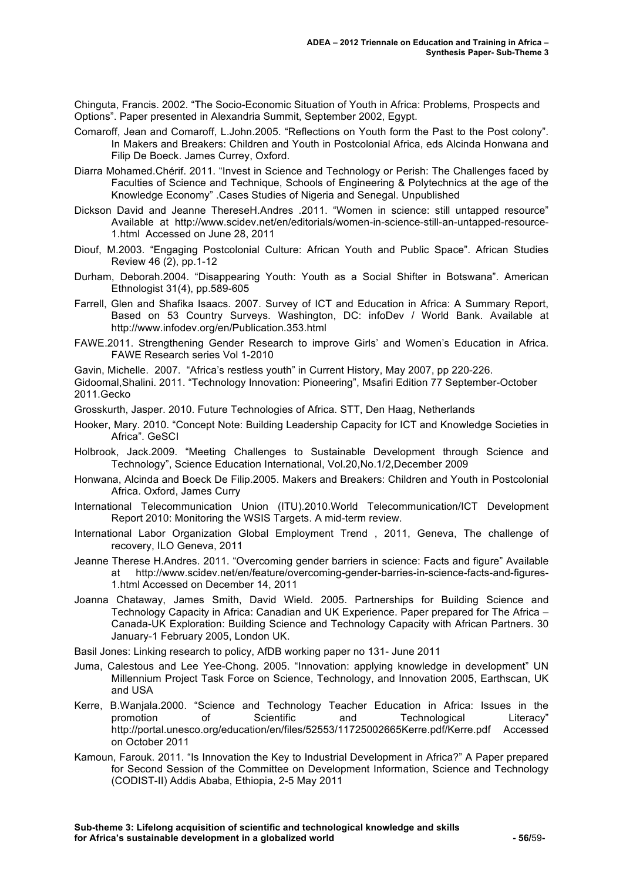Chinguta, Francis. 2002. "The Socio-Economic Situation of Youth in Africa: Problems, Prospects and Options". Paper presented in Alexandria Summit, September 2002, Egypt.

- Comaroff, Jean and Comaroff, L.John.2005. "Reflections on Youth form the Past to the Post colony". In Makers and Breakers: Children and Youth in Postcolonial Africa, eds Alcinda Honwana and Filip De Boeck. James Currey, Oxford.
- Diarra Mohamed.Chérif. 2011. "Invest in Science and Technology or Perish: The Challenges faced by Faculties of Science and Technique, Schools of Engineering & Polytechnics at the age of the Knowledge Economy" .Cases Studies of Nigeria and Senegal. Unpublished
- Dickson David and Jeanne ThereseH.Andres .2011. "Women in science: still untapped resource" Available at http://www.scidev.net/en/editorials/women-in-science-still-an-untapped-resource-1.html Accessed on June 28, 2011
- Diouf, M.2003. "Engaging Postcolonial Culture: African Youth and Public Space". African Studies Review 46 (2), pp.1-12
- Durham, Deborah.2004. "Disappearing Youth: Youth as a Social Shifter in Botswana". American Ethnologist 31(4), pp.589-605
- Farrell, Glen and Shafika Isaacs. 2007. Survey of ICT and Education in Africa: A Summary Report, Based on 53 Country Surveys. Washington, DC: infoDev / World Bank. Available at http://www.infodev.org/en/Publication.353.html
- FAWE.2011. Strengthening Gender Research to improve Girls' and Women's Education in Africa. FAWE Research series Vol 1-2010

Gavin, Michelle. 2007. "Africa's restless youth" in Current History, May 2007, pp 220-226.

- Gidoomal,Shalini. 2011. "Technology Innovation: Pioneering", Msafiri Edition 77 September-October 2011.Gecko
- Grosskurth, Jasper. 2010. Future Technologies of Africa. STT, Den Haag, Netherlands
- Hooker, Mary. 2010. "Concept Note: Building Leadership Capacity for ICT and Knowledge Societies in Africa". GeSCI
- Holbrook, Jack.2009. "Meeting Challenges to Sustainable Development through Science and Technology", Science Education International, Vol.20,No.1/2,December 2009
- Honwana, Alcinda and Boeck De Filip.2005. Makers and Breakers: Children and Youth in Postcolonial Africa. Oxford, James Curry
- International Telecommunication Union (ITU).2010.World Telecommunication/ICT Development Report 2010: Monitoring the WSIS Targets. A mid-term review.
- International Labor Organization Global Employment Trend , 2011, Geneva, The challenge of recovery, ILO Geneva, 2011
- Jeanne Therese H.Andres. 2011. "Overcoming gender barriers in science: Facts and figure" Available at http://www.scidev.net/en/feature/overcoming-gender-barries-in-science-facts-and-figures-1.html Accessed on December 14, 2011
- Joanna Chataway, James Smith, David Wield. 2005. Partnerships for Building Science and Technology Capacity in Africa: Canadian and UK Experience. Paper prepared for The Africa – Canada-UK Exploration: Building Science and Technology Capacity with African Partners. 30 January-1 February 2005, London UK.

Basil Jones: Linking research to policy, AfDB working paper no 131- June 2011

- Juma, Calestous and Lee Yee-Chong. 2005. "Innovation: applying knowledge in development" UN Millennium Project Task Force on Science, Technology, and Innovation 2005, Earthscan, UK and USA
- Kerre, B.Wanjala.2000. "Science and Technology Teacher Education in Africa: Issues in the promotion of Scientific and Technological Literacy" http://portal.unesco.org/education/en/files/52553/11725002665Kerre.pdf/Kerre.pdf Accessed on October 2011
- Kamoun, Farouk. 2011. "Is Innovation the Key to Industrial Development in Africa?" A Paper prepared for Second Session of the Committee on Development Information, Science and Technology (CODIST-II) Addis Ababa, Ethiopia, 2-5 May 2011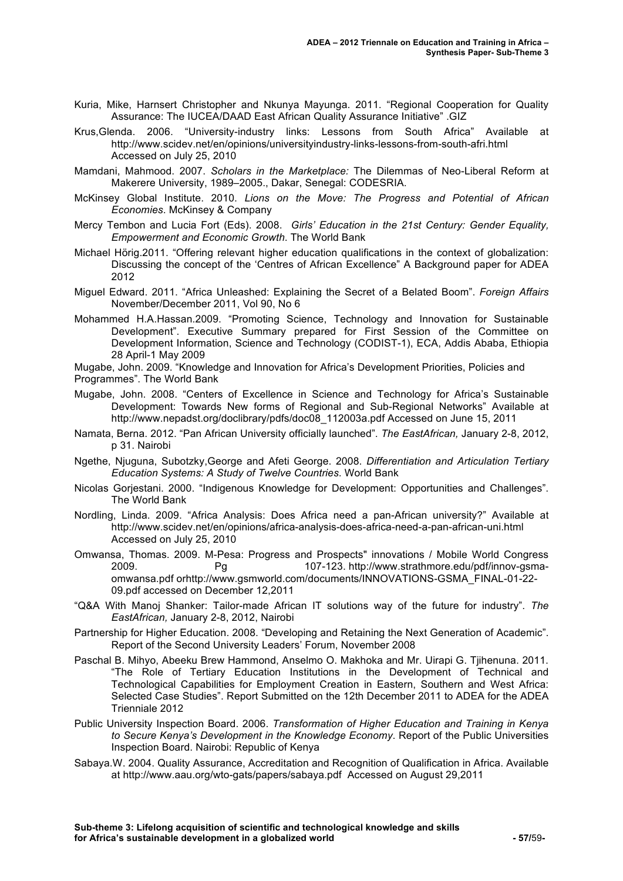- Kuria, Mike, Harnsert Christopher and Nkunya Mayunga. 2011. "Regional Cooperation for Quality Assurance: The IUCEA/DAAD East African Quality Assurance Initiative" .GIZ
- Krus,Glenda. 2006. "University-industry links: Lessons from South Africa" Available at http://www.scidev.net/en/opinions/universityindustry-links-lessons-from-south-afri.html Accessed on July 25, 2010
- Mamdani, Mahmood. 2007. *Scholars in the Marketplace:* The Dilemmas of Neo-Liberal Reform at Makerere University, 1989–2005., Dakar, Senegal: CODESRIA.
- McKinsey Global Institute. 2010. *Lions on the Move: The Progress and Potential of African Economies*. McKinsey & Company
- Mercy Tembon and Lucia Fort (Eds). 2008. *Girls' Education in the 21st Century: Gender Equality, Empowerment and Economic Growth*. The World Bank
- Michael Hörig.2011. "Offering relevant higher education qualifications in the context of globalization: Discussing the concept of the 'Centres of African Excellence" A Background paper for ADEA 2012
- Miguel Edward. 2011. "Africa Unleashed: Explaining the Secret of a Belated Boom". *Foreign Affairs*  November/December 2011, Vol 90, No 6
- Mohammed H.A.Hassan.2009. "Promoting Science, Technology and Innovation for Sustainable Development". Executive Summary prepared for First Session of the Committee on Development Information, Science and Technology (CODIST-1), ECA, Addis Ababa, Ethiopia 28 April-1 May 2009

Mugabe, John. 2009. "Knowledge and Innovation for Africa's Development Priorities, Policies and Programmes". The World Bank

- Mugabe, John. 2008. "Centers of Excellence in Science and Technology for Africa's Sustainable Development: Towards New forms of Regional and Sub-Regional Networks" Available at http://www.nepadst.org/doclibrary/pdfs/doc08\_112003a.pdf Accessed on June 15, 2011
- Namata, Berna. 2012. "Pan African University officially launched". *The EastAfrican,* January 2-8, 2012, p 31. Nairobi
- Ngethe, Njuguna, Subotzky,George and Afeti George. 2008. *Differentiation and Articulation Tertiary Education Systems: A Study of Twelve Countries*. World Bank
- Nicolas Gorjestani. 2000. "Indigenous Knowledge for Development: Opportunities and Challenges". The World Bank
- Nordling, Linda. 2009. "Africa Analysis: Does Africa need a pan-African university?" Available at http://www.scidev.net/en/opinions/africa-analysis-does-africa-need-a-pan-african-uni.html Accessed on July 25, 2010
- Omwansa, Thomas. 2009. M-Pesa: Progress and Prospects" innovations / Mobile World Congress 2009. Pg 107-123. http://www.strathmore.edu/pdf/innov-gsmaomwansa.pdf orhttp://www.gsmworld.com/documents/INNOVATIONS-GSMA\_FINAL-01-22- 09.pdf accessed on December 12,2011
- "Q&A With Manoj Shanker: Tailor-made African IT solutions way of the future for industry". *The EastAfrican,* January 2-8, 2012, Nairobi
- Partnership for Higher Education. 2008. "Developing and Retaining the Next Generation of Academic". Report of the Second University Leaders' Forum, November 2008
- Paschal B. Mihyo, Abeeku Brew Hammond, Anselmo O. Makhoka and Mr. Uirapi G. Tjihenuna. 2011. "The Role of Tertiary Education Institutions in the Development of Technical and Technological Capabilities for Employment Creation in Eastern, Southern and West Africa: Selected Case Studies". Report Submitted on the 12th December 2011 to ADEA for the ADEA Trienniale 2012
- Public University Inspection Board. 2006. *Transformation of Higher Education and Training in Kenya to Secure Kenya's Development in the Knowledge Economy*. Report of the Public Universities Inspection Board. Nairobi: Republic of Kenya
- Sabaya.W. 2004. Quality Assurance, Accreditation and Recognition of Qualification in Africa. Available at http://www.aau.org/wto-gats/papers/sabaya.pdf Accessed on August 29,2011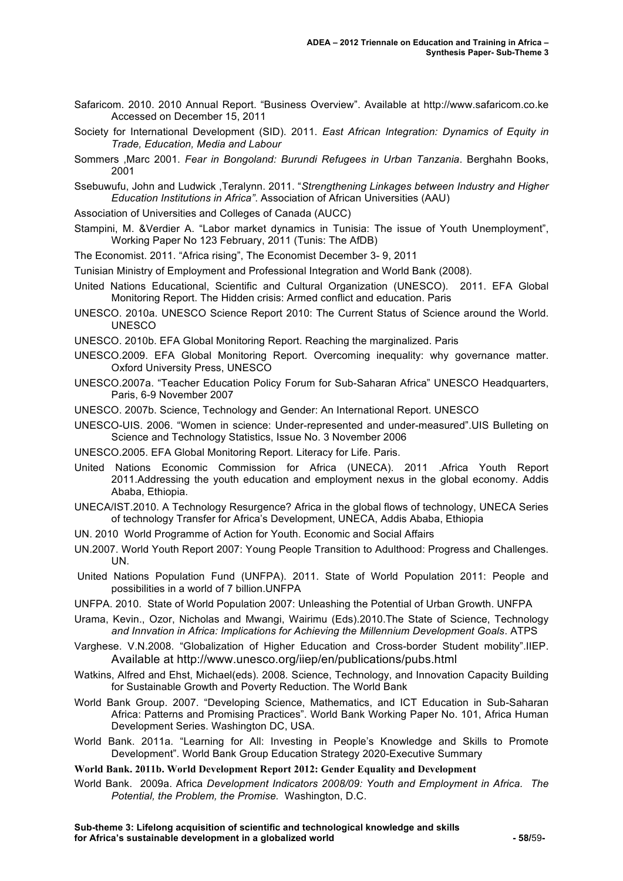- Safaricom. 2010. 2010 Annual Report. "Business Overview". Available at http://www.safaricom.co.ke Accessed on December 15, 2011
- Society for International Development (SID). 2011. *East African Integration: Dynamics of Equity in Trade, Education, Media and Labour*
- Sommers ,Marc 2001. *Fear in Bongoland: Burundi Refugees in Urban Tanzania*. Berghahn Books, 2001
- Ssebuwufu, John and Ludwick ,Teralynn. 2011. "*Strengthening Linkages between Industry and Higher Education Institutions in Africa"*. Association of African Universities (AAU)
- Association of Universities and Colleges of Canada (AUCC)
- Stampini, M. &Verdier A. "Labor market dynamics in Tunisia: The issue of Youth Unemployment", Working Paper No 123 February, 2011 (Tunis: The AfDB)
- The Economist. 2011. "Africa rising", The Economist December 3- 9, 2011
- Tunisian Ministry of Employment and Professional Integration and World Bank (2008).
- United Nations Educational, Scientific and Cultural Organization (UNESCO). 2011. EFA Global Monitoring Report. The Hidden crisis: Armed conflict and education. Paris
- UNESCO. 2010a. UNESCO Science Report 2010: The Current Status of Science around the World. UNESCO
- UNESCO. 2010b. EFA Global Monitoring Report. Reaching the marginalized. Paris
- UNESCO.2009. EFA Global Monitoring Report. Overcoming inequality: why governance matter. Oxford University Press, UNESCO
- UNESCO.2007a. "Teacher Education Policy Forum for Sub-Saharan Africa" UNESCO Headquarters, Paris, 6-9 November 2007
- UNESCO. 2007b. Science, Technology and Gender: An International Report. UNESCO
- UNESCO-UIS. 2006. "Women in science: Under-represented and under-measured".UIS Bulleting on Science and Technology Statistics, Issue No. 3 November 2006
- UNESCO.2005. EFA Global Monitoring Report. Literacy for Life. Paris.
- United Nations Economic Commission for Africa (UNECA). 2011 .Africa Youth Report 2011.Addressing the youth education and employment nexus in the global economy. Addis Ababa, Ethiopia.
- UNECA/IST.2010. A Technology Resurgence? Africa in the global flows of technology, UNECA Series of technology Transfer for Africa's Development, UNECA, Addis Ababa, Ethiopia
- UN. 2010 World Programme of Action for Youth. Economic and Social Affairs
- UN.2007. World Youth Report 2007: Young People Transition to Adulthood: Progress and Challenges. UN.
- United Nations Population Fund (UNFPA). 2011. State of World Population 2011: People and possibilities in a world of 7 billion.UNFPA
- UNFPA. 2010. State of World Population 2007: Unleashing the Potential of Urban Growth. UNFPA
- Urama, Kevin., Ozor, Nicholas and Mwangi, Wairimu (Eds).2010.The State of Science, Technology *and Innvation in Africa: Implications for Achieving the Millennium Development Goals*. ATPS
- Varghese. V.N.2008. "Globalization of Higher Education and Cross-border Student mobility".IIEP. Available at http://www.unesco.org/iiep/en/publications/pubs.html
- Watkins, Alfred and Ehst, Michael(eds). 2008*.* Science, Technology, and Innovation Capacity Building for Sustainable Growth and Poverty Reduction. The World Bank
- World Bank Group. 2007. "Developing Science, Mathematics, and ICT Education in Sub-Saharan Africa: Patterns and Promising Practices". World Bank Working Paper No. 101, Africa Human Development Series. Washington DC, USA.
- World Bank. 2011a. "Learning for All: Investing in People's Knowledge and Skills to Promote Development". World Bank Group Education Strategy 2020-Executive Summary

**World Bank. 2011b. World Development Report 2012: Gender Equality and Development** 

World Bank. 2009a. Africa *Development Indicators 2008/09: Youth and Employment in Africa. The Potential, the Problem, the Promise.* Washington, D.C.